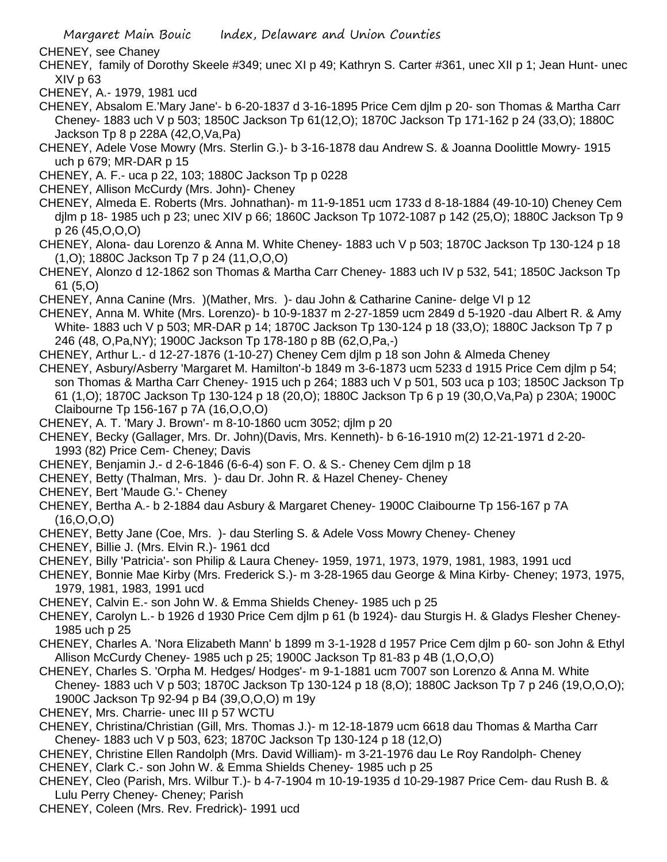CHENEY, see Chaney

CHENEY, family of Dorothy Skeele #349; unec XI p 49; Kathryn S. Carter #361, unec XII p 1; Jean Hunt- unec XIV p 63

CHENEY, A.- 1979, 1981 ucd

- CHENEY, Absalom E.'Mary Jane'- b 6-20-1837 d 3-16-1895 Price Cem djlm p 20- son Thomas & Martha Carr Cheney- 1883 uch V p 503; 1850C Jackson Tp 61(12,O); 1870C Jackson Tp 171-162 p 24 (33,O); 1880C Jackson Tp 8 p 228A (42,O,Va,Pa)
- CHENEY, Adele Vose Mowry (Mrs. Sterlin G.)- b 3-16-1878 dau Andrew S. & Joanna Doolittle Mowry- 1915 uch p 679; MR-DAR p 15
- CHENEY, A. F.- uca p 22, 103; 1880C Jackson Tp p 0228
- CHENEY, Allison McCurdy (Mrs. John)- Cheney
- CHENEY, Almeda E. Roberts (Mrs. Johnathan)- m 11-9-1851 ucm 1733 d 8-18-1884 (49-10-10) Cheney Cem djlm p 18- 1985 uch p 23; unec XIV p 66; 1860C Jackson Tp 1072-1087 p 142 (25,O); 1880C Jackson Tp 9 p 26 (45,O,O,O)
- CHENEY, Alona- dau Lorenzo & Anna M. White Cheney- 1883 uch V p 503; 1870C Jackson Tp 130-124 p 18 (1,O); 1880C Jackson Tp 7 p 24 (11,O,O,O)
- CHENEY, Alonzo d 12-1862 son Thomas & Martha Carr Cheney- 1883 uch IV p 532, 541; 1850C Jackson Tp 61 (5,O)
- CHENEY, Anna Canine (Mrs. )(Mather, Mrs. )- dau John & Catharine Canine- delge VI p 12
- CHENEY, Anna M. White (Mrs. Lorenzo)- b 10-9-1837 m 2-27-1859 ucm 2849 d 5-1920 -dau Albert R. & Amy White- 1883 uch V p 503; MR-DAR p 14; 1870C Jackson Tp 130-124 p 18 (33,O); 1880C Jackson Tp 7 p 246 (48, O,Pa,NY); 1900C Jackson Tp 178-180 p 8B (62,O,Pa,-)
- CHENEY, Arthur L.- d 12-27-1876 (1-10-27) Cheney Cem djlm p 18 son John & Almeda Cheney
- CHENEY, Asbury/Asberry 'Margaret M. Hamilton'-b 1849 m 3-6-1873 ucm 5233 d 1915 Price Cem djlm p 54; son Thomas & Martha Carr Cheney- 1915 uch p 264; 1883 uch V p 501, 503 uca p 103; 1850C Jackson Tp 61 (1,O); 1870C Jackson Tp 130-124 p 18 (20,O); 1880C Jackson Tp 6 p 19 (30,O,Va,Pa) p 230A; 1900C Claibourne Tp 156-167 p 7A (16,O,O,O)
- CHENEY, A. T. 'Mary J. Brown'- m 8-10-1860 ucm 3052; djlm p 20
- CHENEY, Becky (Gallager, Mrs. Dr. John)(Davis, Mrs. Kenneth)- b 6-16-1910 m(2) 12-21-1971 d 2-20- 1993 (82) Price Cem- Cheney; Davis
- CHENEY, Benjamin J.- d 2-6-1846 (6-6-4) son F. O. & S.- Cheney Cem djlm p 18
- CHENEY, Betty (Thalman, Mrs. )- dau Dr. John R. & Hazel Cheney- Cheney
- CHENEY, Bert 'Maude G.'- Cheney
- CHENEY, Bertha A.- b 2-1884 dau Asbury & Margaret Cheney- 1900C Claibourne Tp 156-167 p 7A (16,O,O,O)
- CHENEY, Betty Jane (Coe, Mrs. )- dau Sterling S. & Adele Voss Mowry Cheney- Cheney
- CHENEY, Billie J. (Mrs. Elvin R.)- 1961 dcd
- CHENEY, Billy 'Patricia'- son Philip & Laura Cheney- 1959, 1971, 1973, 1979, 1981, 1983, 1991 ucd
- CHENEY, Bonnie Mae Kirby (Mrs. Frederick S.)- m 3-28-1965 dau George & Mina Kirby- Cheney; 1973, 1975, 1979, 1981, 1983, 1991 ucd
- CHENEY, Calvin E.- son John W. & Emma Shields Cheney- 1985 uch p 25
- CHENEY, Carolyn L.- b 1926 d 1930 Price Cem djlm p 61 (b 1924)- dau Sturgis H. & Gladys Flesher Cheney-1985 uch p 25
- CHENEY, Charles A. 'Nora Elizabeth Mann' b 1899 m 3-1-1928 d 1957 Price Cem djlm p 60- son John & Ethyl Allison McCurdy Cheney- 1985 uch p 25; 1900C Jackson Tp 81-83 p 4B (1,O,O,O)
- CHENEY, Charles S. 'Orpha M. Hedges/ Hodges'- m 9-1-1881 ucm 7007 son Lorenzo & Anna M. White Cheney- 1883 uch V p 503; 1870C Jackson Tp 130-124 p 18 (8,O); 1880C Jackson Tp 7 p 246 (19,O,O,O); 1900C Jackson Tp 92-94 p B4 (39,O,O,O) m 19y
- CHENEY, Mrs. Charrie- unec III p 57 WCTU
- CHENEY, Christina/Christian (Gill, Mrs. Thomas J.)- m 12-18-1879 ucm 6618 dau Thomas & Martha Carr Cheney- 1883 uch V p 503, 623; 1870C Jackson Tp 130-124 p 18 (12,O)
- CHENEY, Christine Ellen Randolph (Mrs. David William)- m 3-21-1976 dau Le Roy Randolph- Cheney CHENEY, Clark C.- son John W. & Emma Shields Cheney- 1985 uch p 25
- CHENEY, Cleo (Parish, Mrs. Wilbur T.)- b 4-7-1904 m 10-19-1935 d 10-29-1987 Price Cem- dau Rush B. & Lulu Perry Cheney- Cheney; Parish
- CHENEY, Coleen (Mrs. Rev. Fredrick)- 1991 ucd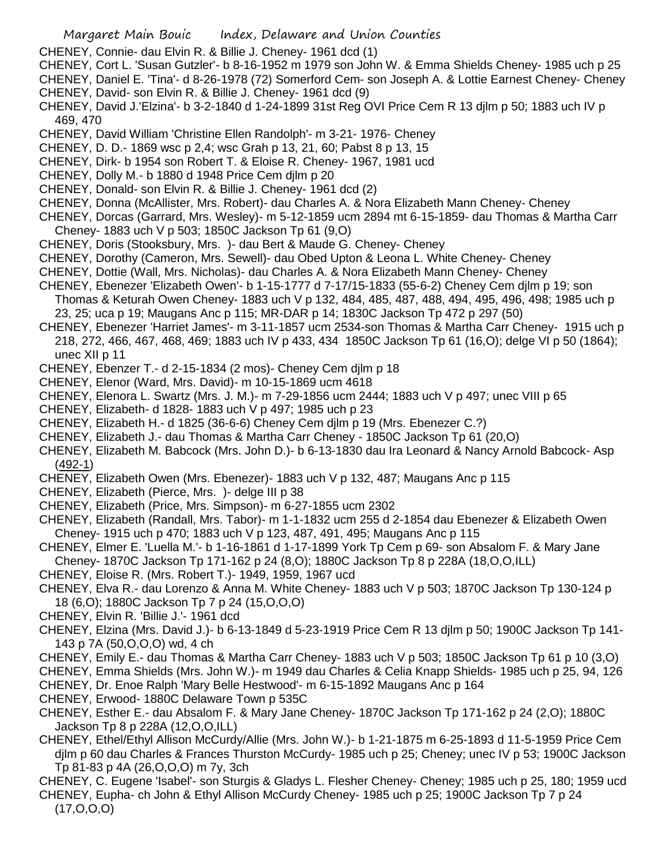- CHENEY, Connie- dau Elvin R. & Billie J. Cheney- 1961 dcd (1)
- CHENEY, Cort L. 'Susan Gutzler'- b 8-16-1952 m 1979 son John W. & Emma Shields Cheney- 1985 uch p 25
- CHENEY, Daniel E. 'Tina'- d 8-26-1978 (72) Somerford Cem- son Joseph A. & Lottie Earnest Cheney- Cheney
- CHENEY, David- son Elvin R. & Billie J. Cheney- 1961 dcd (9)
- CHENEY, David J.'Elzina'- b 3-2-1840 d 1-24-1899 31st Reg OVI Price Cem R 13 djlm p 50; 1883 uch IV p 469, 470
- CHENEY, David William 'Christine Ellen Randolph'- m 3-21- 1976- Cheney
- CHENEY, D. D.- 1869 wsc p 2,4; wsc Grah p 13, 21, 60; Pabst 8 p 13, 15
- CHENEY, Dirk- b 1954 son Robert T. & Eloise R. Cheney- 1967, 1981 ucd
- CHENEY, Dolly M.- b 1880 d 1948 Price Cem djlm p 20
- CHENEY, Donald- son Elvin R. & Billie J. Cheney- 1961 dcd (2)
- CHENEY, Donna (McAllister, Mrs. Robert)- dau Charles A. & Nora Elizabeth Mann Cheney- Cheney
- CHENEY, Dorcas (Garrard, Mrs. Wesley)- m 5-12-1859 ucm 2894 mt 6-15-1859- dau Thomas & Martha Carr Cheney- 1883 uch V p 503; 1850C Jackson Tp 61 (9,O)
- CHENEY, Doris (Stooksbury, Mrs. )- dau Bert & Maude G. Cheney- Cheney
- CHENEY, Dorothy (Cameron, Mrs. Sewell)- dau Obed Upton & Leona L. White Cheney- Cheney
- CHENEY, Dottie (Wall, Mrs. Nicholas)- dau Charles A. & Nora Elizabeth Mann Cheney- Cheney
- CHENEY, Ebenezer 'Elizabeth Owen'- b 1-15-1777 d 7-17/15-1833 (55-6-2) Cheney Cem djlm p 19; son Thomas & Keturah Owen Cheney- 1883 uch V p 132, 484, 485, 487, 488, 494, 495, 496, 498; 1985 uch p 23, 25; uca p 19; Maugans Anc p 115; MR-DAR p 14; 1830C Jackson Tp 472 p 297 (50)
- CHENEY, Ebenezer 'Harriet James'- m 3-11-1857 ucm 2534-son Thomas & Martha Carr Cheney- 1915 uch p 218, 272, 466, 467, 468, 469; 1883 uch IV p 433, 434 1850C Jackson Tp 61 (16,O); delge VI p 50 (1864); unec XII p 11
- CHENEY, Ebenzer T.- d 2-15-1834 (2 mos)- Cheney Cem djlm p 18
- CHENEY, Elenor (Ward, Mrs. David)- m 10-15-1869 ucm 4618
- CHENEY, Elenora L. Swartz (Mrs. J. M.)- m 7-29-1856 ucm 2444; 1883 uch V p 497; unec VIII p 65
- CHENEY, Elizabeth- d 1828- 1883 uch V p 497; 1985 uch p 23
- CHENEY, Elizabeth H.- d 1825 (36-6-6) Cheney Cem djlm p 19 (Mrs. Ebenezer C.?)
- CHENEY, Elizabeth J.- dau Thomas & Martha Carr Cheney 1850C Jackson Tp 61 (20,O)
- CHENEY, Elizabeth M. Babcock (Mrs. John D.)- b 6-13-1830 dau Ira Leonard & Nancy Arnold Babcock- Asp (492-1)
- CHENEY, Elizabeth Owen (Mrs. Ebenezer)- 1883 uch V p 132, 487; Maugans Anc p 115
- CHENEY, Elizabeth (Pierce, Mrs. )- delge III p 38
- CHENEY, Elizabeth (Price, Mrs. Simpson)- m 6-27-1855 ucm 2302
- CHENEY, Elizabeth (Randall, Mrs. Tabor)- m 1-1-1832 ucm 255 d 2-1854 dau Ebenezer & Elizabeth Owen Cheney- 1915 uch p 470; 1883 uch V p 123, 487, 491, 495; Maugans Anc p 115
- CHENEY, Elmer E. 'Luella M.'- b 1-16-1861 d 1-17-1899 York Tp Cem p 69- son Absalom F. & Mary Jane Cheney- 1870C Jackson Tp 171-162 p 24 (8,O); 1880C Jackson Tp 8 p 228A (18,O,O,ILL)
- CHENEY, Eloise R. (Mrs. Robert T.)- 1949, 1959, 1967 ucd
- CHENEY, Elva R.- dau Lorenzo & Anna M. White Cheney- 1883 uch V p 503; 1870C Jackson Tp 130-124 p 18 (6,O); 1880C Jackson Tp 7 p 24 (15,O,O,O)
- CHENEY, Elvin R. 'Billie J.'- 1961 dcd
- CHENEY, Elzina (Mrs. David J.)- b 6-13-1849 d 5-23-1919 Price Cem R 13 djlm p 50; 1900C Jackson Tp 141- 143 p 7A (50,O,O,O) wd, 4 ch
- CHENEY, Emily E.- dau Thomas & Martha Carr Cheney- 1883 uch V p 503; 1850C Jackson Tp 61 p 10 (3,O)
- CHENEY, Emma Shields (Mrs. John W.)- m 1949 dau Charles & Celia Knapp Shields- 1985 uch p 25, 94, 126 CHENEY, Dr. Enoe Ralph 'Mary Belle Hestwood'- m 6-15-1892 Maugans Anc p 164
- CHENEY, Erwood- 1880C Delaware Town p 535C
- CHENEY, Esther E.- dau Absalom F. & Mary Jane Cheney- 1870C Jackson Tp 171-162 p 24 (2,O); 1880C Jackson Tp 8 p 228A (12,O,O,ILL)
- CHENEY, Ethel/Ethyl Allison McCurdy/Allie (Mrs. John W.)- b 1-21-1875 m 6-25-1893 d 11-5-1959 Price Cem djlm p 60 dau Charles & Frances Thurston McCurdy- 1985 uch p 25; Cheney; unec IV p 53; 1900C Jackson Tp 81-83 p 4A (26,O,O,O) m 7y, 3ch
- CHENEY, C. Eugene 'Isabel'- son Sturgis & Gladys L. Flesher Cheney- Cheney; 1985 uch p 25, 180; 1959 ucd CHENEY, Eupha- ch John & Ethyl Allison McCurdy Cheney- 1985 uch p 25; 1900C Jackson Tp 7 p 24

(17,O,O,O)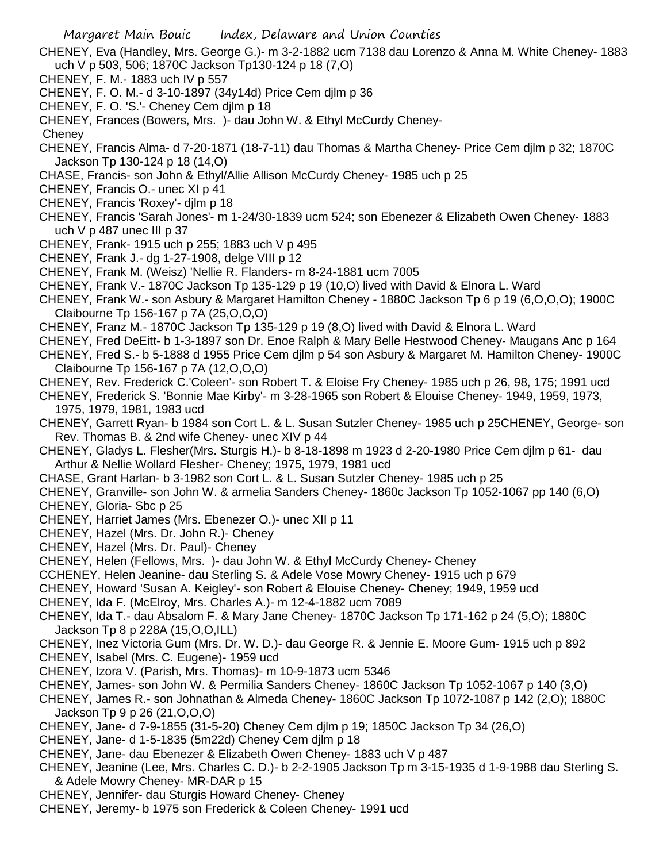- CHENEY, Eva (Handley, Mrs. George G.)- m 3-2-1882 ucm 7138 dau Lorenzo & Anna M. White Cheney- 1883 uch V p 503, 506; 1870C Jackson Tp130-124 p 18 (7,O)
- CHENEY, F. M.- 1883 uch IV p 557
- CHENEY, F. O. M.- d 3-10-1897 (34y14d) Price Cem djlm p 36
- CHENEY, F. O. 'S.'- Cheney Cem djlm p 18
- CHENEY, Frances (Bowers, Mrs. )- dau John W. & Ethyl McCurdy Cheney-
- **Cheney**
- CHENEY, Francis Alma- d 7-20-1871 (18-7-11) dau Thomas & Martha Cheney- Price Cem djlm p 32; 1870C Jackson Tp 130-124 p 18 (14,O)
- CHASE, Francis- son John & Ethyl/Allie Allison McCurdy Cheney- 1985 uch p 25
- CHENEY, Francis O.- unec XI p 41
- CHENEY, Francis 'Roxey'- djlm p 18
- CHENEY, Francis 'Sarah Jones'- m 1-24/30-1839 ucm 524; son Ebenezer & Elizabeth Owen Cheney- 1883 uch  $V$  p 487 unec III p 37
- CHENEY, Frank- 1915 uch p 255; 1883 uch V p 495
- CHENEY, Frank J.- dg 1-27-1908, delge VIII p 12
- CHENEY, Frank M. (Weisz) 'Nellie R. Flanders- m 8-24-1881 ucm 7005
- CHENEY, Frank V.- 1870C Jackson Tp 135-129 p 19 (10,O) lived with David & Elnora L. Ward
- CHENEY, Frank W.- son Asbury & Margaret Hamilton Cheney 1880C Jackson Tp 6 p 19 (6,O,O,O); 1900C Claibourne Tp 156-167 p 7A (25,O,O,O)
- CHENEY, Franz M.- 1870C Jackson Tp 135-129 p 19 (8,O) lived with David & Elnora L. Ward
- CHENEY, Fred DeEitt- b 1-3-1897 son Dr. Enoe Ralph & Mary Belle Hestwood Cheney- Maugans Anc p 164
- CHENEY, Fred S.- b 5-1888 d 1955 Price Cem djlm p 54 son Asbury & Margaret M. Hamilton Cheney- 1900C Claibourne Tp 156-167 p 7A (12,O,O,O)
- CHENEY, Rev. Frederick C.'Coleen'- son Robert T. & Eloise Fry Cheney- 1985 uch p 26, 98, 175; 1991 ucd
- CHENEY, Frederick S. 'Bonnie Mae Kirby'- m 3-28-1965 son Robert & Elouise Cheney- 1949, 1959, 1973, 1975, 1979, 1981, 1983 ucd
- CHENEY, Garrett Ryan- b 1984 son Cort L. & L. Susan Sutzler Cheney- 1985 uch p 25CHENEY, George- son Rev. Thomas B. & 2nd wife Cheney- unec XIV p 44
- CHENEY, Gladys L. Flesher(Mrs. Sturgis H.)- b 8-18-1898 m 1923 d 2-20-1980 Price Cem djlm p 61- dau Arthur & Nellie Wollard Flesher- Cheney; 1975, 1979, 1981 ucd
- CHASE, Grant Harlan- b 3-1982 son Cort L. & L. Susan Sutzler Cheney- 1985 uch p 25
- CHENEY, Granville- son John W. & armelia Sanders Cheney- 1860c Jackson Tp 1052-1067 pp 140 (6,O)

CHENEY, Gloria- Sbc p 25

- CHENEY, Harriet James (Mrs. Ebenezer O.)- unec XII p 11
- CHENEY, Hazel (Mrs. Dr. John R.)- Cheney
- CHENEY, Hazel (Mrs. Dr. Paul)- Cheney
- CHENEY, Helen (Fellows, Mrs. )- dau John W. & Ethyl McCurdy Cheney- Cheney
- CCHENEY, Helen Jeanine- dau Sterling S. & Adele Vose Mowry Cheney- 1915 uch p 679
- CHENEY, Howard 'Susan A. Keigley'- son Robert & Elouise Cheney- Cheney; 1949, 1959 ucd
- CHENEY, Ida F. (McElroy, Mrs. Charles A.)- m 12-4-1882 ucm 7089
- CHENEY, Ida T.- dau Absalom F. & Mary Jane Cheney- 1870C Jackson Tp 171-162 p 24 (5,O); 1880C Jackson Tp 8 p 228A (15,O,O,ILL)
- CHENEY, Inez Victoria Gum (Mrs. Dr. W. D.)- dau George R. & Jennie E. Moore Gum- 1915 uch p 892
- CHENEY, Isabel (Mrs. C. Eugene)- 1959 ucd
- CHENEY, Izora V. (Parish, Mrs. Thomas)- m 10-9-1873 ucm 5346
- CHENEY, James- son John W. & Permilia Sanders Cheney- 1860C Jackson Tp 1052-1067 p 140 (3,O)
- CHENEY, James R.- son Johnathan & Almeda Cheney- 1860C Jackson Tp 1072-1087 p 142 (2,O); 1880C Jackson Tp 9 p 26 (21,O,O,O)
- CHENEY, Jane- d 7-9-1855 (31-5-20) Cheney Cem djlm p 19; 1850C Jackson Tp 34 (26,O)
- CHENEY, Jane- d 1-5-1835 (5m22d) Cheney Cem djlm p 18
- CHENEY, Jane- dau Ebenezer & Elizabeth Owen Cheney- 1883 uch V p 487
- CHENEY, Jeanine (Lee, Mrs. Charles C. D.)- b 2-2-1905 Jackson Tp m 3-15-1935 d 1-9-1988 dau Sterling S. & Adele Mowry Cheney- MR-DAR p 15
- CHENEY, Jennifer- dau Sturgis Howard Cheney- Cheney
- CHENEY, Jeremy- b 1975 son Frederick & Coleen Cheney- 1991 ucd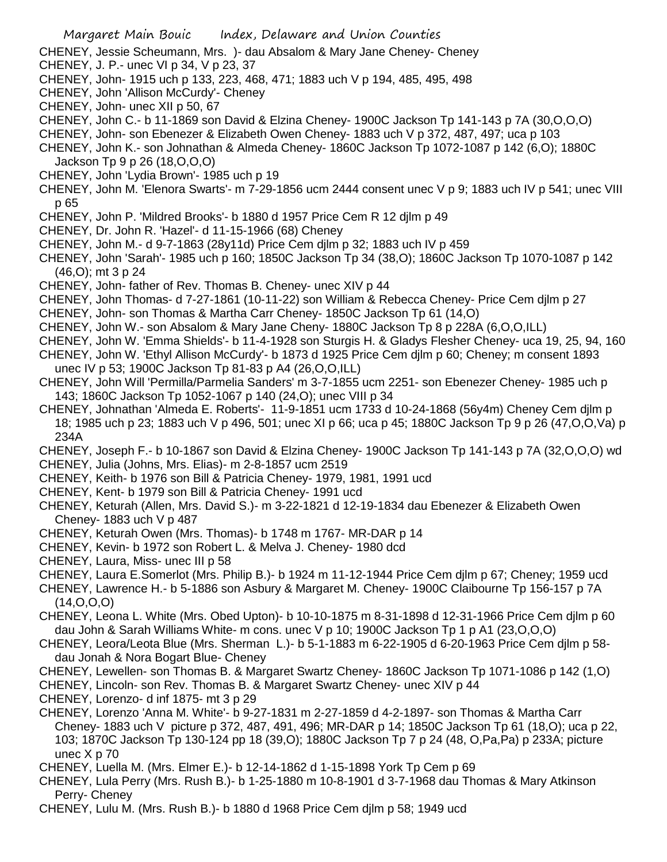- CHENEY, Jessie Scheumann, Mrs. )- dau Absalom & Mary Jane Cheney- Cheney
- CHENEY, J. P.- unec VI p 34, V p 23, 37
- CHENEY, John- 1915 uch p 133, 223, 468, 471; 1883 uch V p 194, 485, 495, 498
- CHENEY, John 'Allison McCurdy'- Cheney
- CHENEY, John- unec XII p 50, 67
- CHENEY, John C.- b 11-1869 son David & Elzina Cheney- 1900C Jackson Tp 141-143 p 7A (30,O,O,O)
- CHENEY, John- son Ebenezer & Elizabeth Owen Cheney- 1883 uch V p 372, 487, 497; uca p 103
- CHENEY, John K.- son Johnathan & Almeda Cheney- 1860C Jackson Tp 1072-1087 p 142 (6,O); 1880C Jackson Tp 9 p 26 (18,O,O,O)
- CHENEY, John 'Lydia Brown'- 1985 uch p 19
- CHENEY, John M. 'Elenora Swarts'- m 7-29-1856 ucm 2444 consent unec V p 9; 1883 uch IV p 541; unec VIII p 65
- CHENEY, John P. 'Mildred Brooks'- b 1880 d 1957 Price Cem R 12 djlm p 49
- CHENEY, Dr. John R. 'Hazel'- d 11-15-1966 (68) Cheney
- CHENEY, John M.- d 9-7-1863 (28y11d) Price Cem djlm p 32; 1883 uch IV p 459
- CHENEY, John 'Sarah'- 1985 uch p 160; 1850C Jackson Tp 34 (38,O); 1860C Jackson Tp 1070-1087 p 142 (46,O); mt 3 p 24
- CHENEY, John- father of Rev. Thomas B. Cheney- unec XIV p 44
- CHENEY, John Thomas- d 7-27-1861 (10-11-22) son William & Rebecca Cheney- Price Cem djlm p 27
- CHENEY, John- son Thomas & Martha Carr Cheney- 1850C Jackson Tp 61 (14,O)
- CHENEY, John W.- son Absalom & Mary Jane Cheny- 1880C Jackson Tp 8 p 228A (6,O,O,ILL)
- CHENEY, John W. 'Emma Shields'- b 11-4-1928 son Sturgis H. & Gladys Flesher Cheney- uca 19, 25, 94, 160
- CHENEY, John W. 'Ethyl Allison McCurdy'- b 1873 d 1925 Price Cem djlm p 60; Cheney; m consent 1893 unec IV p 53; 1900C Jackson Tp 81-83 p A4 (26,O,O,ILL)
- CHENEY, John Will 'Permilla/Parmelia Sanders' m 3-7-1855 ucm 2251- son Ebenezer Cheney- 1985 uch p 143; 1860C Jackson Tp 1052-1067 p 140 (24,O); unec VIII p 34
- CHENEY, Johnathan 'Almeda E. Roberts'- 11-9-1851 ucm 1733 d 10-24-1868 (56y4m) Cheney Cem djlm p 18; 1985 uch p 23; 1883 uch V p 496, 501; unec XI p 66; uca p 45; 1880C Jackson Tp 9 p 26 (47,O,O,Va) p 234A
- CHENEY, Joseph F.- b 10-1867 son David & Elzina Cheney- 1900C Jackson Tp 141-143 p 7A (32,O,O,O) wd CHENEY, Julia (Johns, Mrs. Elias)- m 2-8-1857 ucm 2519
- CHENEY, Keith- b 1976 son Bill & Patricia Cheney- 1979, 1981, 1991 ucd
- CHENEY, Kent- b 1979 son Bill & Patricia Cheney- 1991 ucd
- CHENEY, Keturah (Allen, Mrs. David S.)- m 3-22-1821 d 12-19-1834 dau Ebenezer & Elizabeth Owen Cheney- 1883 uch V p 487
- CHENEY, Keturah Owen (Mrs. Thomas)- b 1748 m 1767- MR-DAR p 14
- CHENEY, Kevin- b 1972 son Robert L. & Melva J. Cheney- 1980 dcd
- CHENEY, Laura, Miss- unec III p 58
- CHENEY, Laura E.Somerlot (Mrs. Philip B.)- b 1924 m 11-12-1944 Price Cem djlm p 67; Cheney; 1959 ucd
- CHENEY, Lawrence H.- b 5-1886 son Asbury & Margaret M. Cheney- 1900C Claibourne Tp 156-157 p 7A (14,O,O,O)
- CHENEY, Leona L. White (Mrs. Obed Upton)- b 10-10-1875 m 8-31-1898 d 12-31-1966 Price Cem djlm p 60 dau John & Sarah Williams White- m cons. unec V p 10; 1900C Jackson Tp 1 p A1 (23,O,O,O)
- CHENEY, Leora/Leota Blue (Mrs. Sherman L.)- b 5-1-1883 m 6-22-1905 d 6-20-1963 Price Cem djlm p 58 dau Jonah & Nora Bogart Blue- Cheney
- CHENEY, Lewellen- son Thomas B. & Margaret Swartz Cheney- 1860C Jackson Tp 1071-1086 p 142 (1,O)
- CHENEY, Lincoln- son Rev. Thomas B. & Margaret Swartz Cheney- unec XIV p 44
- CHENEY, Lorenzo- d inf 1875- mt 3 p 29
- CHENEY, Lorenzo 'Anna M. White'- b 9-27-1831 m 2-27-1859 d 4-2-1897- son Thomas & Martha Carr Cheney- 1883 uch V picture p 372, 487, 491, 496; MR-DAR p 14; 1850C Jackson Tp 61 (18,O); uca p 22, 103; 1870C Jackson Tp 130-124 pp 18 (39,O); 1880C Jackson Tp 7 p 24 (48, O,Pa,Pa) p 233A; picture unec X p 70
- CHENEY, Luella M. (Mrs. Elmer E.)- b 12-14-1862 d 1-15-1898 York Tp Cem p 69
- CHENEY, Lula Perry (Mrs. Rush B.)- b 1-25-1880 m 10-8-1901 d 3-7-1968 dau Thomas & Mary Atkinson Perry- Cheney
- CHENEY, Lulu M. (Mrs. Rush B.)- b 1880 d 1968 Price Cem djlm p 58; 1949 ucd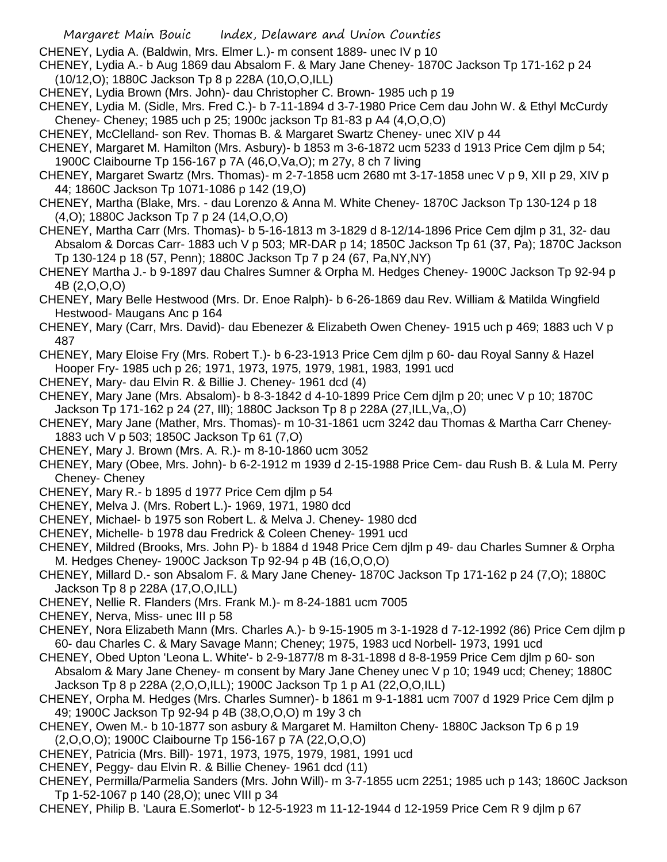CHENEY, Lydia A. (Baldwin, Mrs. Elmer L.)- m consent 1889- unec IV p 10

- CHENEY, Lydia A.- b Aug 1869 dau Absalom F. & Mary Jane Cheney- 1870C Jackson Tp 171-162 p 24 (10/12,O); 1880C Jackson Tp 8 p 228A (10,O,O,ILL)
- CHENEY, Lydia Brown (Mrs. John)- dau Christopher C. Brown- 1985 uch p 19
- CHENEY, Lydia M. (Sidle, Mrs. Fred C.)- b 7-11-1894 d 3-7-1980 Price Cem dau John W. & Ethyl McCurdy Cheney- Cheney; 1985 uch p 25; 1900c jackson Tp 81-83 p A4 (4,O,O,O)
- CHENEY, McClelland- son Rev. Thomas B. & Margaret Swartz Cheney- unec XIV p 44
- CHENEY, Margaret M. Hamilton (Mrs. Asbury)- b 1853 m 3-6-1872 ucm 5233 d 1913 Price Cem djlm p 54; 1900C Claibourne Tp 156-167 p 7A (46,O,Va,O); m 27y, 8 ch 7 living
- CHENEY, Margaret Swartz (Mrs. Thomas)- m 2-7-1858 ucm 2680 mt 3-17-1858 unec V p 9, XII p 29, XIV p 44; 1860C Jackson Tp 1071-1086 p 142 (19,O)
- CHENEY, Martha (Blake, Mrs. dau Lorenzo & Anna M. White Cheney- 1870C Jackson Tp 130-124 p 18 (4,O); 1880C Jackson Tp 7 p 24 (14,O,O,O)
- CHENEY, Martha Carr (Mrs. Thomas)- b 5-16-1813 m 3-1829 d 8-12/14-1896 Price Cem djlm p 31, 32- dau Absalom & Dorcas Carr- 1883 uch V p 503; MR-DAR p 14; 1850C Jackson Tp 61 (37, Pa); 1870C Jackson Tp 130-124 p 18 (57, Penn); 1880C Jackson Tp 7 p 24 (67, Pa,NY,NY)
- CHENEY Martha J.- b 9-1897 dau Chalres Sumner & Orpha M. Hedges Cheney- 1900C Jackson Tp 92-94 p 4B (2,O,O,O)
- CHENEY, Mary Belle Hestwood (Mrs. Dr. Enoe Ralph)- b 6-26-1869 dau Rev. William & Matilda Wingfield Hestwood- Maugans Anc p 164
- CHENEY, Mary (Carr, Mrs. David)- dau Ebenezer & Elizabeth Owen Cheney- 1915 uch p 469; 1883 uch V p 487
- CHENEY, Mary Eloise Fry (Mrs. Robert T.)- b 6-23-1913 Price Cem djlm p 60- dau Royal Sanny & Hazel Hooper Fry- 1985 uch p 26; 1971, 1973, 1975, 1979, 1981, 1983, 1991 ucd
- CHENEY, Mary- dau Elvin R. & Billie J. Cheney- 1961 dcd (4)
- CHENEY, Mary Jane (Mrs. Absalom)- b 8-3-1842 d 4-10-1899 Price Cem djlm p 20; unec V p 10; 1870C Jackson Tp 171-162 p 24 (27, Ill); 1880C Jackson Tp 8 p 228A (27,ILL,Va,,O)
- CHENEY, Mary Jane (Mather, Mrs. Thomas)- m 10-31-1861 ucm 3242 dau Thomas & Martha Carr Cheney-1883 uch V p 503; 1850C Jackson Tp 61 (7,O)
- CHENEY, Mary J. Brown (Mrs. A. R.)- m 8-10-1860 ucm 3052
- CHENEY, Mary (Obee, Mrs. John)- b 6-2-1912 m 1939 d 2-15-1988 Price Cem- dau Rush B. & Lula M. Perry Cheney- Cheney
- CHENEY, Mary R.- b 1895 d 1977 Price Cem djlm p 54
- CHENEY, Melva J. (Mrs. Robert L.)- 1969, 1971, 1980 dcd
- CHENEY, Michael- b 1975 son Robert L. & Melva J. Cheney- 1980 dcd
- CHENEY, Michelle- b 1978 dau Fredrick & Coleen Cheney- 1991 ucd
- CHENEY, Mildred (Brooks, Mrs. John P)- b 1884 d 1948 Price Cem djlm p 49- dau Charles Sumner & Orpha M. Hedges Cheney- 1900C Jackson Tp 92-94 p 4B (16,O,O,O)
- CHENEY, Millard D.- son Absalom F. & Mary Jane Cheney- 1870C Jackson Tp 171-162 p 24 (7,O); 1880C Jackson Tp 8 p 228A (17,O,O,ILL)
- CHENEY, Nellie R. Flanders (Mrs. Frank M.)- m 8-24-1881 ucm 7005
- CHENEY, Nerva, Miss- unec III p 58
- CHENEY, Nora Elizabeth Mann (Mrs. Charles A.)- b 9-15-1905 m 3-1-1928 d 7-12-1992 (86) Price Cem djlm p 60- dau Charles C. & Mary Savage Mann; Cheney; 1975, 1983 ucd Norbell- 1973, 1991 ucd
- CHENEY, Obed Upton 'Leona L. White'- b 2-9-1877/8 m 8-31-1898 d 8-8-1959 Price Cem djlm p 60- son Absalom & Mary Jane Cheney- m consent by Mary Jane Cheney unec V p 10; 1949 ucd; Cheney; 1880C Jackson Tp 8 p 228A (2,O,O,ILL); 1900C Jackson Tp 1 p A1 (22,O,O,ILL)
- CHENEY, Orpha M. Hedges (Mrs. Charles Sumner)- b 1861 m 9-1-1881 ucm 7007 d 1929 Price Cem djlm p 49; 1900C Jackson Tp 92-94 p 4B (38,O,O,O) m 19y 3 ch
- CHENEY, Owen M.- b 10-1877 son asbury & Margaret M. Hamilton Cheny- 1880C Jackson Tp 6 p 19 (2,O,O,O); 1900C Claibourne Tp 156-167 p 7A (22,O,O,O)
- CHENEY, Patricia (Mrs. Bill)- 1971, 1973, 1975, 1979, 1981, 1991 ucd
- CHENEY, Peggy- dau Elvin R. & Billie Cheney- 1961 dcd (11)
- CHENEY, Permilla/Parmelia Sanders (Mrs. John Will)- m 3-7-1855 ucm 2251; 1985 uch p 143; 1860C Jackson Tp 1-52-1067 p 140 (28,O); unec VIII p 34
- CHENEY, Philip B. 'Laura E.Somerlot'- b 12-5-1923 m 11-12-1944 d 12-1959 Price Cem R 9 djlm p 67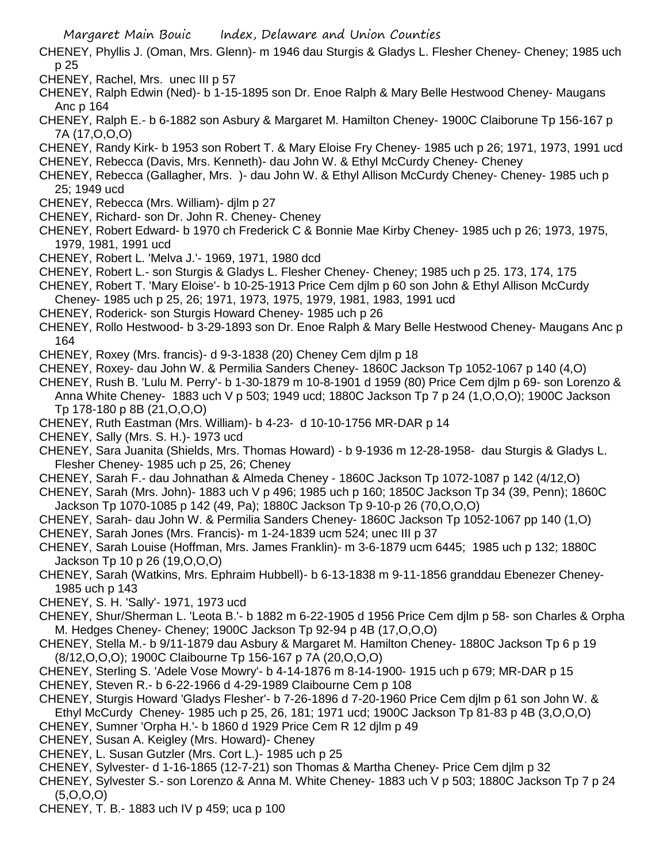CHENEY, Phyllis J. (Oman, Mrs. Glenn)- m 1946 dau Sturgis & Gladys L. Flesher Cheney- Cheney; 1985 uch p 25

- CHENEY, Rachel, Mrs. unec III p 57
- CHENEY, Ralph Edwin (Ned)- b 1-15-1895 son Dr. Enoe Ralph & Mary Belle Hestwood Cheney- Maugans Anc p 164
- CHENEY, Ralph E.- b 6-1882 son Asbury & Margaret M. Hamilton Cheney- 1900C Claiborune Tp 156-167 p 7A (17,O,O,O)
- CHENEY, Randy Kirk- b 1953 son Robert T. & Mary Eloise Fry Cheney- 1985 uch p 26; 1971, 1973, 1991 ucd
- CHENEY, Rebecca (Davis, Mrs. Kenneth)- dau John W. & Ethyl McCurdy Cheney- Cheney
- CHENEY, Rebecca (Gallagher, Mrs. )- dau John W. & Ethyl Allison McCurdy Cheney- Cheney- 1985 uch p 25; 1949 ucd
- CHENEY, Rebecca (Mrs. William)- djlm p 27
- CHENEY, Richard- son Dr. John R. Cheney- Cheney
- CHENEY, Robert Edward- b 1970 ch Frederick C & Bonnie Mae Kirby Cheney- 1985 uch p 26; 1973, 1975, 1979, 1981, 1991 ucd
- CHENEY, Robert L. 'Melva J.'- 1969, 1971, 1980 dcd
- CHENEY, Robert L.- son Sturgis & Gladys L. Flesher Cheney- Cheney; 1985 uch p 25. 173, 174, 175
- CHENEY, Robert T. 'Mary Eloise'- b 10-25-1913 Price Cem djlm p 60 son John & Ethyl Allison McCurdy Cheney- 1985 uch p 25, 26; 1971, 1973, 1975, 1979, 1981, 1983, 1991 ucd
- CHENEY, Roderick- son Sturgis Howard Cheney- 1985 uch p 26
- CHENEY, Rollo Hestwood- b 3-29-1893 son Dr. Enoe Ralph & Mary Belle Hestwood Cheney- Maugans Anc p 164
- CHENEY, Roxey (Mrs. francis)- d 9-3-1838 (20) Cheney Cem djlm p 18
- CHENEY, Roxey- dau John W. & Permilia Sanders Cheney- 1860C Jackson Tp 1052-1067 p 140 (4,O)

CHENEY, Rush B. 'Lulu M. Perry'- b 1-30-1879 m 10-8-1901 d 1959 (80) Price Cem djlm p 69- son Lorenzo & Anna White Cheney- 1883 uch V p 503; 1949 ucd; 1880C Jackson Tp 7 p 24 (1,O,O,O); 1900C Jackson Tp 178-180 p 8B (21,O,O,O)

- CHENEY, Ruth Eastman (Mrs. William)- b 4-23- d 10-10-1756 MR-DAR p 14
- CHENEY, Sally (Mrs. S. H.)- 1973 ucd
- CHENEY, Sara Juanita (Shields, Mrs. Thomas Howard) b 9-1936 m 12-28-1958- dau Sturgis & Gladys L. Flesher Cheney- 1985 uch p 25, 26; Cheney
- CHENEY, Sarah F.- dau Johnathan & Almeda Cheney 1860C Jackson Tp 1072-1087 p 142 (4/12,O)
- CHENEY, Sarah (Mrs. John)- 1883 uch V p 496; 1985 uch p 160; 1850C Jackson Tp 34 (39, Penn); 1860C Jackson Tp 1070-1085 p 142 (49, Pa); 1880C Jackson Tp 9-10-p 26 (70,O,O,O)
- CHENEY, Sarah- dau John W. & Permilia Sanders Cheney- 1860C Jackson Tp 1052-1067 pp 140 (1,O)
- CHENEY, Sarah Jones (Mrs. Francis)- m 1-24-1839 ucm 524; unec III p 37
- CHENEY, Sarah Louise (Hoffman, Mrs. James Franklin)- m 3-6-1879 ucm 6445; 1985 uch p 132; 1880C Jackson Tp 10 p 26 (19,O,O,O)
- CHENEY, Sarah (Watkins, Mrs. Ephraim Hubbell)- b 6-13-1838 m 9-11-1856 granddau Ebenezer Cheney-1985 uch p 143
- CHENEY, S. H. 'Sally'- 1971, 1973 ucd
- CHENEY, Shur/Sherman L. 'Leota B.'- b 1882 m 6-22-1905 d 1956 Price Cem djlm p 58- son Charles & Orpha M. Hedges Cheney- Cheney; 1900C Jackson Tp 92-94 p 4B (17,O,O,O)
- CHENEY, Stella M.- b 9/11-1879 dau Asbury & Margaret M. Hamilton Cheney- 1880C Jackson Tp 6 p 19 (8/12,O,O,O); 1900C Claibourne Tp 156-167 p 7A (20,O,O,O)
- CHENEY, Sterling S. 'Adele Vose Mowry'- b 4-14-1876 m 8-14-1900- 1915 uch p 679; MR-DAR p 15
- CHENEY, Steven R.- b 6-22-1966 d 4-29-1989 Claibourne Cem p 108
- CHENEY, Sturgis Howard 'Gladys Flesher'- b 7-26-1896 d 7-20-1960 Price Cem djlm p 61 son John W. & Ethyl McCurdy Cheney- 1985 uch p 25, 26, 181; 1971 ucd; 1900C Jackson Tp 81-83 p 4B (3,O,O,O)
- CHENEY, Sumner 'Orpha H.'- b 1860 d 1929 Price Cem R 12 djlm p 49
- CHENEY, Susan A. Keigley (Mrs. Howard)- Cheney
- CHENEY, L. Susan Gutzler (Mrs. Cort L.)- 1985 uch p 25
- CHENEY, Sylvester- d 1-16-1865 (12-7-21) son Thomas & Martha Cheney- Price Cem djlm p 32
- CHENEY, Sylvester S.- son Lorenzo & Anna M. White Cheney- 1883 uch V p 503; 1880C Jackson Tp 7 p 24 (5,O,O,O)
- CHENEY, T. B.- 1883 uch IV p 459; uca p 100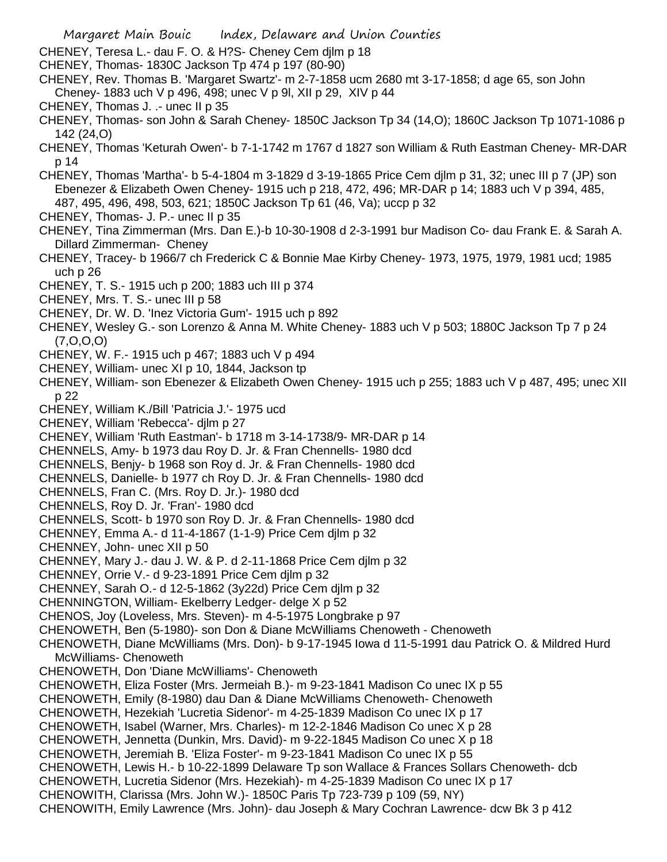- Margaret Main Bouic Index, Delaware and Union Counties
- CHENEY, Teresa L.- dau F. O. & H?S- Cheney Cem djlm p 18
- CHENEY, Thomas- 1830C Jackson Tp 474 p 197 (80-90)
- CHENEY, Rev. Thomas B. 'Margaret Swartz'- m 2-7-1858 ucm 2680 mt 3-17-1858; d age 65, son John Cheney- 1883 uch V p 496, 498; unec V p 9l, XII p 29, XIV p 44
- CHENEY, Thomas J. .- unec II p 35
- CHENEY, Thomas- son John & Sarah Cheney- 1850C Jackson Tp 34 (14,O); 1860C Jackson Tp 1071-1086 p 142 (24,O)
- CHENEY, Thomas 'Keturah Owen'- b 7-1-1742 m 1767 d 1827 son William & Ruth Eastman Cheney- MR-DAR p 14
- CHENEY, Thomas 'Martha'- b 5-4-1804 m 3-1829 d 3-19-1865 Price Cem djlm p 31, 32; unec III p 7 (JP) son Ebenezer & Elizabeth Owen Cheney- 1915 uch p 218, 472, 496; MR-DAR p 14; 1883 uch V p 394, 485, 487, 495, 496, 498, 503, 621; 1850C Jackson Tp 61 (46, Va); uccp p 32
- CHENEY, Thomas- J. P.- unec II p 35
- CHENEY, Tina Zimmerman (Mrs. Dan E.)-b 10-30-1908 d 2-3-1991 bur Madison Co- dau Frank E. & Sarah A. Dillard Zimmerman- Cheney
- CHENEY, Tracey- b 1966/7 ch Frederick C & Bonnie Mae Kirby Cheney- 1973, 1975, 1979, 1981 ucd; 1985 uch p 26
- CHENEY, T. S.- 1915 uch p 200; 1883 uch III p 374
- CHENEY, Mrs. T. S.- unec III p 58
- CHENEY, Dr. W. D. 'Inez Victoria Gum'- 1915 uch p 892
- CHENEY, Wesley G.- son Lorenzo & Anna M. White Cheney- 1883 uch V p 503; 1880C Jackson Tp 7 p 24 (7,O,O,O)
- CHENEY, W. F.- 1915 uch p 467; 1883 uch V p 494
- CHENEY, William- unec XI p 10, 1844, Jackson tp
- CHENEY, William- son Ebenezer & Elizabeth Owen Cheney- 1915 uch p 255; 1883 uch V p 487, 495; unec XII p 22
- CHENEY, William K./Bill 'Patricia J.'- 1975 ucd
- CHENEY, William 'Rebecca'- djlm p 27
- CHENEY, William 'Ruth Eastman'- b 1718 m 3-14-1738/9- MR-DAR p 14
- CHENNELS, Amy- b 1973 dau Roy D. Jr. & Fran Chennells- 1980 dcd
- CHENNELS, Benjy- b 1968 son Roy d. Jr. & Fran Chennells- 1980 dcd
- CHENNELS, Danielle- b 1977 ch Roy D. Jr. & Fran Chennells- 1980 dcd
- CHENNELS, Fran C. (Mrs. Roy D. Jr.)- 1980 dcd
- CHENNELS, Roy D. Jr. 'Fran'- 1980 dcd
- CHENNELS, Scott- b 1970 son Roy D. Jr. & Fran Chennells- 1980 dcd
- CHENNEY, Emma A.- d 11-4-1867 (1-1-9) Price Cem djlm p 32
- CHENNEY, John- unec XII p 50
- CHENNEY, Mary J.- dau J. W. & P. d 2-11-1868 Price Cem djlm p 32
- CHENNEY, Orrie V.- d 9-23-1891 Price Cem djlm p 32
- CHENNEY, Sarah O.- d 12-5-1862 (3y22d) Price Cem djlm p 32
- CHENNINGTON, William- Ekelberry Ledger- delge X p 52
- CHENOS, Joy (Loveless, Mrs. Steven)- m 4-5-1975 Longbrake p 97
- CHENOWETH, Ben (5-1980)- son Don & Diane McWilliams Chenoweth Chenoweth
- CHENOWETH, Diane McWilliams (Mrs. Don)- b 9-17-1945 Iowa d 11-5-1991 dau Patrick O. & Mildred Hurd McWilliams- Chenoweth
- CHENOWETH, Don 'Diane McWilliams'- Chenoweth
- CHENOWETH, Eliza Foster (Mrs. Jermeiah B.)- m 9-23-1841 Madison Co unec IX p 55
- CHENOWETH, Emily (8-1980) dau Dan & Diane McWilliams Chenoweth- Chenoweth
- CHENOWETH, Hezekiah 'Lucretia Sidenor'- m 4-25-1839 Madison Co unec IX p 17
- CHENOWETH, Isabel (Warner, Mrs. Charles)- m 12-2-1846 Madison Co unec X p 28
- CHENOWETH, Jennetta (Dunkin, Mrs. David)- m 9-22-1845 Madison Co unec X p 18
- CHENOWETH, Jeremiah B. 'Eliza Foster'- m 9-23-1841 Madison Co unec IX p 55
- CHENOWETH, Lewis H.- b 10-22-1899 Delaware Tp son Wallace & Frances Sollars Chenoweth- dcb
- CHENOWETH, Lucretia Sidenor (Mrs. Hezekiah)- m 4-25-1839 Madison Co unec IX p 17
- CHENOWITH, Clarissa (Mrs. John W.)- 1850C Paris Tp 723-739 p 109 (59, NY)
- CHENOWITH, Emily Lawrence (Mrs. John)- dau Joseph & Mary Cochran Lawrence- dcw Bk 3 p 412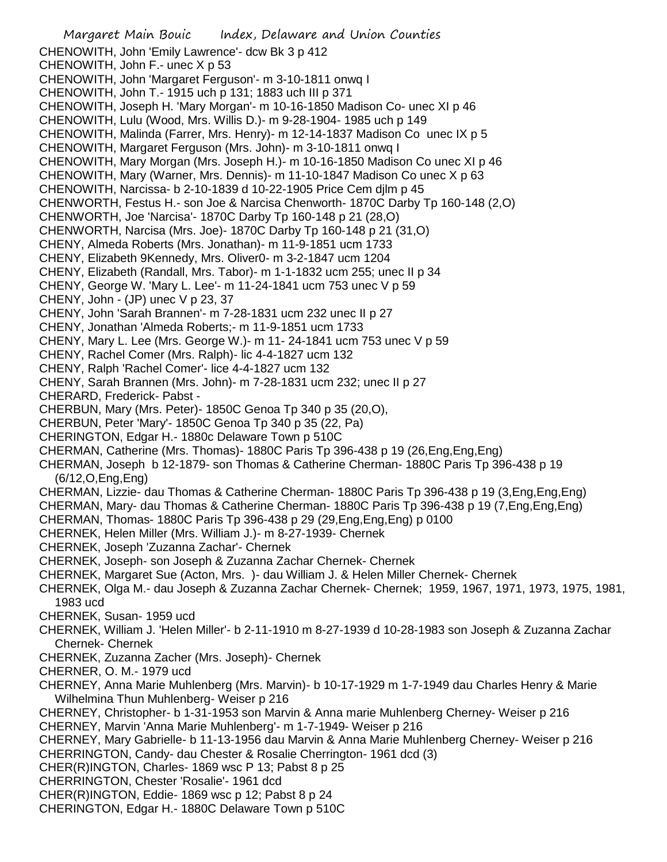Margaret Main Bouic Index, Delaware and Union Counties CHENOWITH, John 'Emily Lawrence'- dcw Bk 3 p 412 CHENOWITH, John F.- unec X p 53 CHENOWITH, John 'Margaret Ferguson'- m 3-10-1811 onwq I CHENOWITH, John T.- 1915 uch p 131; 1883 uch III p 371 CHENOWITH, Joseph H. 'Mary Morgan'- m 10-16-1850 Madison Co- unec XI p 46 CHENOWITH, Lulu (Wood, Mrs. Willis D.)- m 9-28-1904- 1985 uch p 149 CHENOWITH, Malinda (Farrer, Mrs. Henry)- m 12-14-1837 Madison Co unec IX p 5 CHENOWITH, Margaret Ferguson (Mrs. John)- m 3-10-1811 onwq I CHENOWITH, Mary Morgan (Mrs. Joseph H.)- m 10-16-1850 Madison Co unec XI p 46 CHENOWITH, Mary (Warner, Mrs. Dennis)- m 11-10-1847 Madison Co unec X p 63 CHENOWITH, Narcissa- b 2-10-1839 d 10-22-1905 Price Cem djlm p 45 CHENWORTH, Festus H.- son Joe & Narcisa Chenworth- 1870C Darby Tp 160-148 (2,O) CHENWORTH, Joe 'Narcisa'- 1870C Darby Tp 160-148 p 21 (28,O) CHENWORTH, Narcisa (Mrs. Joe)- 1870C Darby Tp 160-148 p 21 (31,O) CHENY, Almeda Roberts (Mrs. Jonathan)- m 11-9-1851 ucm 1733 CHENY, Elizabeth 9Kennedy, Mrs. Oliver0- m 3-2-1847 ucm 1204 CHENY, Elizabeth (Randall, Mrs. Tabor)- m 1-1-1832 ucm 255; unec II p 34 CHENY, George W. 'Mary L. Lee'- m 11-24-1841 ucm 753 unec V p 59 CHENY, John - (JP) unec V p 23, 37 CHENY, John 'Sarah Brannen'- m 7-28-1831 ucm 232 unec II p 27 CHENY, Jonathan 'Almeda Roberts;- m 11-9-1851 ucm 1733 CHENY, Mary L. Lee (Mrs. George W.)- m 11- 24-1841 ucm 753 unec V p 59 CHENY, Rachel Comer (Mrs. Ralph)- lic 4-4-1827 ucm 132 CHENY, Ralph 'Rachel Comer'- lice 4-4-1827 ucm 132 CHENY, Sarah Brannen (Mrs. John)- m 7-28-1831 ucm 232; unec II p 27 CHERARD, Frederick- Pabst - CHERBUN, Mary (Mrs. Peter)- 1850C Genoa Tp 340 p 35 (20,O), CHERBUN, Peter 'Mary'- 1850C Genoa Tp 340 p 35 (22, Pa) CHERINGTON, Edgar H.- 1880c Delaware Town p 510C CHERMAN, Catherine (Mrs. Thomas)- 1880C Paris Tp 396-438 p 19 (26,Eng,Eng,Eng) CHERMAN, Joseph b 12-1879- son Thomas & Catherine Cherman- 1880C Paris Tp 396-438 p 19 (6/12,O,Eng,Eng) CHERMAN, Lizzie- dau Thomas & Catherine Cherman- 1880C Paris Tp 396-438 p 19 (3,Eng,Eng,Eng) CHERMAN, Mary- dau Thomas & Catherine Cherman- 1880C Paris Tp 396-438 p 19 (7,Eng,Eng,Eng) CHERMAN, Thomas- 1880C Paris Tp 396-438 p 29 (29,Eng,Eng,Eng) p 0100 CHERNEK, Helen Miller (Mrs. William J.)- m 8-27-1939- Chernek CHERNEK, Joseph 'Zuzanna Zachar'- Chernek CHERNEK, Joseph- son Joseph & Zuzanna Zachar Chernek- Chernek CHERNEK, Margaret Sue (Acton, Mrs. )- dau William J. & Helen Miller Chernek- Chernek CHERNEK, Olga M.- dau Joseph & Zuzanna Zachar Chernek- Chernek; 1959, 1967, 1971, 1973, 1975, 1981, 1983 ucd CHERNEK, Susan- 1959 ucd CHERNEK, William J. 'Helen Miller'- b 2-11-1910 m 8-27-1939 d 10-28-1983 son Joseph & Zuzanna Zachar Chernek- Chernek CHERNEK, Zuzanna Zacher (Mrs. Joseph)- Chernek CHERNER, O. M.- 1979 ucd CHERNEY, Anna Marie Muhlenberg (Mrs. Marvin)- b 10-17-1929 m 1-7-1949 dau Charles Henry & Marie Wilhelmina Thun Muhlenberg- Weiser p 216 CHERNEY, Christopher- b 1-31-1953 son Marvin & Anna marie Muhlenberg Cherney- Weiser p 216 CHERNEY, Marvin 'Anna Marie Muhlenberg'- m 1-7-1949- Weiser p 216 CHERNEY, Mary Gabrielle- b 11-13-1956 dau Marvin & Anna Marie Muhlenberg Cherney- Weiser p 216 CHERRINGTON, Candy- dau Chester & Rosalie Cherrington- 1961 dcd (3) CHER(R)INGTON, Charles- 1869 wsc P 13; Pabst 8 p 25 CHERRINGTON, Chester 'Rosalie'- 1961 dcd CHER(R)INGTON, Eddie- 1869 wsc p 12; Pabst 8 p 24

CHERINGTON, Edgar H.- 1880C Delaware Town p 510C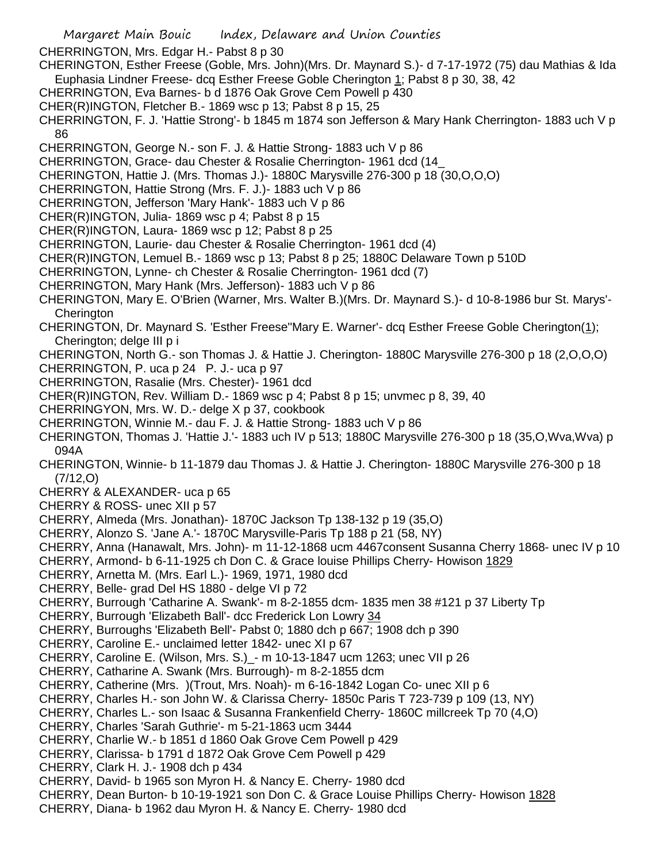CHERRINGTON, Mrs. Edgar H.- Pabst 8 p 30

CHERINGTON, Esther Freese (Goble, Mrs. John)(Mrs. Dr. Maynard S.)- d 7-17-1972 (75) dau Mathias & Ida Euphasia Lindner Freese- dcq Esther Freese Goble Cherington 1; Pabst 8 p 30, 38, 42

CHERRINGTON, Eva Barnes- b d 1876 Oak Grove Cem Powell p 430

CHER(R)INGTON, Fletcher B.- 1869 wsc p 13; Pabst 8 p 15, 25

CHERRINGTON, F. J. 'Hattie Strong'- b 1845 m 1874 son Jefferson & Mary Hank Cherrington- 1883 uch V p 86

CHERRINGTON, George N.- son F. J. & Hattie Strong- 1883 uch V p 86

CHERRINGTON, Grace- dau Chester & Rosalie Cherrington- 1961 dcd (14\_

CHERINGTON, Hattie J. (Mrs. Thomas J.)- 1880C Marysville 276-300 p 18 (30,O,O,O)

CHERRINGTON, Hattie Strong (Mrs. F. J.)- 1883 uch V p 86

CHERRINGTON, Jefferson 'Mary Hank'- 1883 uch V p 86

CHER(R)INGTON, Julia- 1869 wsc p 4; Pabst 8 p 15

CHER(R)INGTON, Laura- 1869 wsc p 12; Pabst 8 p 25

CHERRINGTON, Laurie- dau Chester & Rosalie Cherrington- 1961 dcd (4)

CHER(R)INGTON, Lemuel B.- 1869 wsc p 13; Pabst 8 p 25; 1880C Delaware Town p 510D

CHERRINGTON, Lynne- ch Chester & Rosalie Cherrington- 1961 dcd (7)

- CHERRINGTON, Mary Hank (Mrs. Jefferson)- 1883 uch V p 86
- CHERINGTON, Mary E. O'Brien (Warner, Mrs. Walter B.)(Mrs. Dr. Maynard S.)- d 10-8-1986 bur St. Marys'- **Cherington**

CHERINGTON, Dr. Maynard S. 'Esther Freese''Mary E. Warner'- dcq Esther Freese Goble Cherington(1); Cherington; delge III p i

- CHERINGTON, North G.- son Thomas J. & Hattie J. Cherington- 1880C Marysville 276-300 p 18 (2,O,O,O)
- CHERRINGTON, P. uca p 24 P. J.- uca p 97
- CHERRINGTON, Rasalie (Mrs. Chester)- 1961 dcd

CHER(R)INGTON, Rev. William D.- 1869 wsc p 4; Pabst 8 p 15; unvmec p 8, 39, 40

- CHERRINGYON, Mrs. W. D.- delge X p 37, cookbook
- CHERRINGTON, Winnie M.- dau F. J. & Hattie Strong- 1883 uch V p 86
- CHERINGTON, Thomas J. 'Hattie J.'- 1883 uch IV p 513; 1880C Marysville 276-300 p 18 (35,O,Wva,Wva) p 094A
- CHERINGTON, Winnie- b 11-1879 dau Thomas J. & Hattie J. Cherington- 1880C Marysville 276-300 p 18 (7/12,O)
- CHERRY & ALEXANDER- uca p 65
- CHERRY & ROSS- unec XII p 57

CHERRY, Almeda (Mrs. Jonathan)- 1870C Jackson Tp 138-132 p 19 (35,O)

- CHERRY, Alonzo S. 'Jane A.'- 1870C Marysville-Paris Tp 188 p 21 (58, NY)
- CHERRY, Anna (Hanawalt, Mrs. John)- m 11-12-1868 ucm 4467consent Susanna Cherry 1868- unec IV p 10
- CHERRY, Armond- b 6-11-1925 ch Don C. & Grace louise Phillips Cherry- Howison 1829
- CHERRY, Arnetta M. (Mrs. Earl L.)- 1969, 1971, 1980 dcd
- CHERRY, Belle- grad Del HS 1880 delge VI p 72

CHERRY, Burrough 'Catharine A. Swank'- m 8-2-1855 dcm- 1835 men 38 #121 p 37 Liberty Tp

- CHERRY, Burrough 'Elizabeth Ball'- dcc Frederick Lon Lowry 34
- CHERRY, Burroughs 'Elizabeth Bell'- Pabst 0; 1880 dch p 667; 1908 dch p 390
- CHERRY, Caroline E.- unclaimed letter 1842- unec XI p 67
- CHERRY, Caroline E. (Wilson, Mrs. S.)\_- m 10-13-1847 ucm 1263; unec VII p 26
- CHERRY, Catharine A. Swank (Mrs. Burrough)- m 8-2-1855 dcm
- CHERRY, Catherine (Mrs. )(Trout, Mrs. Noah)- m 6-16-1842 Logan Co- unec XII p 6
- CHERRY, Charles H.- son John W. & Clarissa Cherry- 1850c Paris T 723-739 p 109 (13, NY)
- CHERRY, Charles L.- son Isaac & Susanna Frankenfield Cherry- 1860C millcreek Tp 70 (4,O)
- CHERRY, Charles 'Sarah Guthrie'- m 5-21-1863 ucm 3444
- CHERRY, Charlie W.- b 1851 d 1860 Oak Grove Cem Powell p 429
- CHERRY, Clarissa- b 1791 d 1872 Oak Grove Cem Powell p 429
- CHERRY, Clark H. J.- 1908 dch p 434
- CHERRY, David- b 1965 son Myron H. & Nancy E. Cherry- 1980 dcd
- CHERRY, Dean Burton- b 10-19-1921 son Don C. & Grace Louise Phillips Cherry- Howison 1828
- CHERRY, Diana- b 1962 dau Myron H. & Nancy E. Cherry- 1980 dcd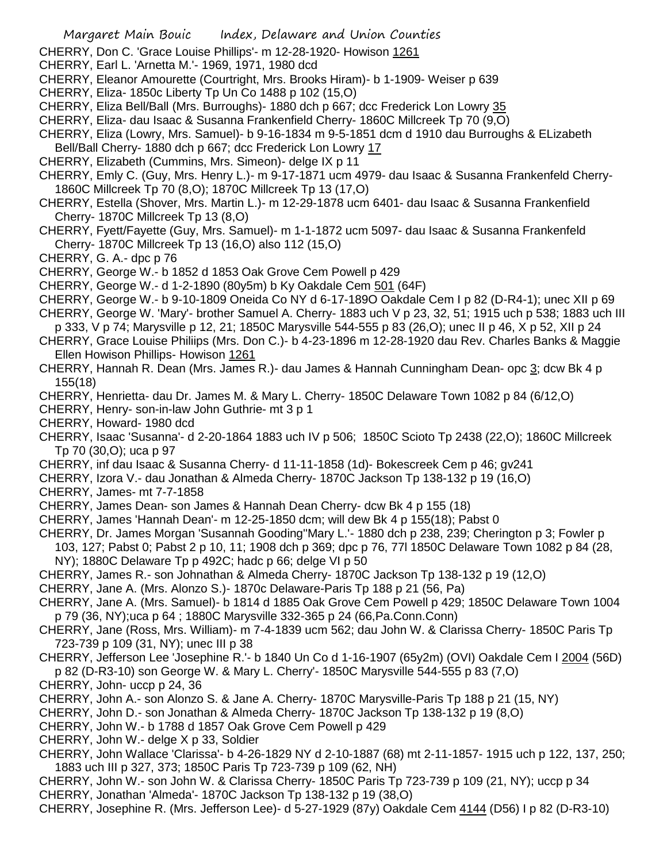- CHERRY, Don C. 'Grace Louise Phillips'- m 12-28-1920- Howison 1261
- CHERRY, Earl L. 'Arnetta M.'- 1969, 1971, 1980 dcd
- CHERRY, Eleanor Amourette (Courtright, Mrs. Brooks Hiram)- b 1-1909- Weiser p 639
- CHERRY, Eliza- 1850c Liberty Tp Un Co 1488 p 102 (15,O)
- CHERRY, Eliza Bell/Ball (Mrs. Burroughs)- 1880 dch p 667; dcc Frederick Lon Lowry 35
- CHERRY, Eliza- dau Isaac & Susanna Frankenfield Cherry- 1860C Millcreek Tp 70 (9,O)
- CHERRY, Eliza (Lowry, Mrs. Samuel)- b 9-16-1834 m 9-5-1851 dcm d 1910 dau Burroughs & ELizabeth Bell/Ball Cherry- 1880 dch p 667; dcc Frederick Lon Lowry 17
- CHERRY, Elizabeth (Cummins, Mrs. Simeon)- delge IX p 11
- CHERRY, Emly C. (Guy, Mrs. Henry L.)- m 9-17-1871 ucm 4979- dau Isaac & Susanna Frankenfeld Cherry-1860C Millcreek Tp 70 (8,O); 1870C Millcreek Tp 13 (17,O)
- CHERRY, Estella (Shover, Mrs. Martin L.)- m 12-29-1878 ucm 6401- dau Isaac & Susanna Frankenfield Cherry- 1870C Millcreek Tp 13 (8,O)
- CHERRY, Fyett/Fayette (Guy, Mrs. Samuel)- m 1-1-1872 ucm 5097- dau Isaac & Susanna Frankenfeld Cherry- 1870C Millcreek Tp 13 (16,O) also 112 (15,O)

CHERRY, G. A.- dpc p 76

- CHERRY, George W.- b 1852 d 1853 Oak Grove Cem Powell p 429
- CHERRY, George W.- d 1-2-1890 (80y5m) b Ky Oakdale Cem 501 (64F)
- CHERRY, George W.- b 9-10-1809 Oneida Co NY d 6-17-189O Oakdale Cem I p 82 (D-R4-1); unec XII p 69
- CHERRY, George W. 'Mary'- brother Samuel A. Cherry- 1883 uch V p 23, 32, 51; 1915 uch p 538; 1883 uch III p 333, V p 74; Marysville p 12, 21; 1850C Marysville 544-555 p 83 (26,O); unec II p 46, X p 52, XII p 24
- CHERRY, Grace Louise Philiips (Mrs. Don C.)- b 4-23-1896 m 12-28-1920 dau Rev. Charles Banks & Maggie Ellen Howison Phillips- Howison 1261
- CHERRY, Hannah R. Dean (Mrs. James R.)- dau James & Hannah Cunningham Dean- opc 3; dcw Bk 4 p 155(18)
- CHERRY, Henrietta- dau Dr. James M. & Mary L. Cherry- 1850C Delaware Town 1082 p 84 (6/12,O)
- CHERRY, Henry- son-in-law John Guthrie- mt 3 p 1
- CHERRY, Howard- 1980 dcd
- CHERRY, Isaac 'Susanna'- d 2-20-1864 1883 uch IV p 506; 1850C Scioto Tp 2438 (22,O); 1860C Millcreek Tp 70 (30,O); uca p 97
- CHERRY, inf dau Isaac & Susanna Cherry- d 11-11-1858 (1d)- Bokescreek Cem p 46; gv241
- CHERRY, Izora V.- dau Jonathan & Almeda Cherry- 1870C Jackson Tp 138-132 p 19 (16,O)
- CHERRY, James- mt 7-7-1858
- CHERRY, James Dean- son James & Hannah Dean Cherry- dcw Bk 4 p 155 (18)
- CHERRY, James 'Hannah Dean'- m 12-25-1850 dcm; will dew Bk 4 p 155(18); Pabst 0
- CHERRY, Dr. James Morgan 'Susannah Gooding''Mary L.'- 1880 dch p 238, 239; Cherington p 3; Fowler p 103, 127; Pabst 0; Pabst 2 p 10, 11; 1908 dch p 369; dpc p 76, 77l 1850C Delaware Town 1082 p 84 (28, NY); 1880C Delaware Tp p 492C; hadc p 66; delge VI p 50
- CHERRY, James R.- son Johnathan & Almeda Cherry- 1870C Jackson Tp 138-132 p 19 (12,O)
- CHERRY, Jane A. (Mrs. Alonzo S.)- 1870c Delaware-Paris Tp 188 p 21 (56, Pa)
- CHERRY, Jane A. (Mrs. Samuel)- b 1814 d 1885 Oak Grove Cem Powell p 429; 1850C Delaware Town 1004 p 79 (36, NY);uca p 64 ; 1880C Marysville 332-365 p 24 (66,Pa.Conn.Conn)
- CHERRY, Jane (Ross, Mrs. William)- m 7-4-1839 ucm 562; dau John W. & Clarissa Cherry- 1850C Paris Tp 723-739 p 109 (31, NY); unec III p 38
- CHERRY, Jefferson Lee 'Josephine R.'- b 1840 Un Co d 1-16-1907 (65y2m) (OVI) Oakdale Cem I 2004 (56D) p 82 (D-R3-10) son George W. & Mary L. Cherry'- 1850C Marysville 544-555 p 83 (7,O)
- CHERRY, John- uccp p 24, 36
- CHERRY, John A.- son Alonzo S. & Jane A. Cherry- 1870C Marysville-Paris Tp 188 p 21 (15, NY)
- CHERRY, John D.- son Jonathan & Almeda Cherry- 1870C Jackson Tp 138-132 p 19 (8,O)
- CHERRY, John W.- b 1788 d 1857 Oak Grove Cem Powell p 429
- CHERRY, John W.- delge X p 33, Soldier
- CHERRY, John Wallace 'Clarissa'- b 4-26-1829 NY d 2-10-1887 (68) mt 2-11-1857- 1915 uch p 122, 137, 250; 1883 uch III p 327, 373; 1850C Paris Tp 723-739 p 109 (62, NH)
- CHERRY, John W.- son John W. & Clarissa Cherry- 1850C Paris Tp 723-739 p 109 (21, NY); uccp p 34
- CHERRY, Jonathan 'Almeda'- 1870C Jackson Tp 138-132 p 19 (38,O)
- CHERRY, Josephine R. (Mrs. Jefferson Lee)- d 5-27-1929 (87y) Oakdale Cem 4144 (D56) I p 82 (D-R3-10)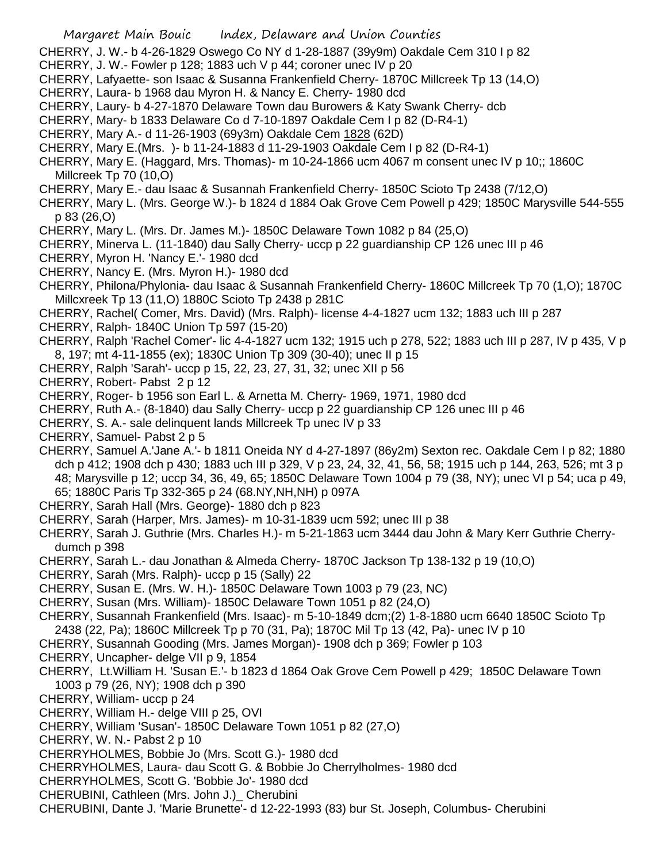- Margaret Main Bouic Index, Delaware and Union Counties
- CHERRY, J. W.- b 4-26-1829 Oswego Co NY d 1-28-1887 (39y9m) Oakdale Cem 310 I p 82
- CHERRY, J. W.- Fowler p 128; 1883 uch V p 44; coroner unec IV p 20
- CHERRY, Lafyaette- son Isaac & Susanna Frankenfield Cherry- 1870C Millcreek Tp 13 (14,O)
- CHERRY, Laura- b 1968 dau Myron H. & Nancy E. Cherry- 1980 dcd
- CHERRY, Laury- b 4-27-1870 Delaware Town dau Burowers & Katy Swank Cherry- dcb
- CHERRY, Mary- b 1833 Delaware Co d 7-10-1897 Oakdale Cem I p 82 (D-R4-1)
- CHERRY, Mary A.- d 11-26-1903 (69y3m) Oakdale Cem 1828 (62D)
- CHERRY, Mary E.(Mrs. )- b 11-24-1883 d 11-29-1903 Oakdale Cem I p 82 (D-R4-1)
- CHERRY, Mary E. (Haggard, Mrs. Thomas)- m 10-24-1866 ucm 4067 m consent unec IV p 10;; 1860C Millcreek Tp 70 (10,O)
- CHERRY, Mary E.- dau Isaac & Susannah Frankenfield Cherry- 1850C Scioto Tp 2438 (7/12,O)
- CHERRY, Mary L. (Mrs. George W.)- b 1824 d 1884 Oak Grove Cem Powell p 429; 1850C Marysville 544-555 p 83 (26,O)
- CHERRY, Mary L. (Mrs. Dr. James M.)- 1850C Delaware Town 1082 p 84 (25,O)
- CHERRY, Minerva L. (11-1840) dau Sally Cherry- uccp p 22 guardianship CP 126 unec III p 46
- CHERRY, Myron H. 'Nancy E.'- 1980 dcd
- CHERRY, Nancy E. (Mrs. Myron H.)- 1980 dcd
- CHERRY, Philona/Phylonia- dau Isaac & Susannah Frankenfield Cherry- 1860C Millcreek Tp 70 (1,O); 1870C Millcxreek Tp 13 (11,O) 1880C Scioto Tp 2438 p 281C
- CHERRY, Rachel( Comer, Mrs. David) (Mrs. Ralph)- license 4-4-1827 ucm 132; 1883 uch III p 287
- CHERRY, Ralph- 1840C Union Tp 597 (15-20)
- CHERRY, Ralph 'Rachel Comer'- lic 4-4-1827 ucm 132; 1915 uch p 278, 522; 1883 uch III p 287, IV p 435, V p 8, 197; mt 4-11-1855 (ex); 1830C Union Tp 309 (30-40); unec II p 15
- CHERRY, Ralph 'Sarah'- uccp p 15, 22, 23, 27, 31, 32; unec XII p 56
- CHERRY, Robert- Pabst 2 p 12
- CHERRY, Roger- b 1956 son Earl L. & Arnetta M. Cherry- 1969, 1971, 1980 dcd
- CHERRY, Ruth A.- (8-1840) dau Sally Cherry- uccp p 22 guardianship CP 126 unec III p 46
- CHERRY, S. A.- sale delinquent lands Millcreek Tp unec IV p 33
- CHERRY, Samuel- Pabst 2 p 5
- CHERRY, Samuel A.'Jane A.'- b 1811 Oneida NY d 4-27-1897 (86y2m) Sexton rec. Oakdale Cem I p 82; 1880 dch p 412; 1908 dch p 430; 1883 uch III p 329, V p 23, 24, 32, 41, 56, 58; 1915 uch p 144, 263, 526; mt 3 p 48; Marysville p 12; uccp 34, 36, 49, 65; 1850C Delaware Town 1004 p 79 (38, NY); unec VI p 54; uca p 49, 65; 1880C Paris Tp 332-365 p 24 (68.NY,NH,NH) p 097A
- CHERRY, Sarah Hall (Mrs. George)- 1880 dch p 823
- CHERRY, Sarah (Harper, Mrs. James)- m 10-31-1839 ucm 592; unec III p 38
- CHERRY, Sarah J. Guthrie (Mrs. Charles H.)- m 5-21-1863 ucm 3444 dau John & Mary Kerr Guthrie Cherrydumch p 398
- CHERRY, Sarah L.- dau Jonathan & Almeda Cherry- 1870C Jackson Tp 138-132 p 19 (10,O)
- CHERRY, Sarah (Mrs. Ralph)- uccp p 15 (Sally) 22
- CHERRY, Susan E. (Mrs. W. H.)- 1850C Delaware Town 1003 p 79 (23, NC)
- CHERRY, Susan (Mrs. William)- 1850C Delaware Town 1051 p 82 (24,O)
- CHERRY, Susannah Frankenfield (Mrs. Isaac)- m 5-10-1849 dcm;(2) 1-8-1880 ucm 6640 1850C Scioto Tp 2438 (22, Pa); 1860C Millcreek Tp p 70 (31, Pa); 1870C Mil Tp 13 (42, Pa)- unec IV p 10
- CHERRY, Susannah Gooding (Mrs. James Morgan)- 1908 dch p 369; Fowler p 103
- CHERRY, Uncapher- delge VII p 9, 1854
- CHERRY, Lt.William H. 'Susan E.'- b 1823 d 1864 Oak Grove Cem Powell p 429; 1850C Delaware Town 1003 p 79 (26, NY); 1908 dch p 390
- CHERRY, William- uccp p 24
- CHERRY, William H.- delge VIII p 25, OVI
- CHERRY, William 'Susan'- 1850C Delaware Town 1051 p 82 (27,O)
- CHERRY, W. N.- Pabst 2 p 10
- CHERRYHOLMES, Bobbie Jo (Mrs. Scott G.)- 1980 dcd
- CHERRYHOLMES, Laura- dau Scott G. & Bobbie Jo Cherrylholmes- 1980 dcd
- CHERRYHOLMES, Scott G. 'Bobbie Jo'- 1980 dcd
- CHERUBINI, Cathleen (Mrs. John J.)\_ Cherubini
- CHERUBINI, Dante J. 'Marie Brunette'- d 12-22-1993 (83) bur St. Joseph, Columbus- Cherubini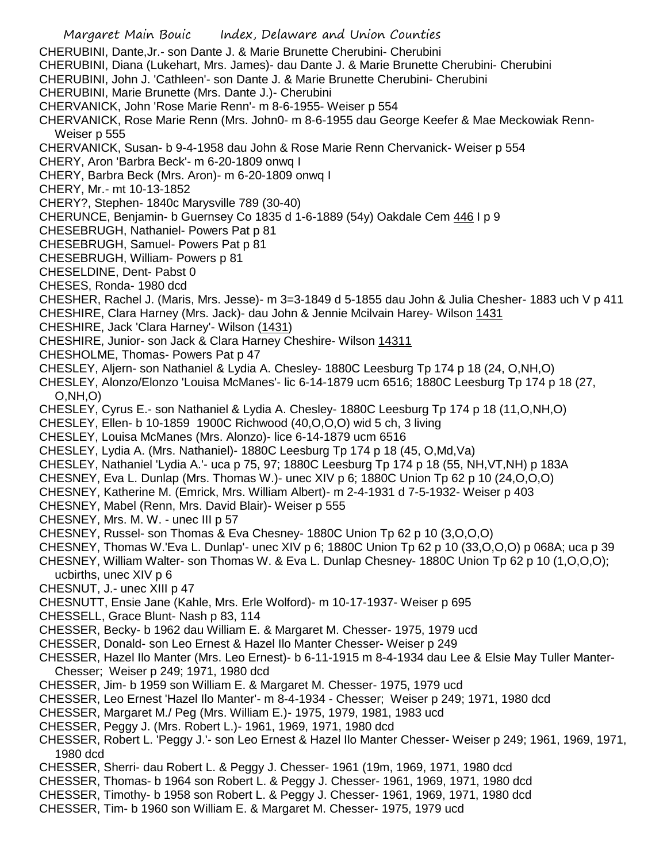- Margaret Main Bouic Index, Delaware and Union Counties CHERUBINI, Dante,Jr.- son Dante J. & Marie Brunette Cherubini- Cherubini CHERUBINI, Diana (Lukehart, Mrs. James)- dau Dante J. & Marie Brunette Cherubini- Cherubini CHERUBINI, John J. 'Cathleen'- son Dante J. & Marie Brunette Cherubini- Cherubini CHERUBINI, Marie Brunette (Mrs. Dante J.)- Cherubini CHERVANICK, John 'Rose Marie Renn'- m 8-6-1955- Weiser p 554 CHERVANICK, Rose Marie Renn (Mrs. John0- m 8-6-1955 dau George Keefer & Mae Meckowiak Renn-Weiser p 555 CHERVANICK, Susan- b 9-4-1958 dau John & Rose Marie Renn Chervanick- Weiser p 554 CHERY, Aron 'Barbra Beck'- m 6-20-1809 onwq I CHERY, Barbra Beck (Mrs. Aron)- m 6-20-1809 onwq I CHERY, Mr.- mt 10-13-1852 CHERY?, Stephen- 1840c Marysville 789 (30-40) CHERUNCE, Benjamin- b Guernsey Co 1835 d 1-6-1889 (54y) Oakdale Cem 446 I p 9 CHESEBRUGH, Nathaniel- Powers Pat p 81 CHESEBRUGH, Samuel- Powers Pat p 81 CHESEBRUGH, William- Powers p 81 CHESELDINE, Dent- Pabst 0 CHESES, Ronda- 1980 dcd CHESHER, Rachel J. (Maris, Mrs. Jesse)- m 3=3-1849 d 5-1855 dau John & Julia Chesher- 1883 uch V p 411 CHESHIRE, Clara Harney (Mrs. Jack)- dau John & Jennie Mcilvain Harey- Wilson 1431 CHESHIRE, Jack 'Clara Harney'- Wilson (1431) CHESHIRE, Junior- son Jack & Clara Harney Cheshire- Wilson 14311 CHESHOLME, Thomas- Powers Pat p 47 CHESLEY, Aljern- son Nathaniel & Lydia A. Chesley- 1880C Leesburg Tp 174 p 18 (24, O,NH,O) CHESLEY, Alonzo/Elonzo 'Louisa McManes'- lic 6-14-1879 ucm 6516; 1880C Leesburg Tp 174 p 18 (27, O,NH,O) CHESLEY, Cyrus E.- son Nathaniel & Lydia A. Chesley- 1880C Leesburg Tp 174 p 18 (11,O,NH,O) CHESLEY, Ellen- b 10-1859 1900C Richwood (40,O,O,O) wid 5 ch, 3 living CHESLEY, Louisa McManes (Mrs. Alonzo)- lice 6-14-1879 ucm 6516 CHESLEY, Lydia A. (Mrs. Nathaniel)- 1880C Leesburg Tp 174 p 18 (45, O,Md,Va) CHESLEY, Nathaniel 'Lydia A.'- uca p 75, 97; 1880C Leesburg Tp 174 p 18 (55, NH,VT,NH) p 183A CHESNEY, Eva L. Dunlap (Mrs. Thomas W.)- unec XIV p 6; 1880C Union Tp 62 p 10 (24,O,O,O) CHESNEY, Katherine M. (Emrick, Mrs. William Albert)- m 2-4-1931 d 7-5-1932- Weiser p 403 CHESNEY, Mabel (Renn, Mrs. David Blair)- Weiser p 555 CHESNEY, Mrs. M. W. - unec III p 57 CHESNEY, Russel- son Thomas & Eva Chesney- 1880C Union Tp 62 p 10 (3,O,O,O) CHESNEY, Thomas W.'Eva L. Dunlap'- unec XIV p 6; 1880C Union Tp 62 p 10 (33,O,O,O) p 068A; uca p 39 CHESNEY, William Walter- son Thomas W. & Eva L. Dunlap Chesney- 1880C Union Tp 62 p 10 (1,O,O,O); ucbirths, unec XIV p 6 CHESNUT, J.- unec XIII p 47 CHESNUTT, Ensie Jane (Kahle, Mrs. Erle Wolford)- m 10-17-1937- Weiser p 695 CHESSELL, Grace Blunt- Nash p 83, 114 CHESSER, Becky- b 1962 dau William E. & Margaret M. Chesser- 1975, 1979 ucd CHESSER, Donald- son Leo Ernest & Hazel Ilo Manter Chesser- Weiser p 249 CHESSER, Hazel Ilo Manter (Mrs. Leo Ernest)- b 6-11-1915 m 8-4-1934 dau Lee & Elsie May Tuller Manter-Chesser; Weiser p 249; 1971, 1980 dcd CHESSER, Jim- b 1959 son William E. & Margaret M. Chesser- 1975, 1979 ucd CHESSER, Leo Ernest 'Hazel Ilo Manter'- m 8-4-1934 - Chesser; Weiser p 249; 1971, 1980 dcd CHESSER, Margaret M./ Peg (Mrs. William E.)- 1975, 1979, 1981, 1983 ucd CHESSER, Peggy J. (Mrs. Robert L.)- 1961, 1969, 1971, 1980 dcd CHESSER, Robert L. 'Peggy J.'- son Leo Ernest & Hazel Ilo Manter Chesser- Weiser p 249; 1961, 1969, 1971, 1980 dcd CHESSER, Sherri- dau Robert L. & Peggy J. Chesser- 1961 (19m, 1969, 1971, 1980 dcd CHESSER, Thomas- b 1964 son Robert L. & Peggy J. Chesser- 1961, 1969, 1971, 1980 dcd
- CHESSER, Timothy- b 1958 son Robert L. & Peggy J. Chesser- 1961, 1969, 1971, 1980 dcd
- CHESSER, Tim- b 1960 son William E. & Margaret M. Chesser- 1975, 1979 ucd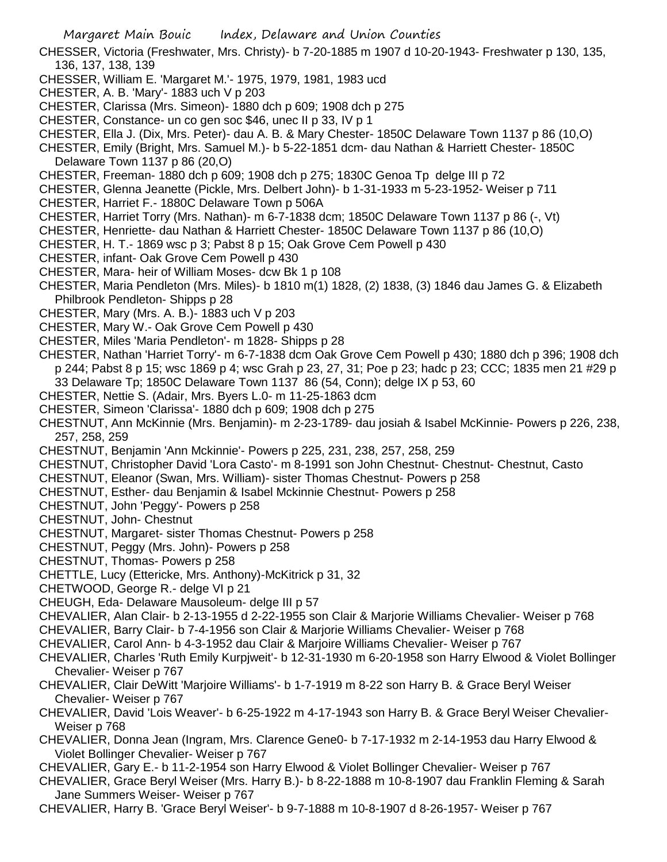- CHESSER, Victoria (Freshwater, Mrs. Christy)- b 7-20-1885 m 1907 d 10-20-1943- Freshwater p 130, 135, 136, 137, 138, 139
- CHESSER, William E. 'Margaret M.'- 1975, 1979, 1981, 1983 ucd
- CHESTER, A. B. 'Mary'- 1883 uch V p 203
- CHESTER, Clarissa (Mrs. Simeon)- 1880 dch p 609; 1908 dch p 275
- CHESTER, Constance- un co gen soc \$46, unec II p 33, IV p 1
- CHESTER, Ella J. (Dix, Mrs. Peter)- dau A. B. & Mary Chester- 1850C Delaware Town 1137 p 86 (10,O)
- CHESTER, Emily (Bright, Mrs. Samuel M.)- b 5-22-1851 dcm- dau Nathan & Harriett Chester- 1850C Delaware Town 1137 p 86 (20,O)
- CHESTER, Freeman- 1880 dch p 609; 1908 dch p 275; 1830C Genoa Tp delge III p 72
- CHESTER, Glenna Jeanette (Pickle, Mrs. Delbert John)- b 1-31-1933 m 5-23-1952- Weiser p 711
- CHESTER, Harriet F.- 1880C Delaware Town p 506A
- CHESTER, Harriet Torry (Mrs. Nathan)- m 6-7-1838 dcm; 1850C Delaware Town 1137 p 86 (-, Vt)
- CHESTER, Henriette- dau Nathan & Harriett Chester- 1850C Delaware Town 1137 p 86 (10,O)
- CHESTER, H. T.- 1869 wsc p 3; Pabst 8 p 15; Oak Grove Cem Powell p 430
- CHESTER, infant- Oak Grove Cem Powell p 430
- CHESTER, Mara- heir of William Moses- dcw Bk 1 p 108
- CHESTER, Maria Pendleton (Mrs. Miles)- b 1810 m(1) 1828, (2) 1838, (3) 1846 dau James G. & Elizabeth Philbrook Pendleton- Shipps p 28
- CHESTER, Mary (Mrs. A. B.)- 1883 uch V p 203
- CHESTER, Mary W.- Oak Grove Cem Powell p 430
- CHESTER, Miles 'Maria Pendleton'- m 1828- Shipps p 28
- CHESTER, Nathan 'Harriet Torry'- m 6-7-1838 dcm Oak Grove Cem Powell p 430; 1880 dch p 396; 1908 dch p 244; Pabst 8 p 15; wsc 1869 p 4; wsc Grah p 23, 27, 31; Poe p 23; hadc p 23; CCC; 1835 men 21 #29 p 33 Delaware Tp; 1850C Delaware Town 1137 86 (54, Conn); delge IX p 53, 60
- CHESTER, Nettie S. (Adair, Mrs. Byers L.0- m 11-25-1863 dcm
- CHESTER, Simeon 'Clarissa'- 1880 dch p 609; 1908 dch p 275
- CHESTNUT, Ann McKinnie (Mrs. Benjamin)- m 2-23-1789- dau josiah & Isabel McKinnie- Powers p 226, 238, 257, 258, 259
- CHESTNUT, Benjamin 'Ann Mckinnie'- Powers p 225, 231, 238, 257, 258, 259
- CHESTNUT, Christopher David 'Lora Casto'- m 8-1991 son John Chestnut- Chestnut- Chestnut, Casto
- CHESTNUT, Eleanor (Swan, Mrs. William)- sister Thomas Chestnut- Powers p 258
- CHESTNUT, Esther- dau Benjamin & Isabel Mckinnie Chestnut- Powers p 258
- CHESTNUT, John 'Peggy'- Powers p 258
- CHESTNUT, John- Chestnut
- CHESTNUT, Margaret- sister Thomas Chestnut- Powers p 258
- CHESTNUT, Peggy (Mrs. John)- Powers p 258
- CHESTNUT, Thomas- Powers p 258
- CHETTLE, Lucy (Ettericke, Mrs. Anthony)-McKitrick p 31, 32
- CHETWOOD, George R.- delge VI p 21
- CHEUGH, Eda- Delaware Mausoleum- delge III p 57
- CHEVALIER, Alan Clair- b 2-13-1955 d 2-22-1955 son Clair & Marjorie Williams Chevalier- Weiser p 768
- CHEVALIER, Barry Clair- b 7-4-1956 son Clair & Marjorie Williams Chevalier- Weiser p 768
- CHEVALIER, Carol Ann- b 4-3-1952 dau Clair & Marjoire Williams Chevalier- Weiser p 767
- CHEVALIER, Charles 'Ruth Emily Kurpjweit'- b 12-31-1930 m 6-20-1958 son Harry Elwood & Violet Bollinger Chevalier- Weiser p 767
- CHEVALIER, Clair DeWitt 'Marjoire Williams'- b 1-7-1919 m 8-22 son Harry B. & Grace Beryl Weiser Chevalier- Weiser p 767
- CHEVALIER, David 'Lois Weaver'- b 6-25-1922 m 4-17-1943 son Harry B. & Grace Beryl Weiser Chevalier-Weiser p 768
- CHEVALIER, Donna Jean (Ingram, Mrs. Clarence Gene0- b 7-17-1932 m 2-14-1953 dau Harry Elwood & Violet Bollinger Chevalier- Weiser p 767
- CHEVALIER, Gary E.- b 11-2-1954 son Harry Elwood & Violet Bollinger Chevalier- Weiser p 767
- CHEVALIER, Grace Beryl Weiser (Mrs. Harry B.)- b 8-22-1888 m 10-8-1907 dau Franklin Fleming & Sarah Jane Summers Weiser- Weiser p 767
- CHEVALIER, Harry B. 'Grace Beryl Weiser'- b 9-7-1888 m 10-8-1907 d 8-26-1957- Weiser p 767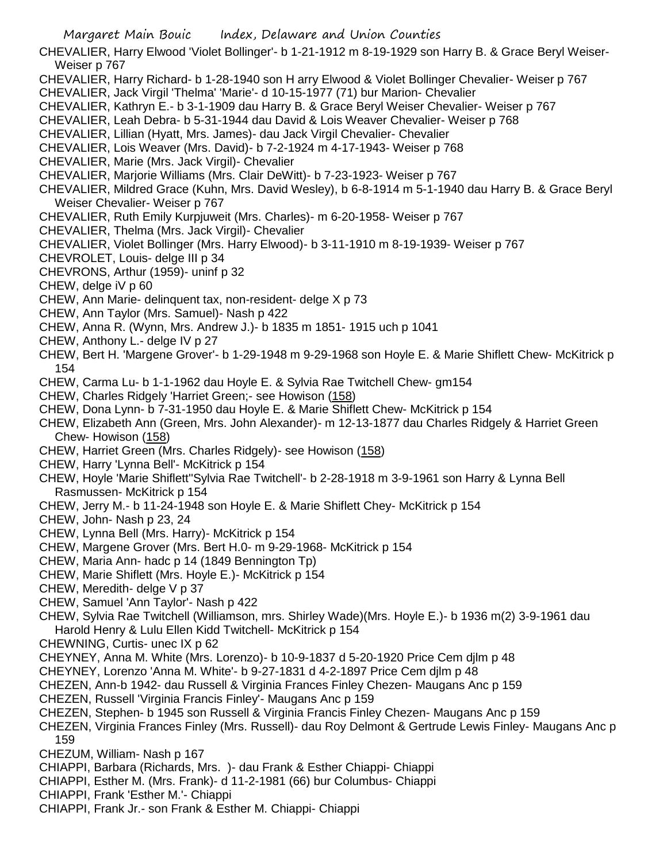CHEVALIER, Harry Elwood 'Violet Bollinger'- b 1-21-1912 m 8-19-1929 son Harry B. & Grace Beryl Weiser-Weiser p 767

- CHEVALIER, Harry Richard- b 1-28-1940 son H arry Elwood & Violet Bollinger Chevalier- Weiser p 767
- CHEVALIER, Jack Virgil 'Thelma' 'Marie'- d 10-15-1977 (71) bur Marion- Chevalier
- CHEVALIER, Kathryn E.- b 3-1-1909 dau Harry B. & Grace Beryl Weiser Chevalier- Weiser p 767
- CHEVALIER, Leah Debra- b 5-31-1944 dau David & Lois Weaver Chevalier- Weiser p 768
- CHEVALIER, Lillian (Hyatt, Mrs. James)- dau Jack Virgil Chevalier- Chevalier
- CHEVALIER, Lois Weaver (Mrs. David)- b 7-2-1924 m 4-17-1943- Weiser p 768
- CHEVALIER, Marie (Mrs. Jack Virgil)- Chevalier
- CHEVALIER, Marjorie Williams (Mrs. Clair DeWitt)- b 7-23-1923- Weiser p 767
- CHEVALIER, Mildred Grace (Kuhn, Mrs. David Wesley), b 6-8-1914 m 5-1-1940 dau Harry B. & Grace Beryl Weiser Chevalier- Weiser p 767
- CHEVALIER, Ruth Emily Kurpjuweit (Mrs. Charles)- m 6-20-1958- Weiser p 767
- CHEVALIER, Thelma (Mrs. Jack Virgil)- Chevalier
- CHEVALIER, Violet Bollinger (Mrs. Harry Elwood)- b 3-11-1910 m 8-19-1939- Weiser p 767
- CHEVROLET, Louis- delge III p 34
- CHEVRONS, Arthur (1959)- uninf p 32
- CHEW, delge iV p 60
- CHEW, Ann Marie- delinquent tax, non-resident- delge X p 73
- CHEW, Ann Taylor (Mrs. Samuel)- Nash p 422
- CHEW, Anna R. (Wynn, Mrs. Andrew J.)- b 1835 m 1851- 1915 uch p 1041
- CHEW, Anthony L.- delge IV p 27
- CHEW, Bert H. 'Margene Grover'- b 1-29-1948 m 9-29-1968 son Hoyle E. & Marie Shiflett Chew- McKitrick p 154
- CHEW, Carma Lu- b 1-1-1962 dau Hoyle E. & Sylvia Rae Twitchell Chew- gm154
- CHEW, Charles Ridgely 'Harriet Green;- see Howison (158)
- CHEW, Dona Lynn- b 7-31-1950 dau Hoyle E. & Marie Shiflett Chew- McKitrick p 154
- CHEW, Elizabeth Ann (Green, Mrs. John Alexander)- m 12-13-1877 dau Charles Ridgely & Harriet Green Chew- Howison (158)
- CHEW, Harriet Green (Mrs. Charles Ridgely)- see Howison (158)
- CHEW, Harry 'Lynna Bell'- McKitrick p 154
- CHEW, Hoyle 'Marie Shiflett''Sylvia Rae Twitchell'- b 2-28-1918 m 3-9-1961 son Harry & Lynna Bell Rasmussen- McKitrick p 154
- CHEW, Jerry M.- b 11-24-1948 son Hoyle E. & Marie Shiflett Chey- McKitrick p 154
- CHEW, John- Nash p 23, 24
- CHEW, Lynna Bell (Mrs. Harry)- McKitrick p 154
- CHEW, Margene Grover (Mrs. Bert H.0- m 9-29-1968- McKitrick p 154
- CHEW, Maria Ann- hadc p 14 (1849 Bennington Tp)
- CHEW, Marie Shiflett (Mrs. Hoyle E.)- McKitrick p 154
- CHEW, Meredith- delge V p 37
- CHEW, Samuel 'Ann Taylor'- Nash p 422
- CHEW, Sylvia Rae Twitchell (Williamson, mrs. Shirley Wade)(Mrs. Hoyle E.)- b 1936 m(2) 3-9-1961 dau Harold Henry & Lulu Ellen Kidd Twitchell- McKitrick p 154
- CHEWNING, Curtis- unec IX p 62
- CHEYNEY, Anna M. White (Mrs. Lorenzo)- b 10-9-1837 d 5-20-1920 Price Cem djlm p 48
- CHEYNEY, Lorenzo 'Anna M. White'- b 9-27-1831 d 4-2-1897 Price Cem djlm p 48
- CHEZEN, Ann-b 1942- dau Russell & Virginia Frances Finley Chezen- Maugans Anc p 159
- CHEZEN, Russell 'Virginia Francis Finley'- Maugans Anc p 159
- CHEZEN, Stephen- b 1945 son Russell & Virginia Francis Finley Chezen- Maugans Anc p 159
- CHEZEN, Virginia Frances Finley (Mrs. Russell)- dau Roy Delmont & Gertrude Lewis Finley- Maugans Anc p 159
- CHEZUM, William- Nash p 167
- CHIAPPI, Barbara (Richards, Mrs. )- dau Frank & Esther Chiappi- Chiappi
- CHIAPPI, Esther M. (Mrs. Frank)- d 11-2-1981 (66) bur Columbus- Chiappi
- CHIAPPI, Frank 'Esther M.'- Chiappi
- CHIAPPI, Frank Jr.- son Frank & Esther M. Chiappi- Chiappi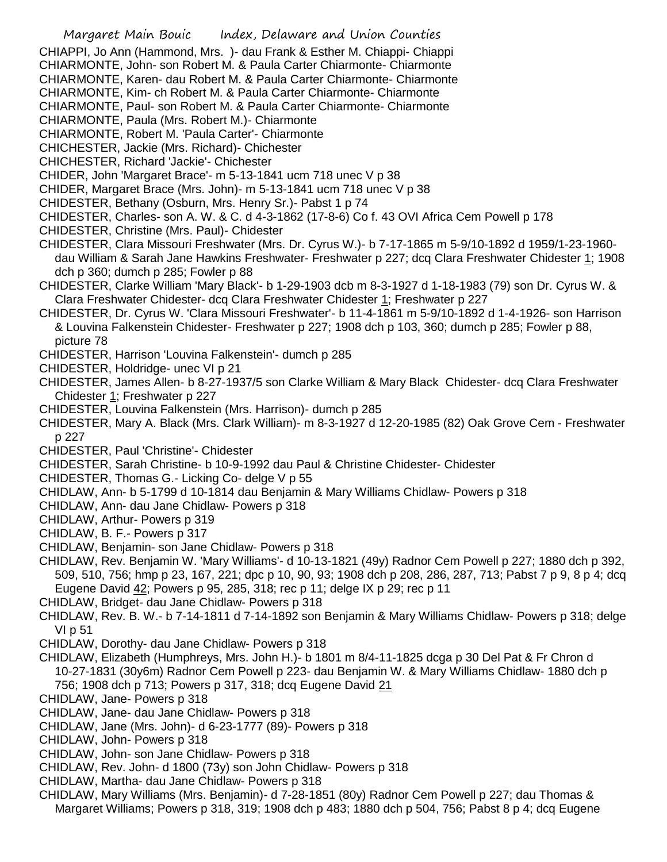CHIAPPI, Jo Ann (Hammond, Mrs. )- dau Frank & Esther M. Chiappi- Chiappi

CHIARMONTE, John- son Robert M. & Paula Carter Chiarmonte- Chiarmonte

CHIARMONTE, Karen- dau Robert M. & Paula Carter Chiarmonte- Chiarmonte

CHIARMONTE, Kim- ch Robert M. & Paula Carter Chiarmonte- Chiarmonte

CHIARMONTE, Paul- son Robert M. & Paula Carter Chiarmonte- Chiarmonte

CHIARMONTE, Paula (Mrs. Robert M.)- Chiarmonte

CHIARMONTE, Robert M. 'Paula Carter'- Chiarmonte

CHICHESTER, Jackie (Mrs. Richard)- Chichester

CHICHESTER, Richard 'Jackie'- Chichester

CHIDER, John 'Margaret Brace'- m 5-13-1841 ucm 718 unec V p 38

- CHIDER, Margaret Brace (Mrs. John)- m 5-13-1841 ucm 718 unec V p 38
- CHIDESTER, Bethany (Osburn, Mrs. Henry Sr.)- Pabst 1 p 74
- CHIDESTER, Charles- son A. W. & C. d 4-3-1862 (17-8-6) Co f. 43 OVI Africa Cem Powell p 178
- CHIDESTER, Christine (Mrs. Paul)- Chidester
- CHIDESTER, Clara Missouri Freshwater (Mrs. Dr. Cyrus W.)- b 7-17-1865 m 5-9/10-1892 d 1959/1-23-1960 dau William & Sarah Jane Hawkins Freshwater- Freshwater p 227; dcq Clara Freshwater Chidester 1; 1908 dch p 360; dumch p 285; Fowler p 88
- CHIDESTER, Clarke William 'Mary Black'- b 1-29-1903 dcb m 8-3-1927 d 1-18-1983 (79) son Dr. Cyrus W. & Clara Freshwater Chidester- dcq Clara Freshwater Chidester 1; Freshwater p 227
- CHIDESTER, Dr. Cyrus W. 'Clara Missouri Freshwater'- b 11-4-1861 m 5-9/10-1892 d 1-4-1926- son Harrison & Louvina Falkenstein Chidester- Freshwater p 227; 1908 dch p 103, 360; dumch p 285; Fowler p 88, picture 78
- CHIDESTER, Harrison 'Louvina Falkenstein'- dumch p 285
- CHIDESTER, Holdridge- unec VI p 21

CHIDESTER, James Allen- b 8-27-1937/5 son Clarke William & Mary Black Chidester- dcq Clara Freshwater Chidester 1; Freshwater p 227

CHIDESTER, Louvina Falkenstein (Mrs. Harrison)- dumch p 285

CHIDESTER, Mary A. Black (Mrs. Clark William)- m 8-3-1927 d 12-20-1985 (82) Oak Grove Cem - Freshwater p 227

CHIDESTER, Paul 'Christine'- Chidester

CHIDESTER, Sarah Christine- b 10-9-1992 dau Paul & Christine Chidester- Chidester

- CHIDESTER, Thomas G.- Licking Co- delge V p 55
- CHIDLAW, Ann- b 5-1799 d 10-1814 dau Benjamin & Mary Williams Chidlaw- Powers p 318
- CHIDLAW, Ann- dau Jane Chidlaw- Powers p 318
- CHIDLAW, Arthur- Powers p 319
- CHIDLAW, B. F.- Powers p 317
- CHIDLAW, Benjamin- son Jane Chidlaw- Powers p 318

CHIDLAW, Rev. Benjamin W. 'Mary Williams'- d 10-13-1821 (49y) Radnor Cem Powell p 227; 1880 dch p 392, 509, 510, 756; hmp p 23, 167, 221; dpc p 10, 90, 93; 1908 dch p 208, 286, 287, 713; Pabst 7 p 9, 8 p 4; dcq Eugene David 42; Powers p 95, 285, 318; rec p 11; delge IX p 29; rec p 11

- CHIDLAW, Bridget- dau Jane Chidlaw- Powers p 318
- CHIDLAW, Rev. B. W.- b 7-14-1811 d 7-14-1892 son Benjamin & Mary Williams Chidlaw- Powers p 318; delge VI p 51
- CHIDLAW, Dorothy- dau Jane Chidlaw- Powers p 318
- CHIDLAW, Elizabeth (Humphreys, Mrs. John H.)- b 1801 m 8/4-11-1825 dcga p 30 Del Pat & Fr Chron d 10-27-1831 (30y6m) Radnor Cem Powell p 223- dau Benjamin W. & Mary Williams Chidlaw- 1880 dch p 756; 1908 dch p 713; Powers p 317, 318; dcq Eugene David 21
- CHIDLAW, Jane- Powers p 318
- CHIDLAW, Jane- dau Jane Chidlaw- Powers p 318
- CHIDLAW, Jane (Mrs. John)- d 6-23-1777 (89)- Powers p 318
- CHIDLAW, John- Powers p 318
- CHIDLAW, John- son Jane Chidlaw- Powers p 318
- CHIDLAW, Rev. John- d 1800 (73y) son John Chidlaw- Powers p 318
- CHIDLAW, Martha- dau Jane Chidlaw- Powers p 318
- CHIDLAW, Mary Williams (Mrs. Benjamin)- d 7-28-1851 (80y) Radnor Cem Powell p 227; dau Thomas & Margaret Williams; Powers p 318, 319; 1908 dch p 483; 1880 dch p 504, 756; Pabst 8 p 4; dcq Eugene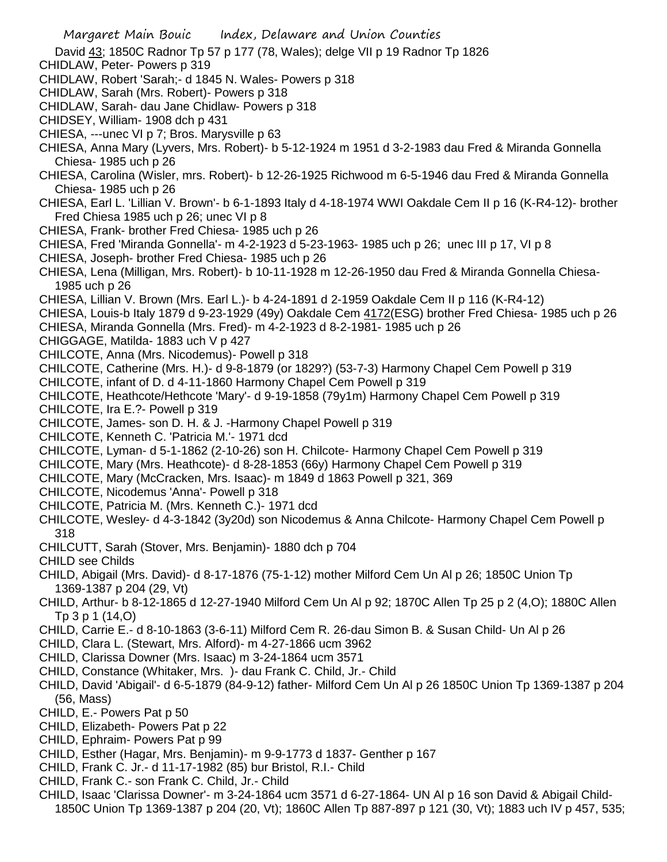- Margaret Main Bouic Index, Delaware and Union Counties
- David 43; 1850C Radnor Tp 57 p 177 (78, Wales); delge VII p 19 Radnor Tp 1826
- CHIDLAW, Peter- Powers p 319
- CHIDLAW, Robert 'Sarah;- d 1845 N. Wales- Powers p 318
- CHIDLAW, Sarah (Mrs. Robert)- Powers p 318
- CHIDLAW, Sarah- dau Jane Chidlaw- Powers p 318
- CHIDSEY, William- 1908 dch p 431
- CHIESA, ---unec VI p 7; Bros. Marysville p 63
- CHIESA, Anna Mary (Lyvers, Mrs. Robert)- b 5-12-1924 m 1951 d 3-2-1983 dau Fred & Miranda Gonnella Chiesa- 1985 uch p 26
- CHIESA, Carolina (Wisler, mrs. Robert)- b 12-26-1925 Richwood m 6-5-1946 dau Fred & Miranda Gonnella Chiesa- 1985 uch p 26
- CHIESA, Earl L. 'Lillian V. Brown'- b 6-1-1893 Italy d 4-18-1974 WWI Oakdale Cem II p 16 (K-R4-12)- brother Fred Chiesa 1985 uch p 26; unec VI p 8
- CHIESA, Frank- brother Fred Chiesa- 1985 uch p 26
- CHIESA, Fred 'Miranda Gonnella'- m 4-2-1923 d 5-23-1963- 1985 uch p 26; unec III p 17, VI p 8
- CHIESA, Joseph- brother Fred Chiesa- 1985 uch p 26
- CHIESA, Lena (Milligan, Mrs. Robert)- b 10-11-1928 m 12-26-1950 dau Fred & Miranda Gonnella Chiesa-1985 uch p 26
- CHIESA, Lillian V. Brown (Mrs. Earl L.)- b 4-24-1891 d 2-1959 Oakdale Cem II p 116 (K-R4-12)
- CHIESA, Louis-b Italy 1879 d 9-23-1929 (49y) Oakdale Cem 4172(ESG) brother Fred Chiesa- 1985 uch p 26 CHIESA, Miranda Gonnella (Mrs. Fred)- m 4-2-1923 d 8-2-1981- 1985 uch p 26
- CHIGGAGE, Matilda- 1883 uch V p 427
- CHILCOTE, Anna (Mrs. Nicodemus)- Powell p 318
- CHILCOTE, Catherine (Mrs. H.)- d 9-8-1879 (or 1829?) (53-7-3) Harmony Chapel Cem Powell p 319
- CHILCOTE, infant of D. d 4-11-1860 Harmony Chapel Cem Powell p 319
- CHILCOTE, Heathcote/Hethcote 'Mary'- d 9-19-1858 (79y1m) Harmony Chapel Cem Powell p 319
- CHILCOTE, Ira E.?- Powell p 319
- CHILCOTE, James- son D. H. & J. -Harmony Chapel Powell p 319
- CHILCOTE, Kenneth C. 'Patricia M.'- 1971 dcd
- CHILCOTE, Lyman- d 5-1-1862 (2-10-26) son H. Chilcote- Harmony Chapel Cem Powell p 319
- CHILCOTE, Mary (Mrs. Heathcote)- d 8-28-1853 (66y) Harmony Chapel Cem Powell p 319
- CHILCOTE, Mary (McCracken, Mrs. Isaac)- m 1849 d 1863 Powell p 321, 369
- CHILCOTE, Nicodemus 'Anna'- Powell p 318
- CHILCOTE, Patricia M. (Mrs. Kenneth C.)- 1971 dcd
- CHILCOTE, Wesley- d 4-3-1842 (3y20d) son Nicodemus & Anna Chilcote- Harmony Chapel Cem Powell p 318
- CHILCUTT, Sarah (Stover, Mrs. Benjamin)- 1880 dch p 704
- CHILD see Childs
- CHILD, Abigail (Mrs. David)- d 8-17-1876 (75-1-12) mother Milford Cem Un Al p 26; 1850C Union Tp 1369-1387 p 204 (29, Vt)
- CHILD, Arthur- b 8-12-1865 d 12-27-1940 Milford Cem Un Al p 92; 1870C Allen Tp 25 p 2 (4,O); 1880C Allen Tp 3 p 1 (14,O)
- CHILD, Carrie E.- d 8-10-1863 (3-6-11) Milford Cem R. 26-dau Simon B. & Susan Child- Un Al p 26
- CHILD, Clara L. (Stewart, Mrs. Alford)- m 4-27-1866 ucm 3962
- CHILD, Clarissa Downer (Mrs. Isaac) m 3-24-1864 ucm 3571
- CHILD, Constance (Whitaker, Mrs. )- dau Frank C. Child, Jr.- Child
- CHILD, David 'Abigail'- d 6-5-1879 (84-9-12) father- Milford Cem Un Al p 26 1850C Union Tp 1369-1387 p 204 (56, Mass)
- CHILD, E.- Powers Pat p 50
- CHILD, Elizabeth- Powers Pat p 22
- CHILD, Ephraim- Powers Pat p 99
- CHILD, Esther (Hagar, Mrs. Benjamin)- m 9-9-1773 d 1837- Genther p 167
- CHILD, Frank C. Jr.- d 11-17-1982 (85) bur Bristol, R.I.- Child
- CHILD, Frank C.- son Frank C. Child, Jr.- Child
- CHILD, Isaac 'Clarissa Downer'- m 3-24-1864 ucm 3571 d 6-27-1864- UN Al p 16 son David & Abigail Child-1850C Union Tp 1369-1387 p 204 (20, Vt); 1860C Allen Tp 887-897 p 121 (30, Vt); 1883 uch IV p 457, 535;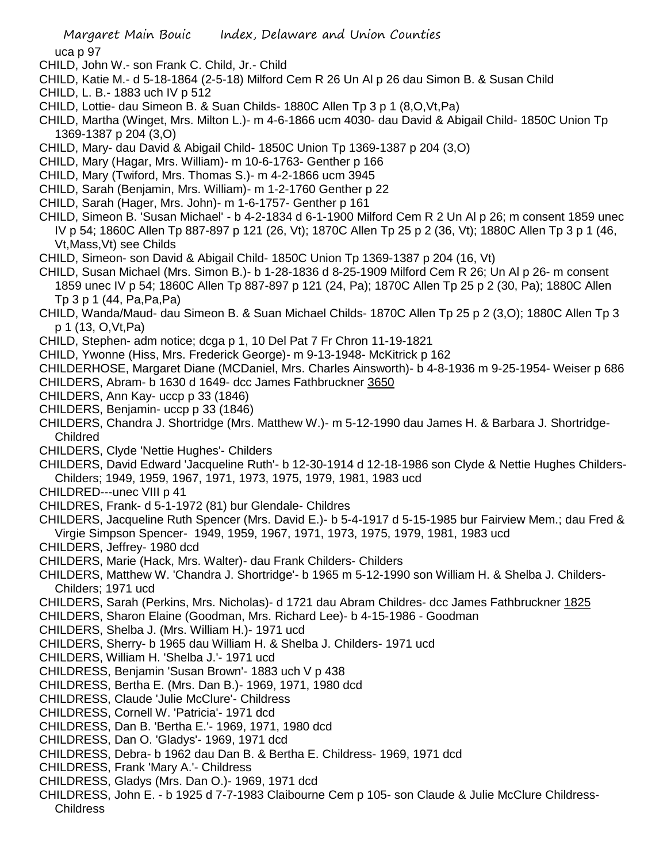uca p 97

- CHILD, John W.- son Frank C. Child, Jr.- Child
- CHILD, Katie M.- d 5-18-1864 (2-5-18) Milford Cem R 26 Un Al p 26 dau Simon B. & Susan Child
- CHILD, L. B.- 1883 uch IV p 512
- CHILD, Lottie- dau Simeon B. & Suan Childs- 1880C Allen Tp 3 p 1 (8,O,Vt,Pa)
- CHILD, Martha (Winget, Mrs. Milton L.)- m 4-6-1866 ucm 4030- dau David & Abigail Child- 1850C Union Tp 1369-1387 p 204 (3,O)
- CHILD, Mary- dau David & Abigail Child- 1850C Union Tp 1369-1387 p 204 (3,O)
- CHILD, Mary (Hagar, Mrs. William)- m 10-6-1763- Genther p 166
- CHILD, Mary (Twiford, Mrs. Thomas S.)- m 4-2-1866 ucm 3945
- CHILD, Sarah (Benjamin, Mrs. William)- m 1-2-1760 Genther p 22
- CHILD, Sarah (Hager, Mrs. John)- m 1-6-1757- Genther p 161
- CHILD, Simeon B. 'Susan Michael' b 4-2-1834 d 6-1-1900 Milford Cem R 2 Un Al p 26; m consent 1859 unec IV p 54; 1860C Allen Tp 887-897 p 121 (26, Vt); 1870C Allen Tp 25 p 2 (36, Vt); 1880C Allen Tp 3 p 1 (46, Vt,Mass,Vt) see Childs
- CHILD, Simeon- son David & Abigail Child- 1850C Union Tp 1369-1387 p 204 (16, Vt)
- CHILD, Susan Michael (Mrs. Simon B.)- b 1-28-1836 d 8-25-1909 Milford Cem R 26; Un Al p 26- m consent 1859 unec IV p 54; 1860C Allen Tp 887-897 p 121 (24, Pa); 1870C Allen Tp 25 p 2 (30, Pa); 1880C Allen Tp 3 p 1 (44, Pa,Pa,Pa)
- CHILD, Wanda/Maud- dau Simeon B. & Suan Michael Childs- 1870C Allen Tp 25 p 2 (3,O); 1880C Allen Tp 3 p 1 (13, O,Vt,Pa)
- CHILD, Stephen- adm notice; dcga p 1, 10 Del Pat 7 Fr Chron 11-19-1821
- CHILD, Ywonne (Hiss, Mrs. Frederick George)- m 9-13-1948- McKitrick p 162
- CHILDERHOSE, Margaret Diane (MCDaniel, Mrs. Charles Ainsworth)- b 4-8-1936 m 9-25-1954- Weiser p 686
- CHILDERS, Abram- b 1630 d 1649- dcc James Fathbruckner 3650
- CHILDERS, Ann Kay- uccp p 33 (1846)
- CHILDERS, Benjamin- uccp p 33 (1846)
- CHILDERS, Chandra J. Shortridge (Mrs. Matthew W.)- m 5-12-1990 dau James H. & Barbara J. Shortridge-Childred
- CHILDERS, Clyde 'Nettie Hughes'- Childers
- CHILDERS, David Edward 'Jacqueline Ruth'- b 12-30-1914 d 12-18-1986 son Clyde & Nettie Hughes Childers-Childers; 1949, 1959, 1967, 1971, 1973, 1975, 1979, 1981, 1983 ucd
- CHILDRED---unec VIII p 41
- CHILDRES, Frank- d 5-1-1972 (81) bur Glendale- Childres
- CHILDERS, Jacqueline Ruth Spencer (Mrs. David E.)- b 5-4-1917 d 5-15-1985 bur Fairview Mem.; dau Fred & Virgie Simpson Spencer- 1949, 1959, 1967, 1971, 1973, 1975, 1979, 1981, 1983 ucd
- CHILDERS, Jeffrey- 1980 dcd
- CHILDERS, Marie (Hack, Mrs. Walter)- dau Frank Childers- Childers
- CHILDERS, Matthew W. 'Chandra J. Shortridge'- b 1965 m 5-12-1990 son William H. & Shelba J. Childers-Childers; 1971 ucd
- CHILDERS, Sarah (Perkins, Mrs. Nicholas)- d 1721 dau Abram Childres- dcc James Fathbruckner 1825
- CHILDERS, Sharon Elaine (Goodman, Mrs. Richard Lee)- b 4-15-1986 Goodman
- CHILDERS, Shelba J. (Mrs. William H.)- 1971 ucd
- CHILDERS, Sherry- b 1965 dau William H. & Shelba J. Childers- 1971 ucd
- CHILDERS, William H. 'Shelba J.'- 1971 ucd
- CHILDRESS, Benjamin 'Susan Brown'- 1883 uch V p 438
- CHILDRESS, Bertha E. (Mrs. Dan B.)- 1969, 1971, 1980 dcd
- CHILDRESS, Claude 'Julie McClure'- Childress
- CHILDRESS, Cornell W. 'Patricia'- 1971 dcd
- CHILDRESS, Dan B. 'Bertha E.'- 1969, 1971, 1980 dcd
- CHILDRESS, Dan O. 'Gladys'- 1969, 1971 dcd
- CHILDRESS, Debra- b 1962 dau Dan B. & Bertha E. Childress- 1969, 1971 dcd
- CHILDRESS, Frank 'Mary A.'- Childress
- CHILDRESS, Gladys (Mrs. Dan O.)- 1969, 1971 dcd
- CHILDRESS, John E. b 1925 d 7-7-1983 Claibourne Cem p 105- son Claude & Julie McClure Childress-**Childress**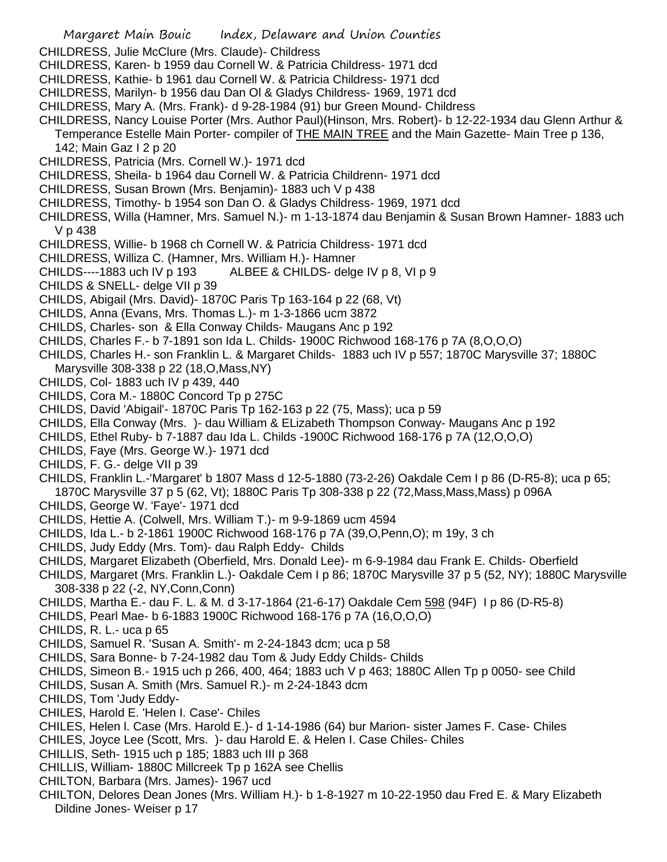- Margaret Main Bouic Index, Delaware and Union Counties
- CHILDRESS, Julie McClure (Mrs. Claude)- Childress
- CHILDRESS, Karen- b 1959 dau Cornell W. & Patricia Childress- 1971 dcd
- CHILDRESS, Kathie- b 1961 dau Cornell W. & Patricia Childress- 1971 dcd
- CHILDRESS, Marilyn- b 1956 dau Dan Ol & Gladys Childress- 1969, 1971 dcd
- CHILDRESS, Mary A. (Mrs. Frank)- d 9-28-1984 (91) bur Green Mound- Childress
- CHILDRESS, Nancy Louise Porter (Mrs. Author Paul)(Hinson, Mrs. Robert)- b 12-22-1934 dau Glenn Arthur & Temperance Estelle Main Porter- compiler of THE MAIN TREE and the Main Gazette- Main Tree p 136, 142; Main Gaz I 2 p 20
- CHILDRESS, Patricia (Mrs. Cornell W.)- 1971 dcd
- CHILDRESS, Sheila- b 1964 dau Cornell W. & Patricia Childrenn- 1971 dcd
- CHILDRESS, Susan Brown (Mrs. Benjamin)- 1883 uch V p 438
- CHILDRESS, Timothy- b 1954 son Dan O. & Gladys Childress- 1969, 1971 dcd
- CHILDRESS, Willa (Hamner, Mrs. Samuel N.)- m 1-13-1874 dau Benjamin & Susan Brown Hamner- 1883 uch V p 438
- CHILDRESS, Willie- b 1968 ch Cornell W. & Patricia Childress- 1971 dcd
- CHILDRESS, Williza C. (Hamner, Mrs. William H.)- Hamner
- CHILDS----1883 uch IV p 193 ALBEE & CHILDS- delge IV p 8, VI p 9
- CHILDS & SNELL- delge VII p 39
- CHILDS, Abigail (Mrs. David)- 1870C Paris Tp 163-164 p 22 (68, Vt)
- CHILDS, Anna (Evans, Mrs. Thomas L.)- m 1-3-1866 ucm 3872
- CHILDS, Charles- son & Ella Conway Childs- Maugans Anc p 192
- CHILDS, Charles F.- b 7-1891 son Ida L. Childs- 1900C Richwood 168-176 p 7A (8,O,O,O)
- CHILDS, Charles H.- son Franklin L. & Margaret Childs- 1883 uch IV p 557; 1870C Marysville 37; 1880C Marysville 308-338 p 22 (18,O,Mass,NY)
- CHILDS, Col- 1883 uch IV p 439, 440
- CHILDS, Cora M.- 1880C Concord Tp p 275C
- CHILDS, David 'Abigail'- 1870C Paris Tp 162-163 p 22 (75, Mass); uca p 59
- CHILDS, Ella Conway (Mrs. )- dau William & ELizabeth Thompson Conway- Maugans Anc p 192
- CHILDS, Ethel Ruby- b 7-1887 dau Ida L. Childs -1900C Richwood 168-176 p 7A (12,O,O,O)
- CHILDS, Faye (Mrs. George W.)- 1971 dcd
- CHILDS, F. G.- delge VII p 39
- CHILDS, Franklin L.-'Margaret' b 1807 Mass d 12-5-1880 (73-2-26) Oakdale Cem I p 86 (D-R5-8); uca p 65; 1870C Marysville 37 p 5 (62, Vt); 1880C Paris Tp 308-338 p 22 (72,Mass,Mass,Mass) p 096A
- CHILDS, George W. 'Faye'- 1971 dcd
- CHILDS, Hettie A. (Colwell, Mrs. William T.)- m 9-9-1869 ucm 4594
- CHILDS, Ida L.- b 2-1861 1900C Richwood 168-176 p 7A (39,O,Penn,O); m 19y, 3 ch
- CHILDS, Judy Eddy (Mrs. Tom)- dau Ralph Eddy- Childs
- CHILDS, Margaret Elizabeth (Oberfield, Mrs. Donald Lee)- m 6-9-1984 dau Frank E. Childs- Oberfield
- CHILDS, Margaret (Mrs. Franklin L.)- Oakdale Cem I p 86; 1870C Marysville 37 p 5 (52, NY); 1880C Marysville 308-338 p 22 (-2, NY,Conn,Conn)
- CHILDS, Martha E.- dau F. L. & M. d 3-17-1864 (21-6-17) Oakdale Cem 598 (94F) I p 86 (D-R5-8)
- CHILDS, Pearl Mae- b 6-1883 1900C Richwood 168-176 p 7A (16,O,O,O)
- CHILDS, R. L.- uca p 65
- CHILDS, Samuel R. 'Susan A. Smith'- m 2-24-1843 dcm; uca p 58
- CHILDS, Sara Bonne- b 7-24-1982 dau Tom & Judy Eddy Childs- Childs
- CHILDS, Simeon B.- 1915 uch p 266, 400, 464; 1883 uch V p 463; 1880C Allen Tp p 0050- see Child
- CHILDS, Susan A. Smith (Mrs. Samuel R.)- m 2-24-1843 dcm
- CHILDS, Tom 'Judy Eddy-
- CHILES, Harold E. 'Helen I. Case'- Chiles
- CHILES, Helen l. Case (Mrs. Harold E.)- d 1-14-1986 (64) bur Marion- sister James F. Case- Chiles
- CHILES, Joyce Lee (Scott, Mrs. )- dau Harold E. & Helen I. Case Chiles- Chiles
- CHILLIS, Seth- 1915 uch p 185; 1883 uch III p 368
- CHILLIS, William- 1880C Millcreek Tp p 162A see Chellis
- CHILTON, Barbara (Mrs. James)- 1967 ucd
- CHILTON, Delores Dean Jones (Mrs. William H.)- b 1-8-1927 m 10-22-1950 dau Fred E. & Mary Elizabeth Dildine Jones- Weiser p 17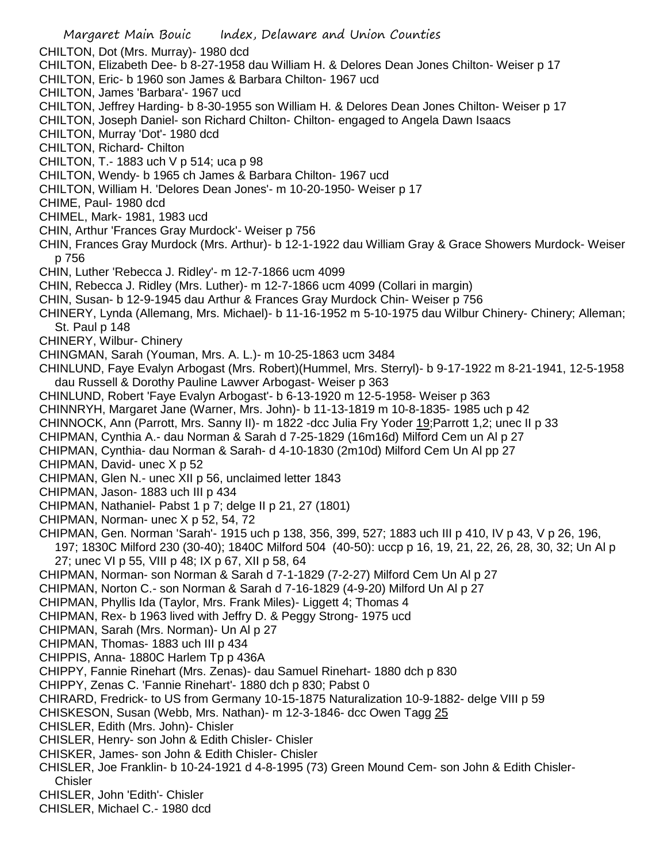Margaret Main Bouic Index, Delaware and Union Counties CHILTON, Dot (Mrs. Murray)- 1980 dcd CHILTON, Elizabeth Dee- b 8-27-1958 dau William H. & Delores Dean Jones Chilton- Weiser p 17 CHILTON, Eric- b 1960 son James & Barbara Chilton- 1967 ucd CHILTON, James 'Barbara'- 1967 ucd CHILTON, Jeffrey Harding- b 8-30-1955 son William H. & Delores Dean Jones Chilton- Weiser p 17 CHILTON, Joseph Daniel- son Richard Chilton- Chilton- engaged to Angela Dawn Isaacs CHILTON, Murray 'Dot'- 1980 dcd CHILTON, Richard- Chilton CHILTON, T.- 1883 uch V p 514; uca p 98 CHILTON, Wendy- b 1965 ch James & Barbara Chilton- 1967 ucd CHILTON, William H. 'Delores Dean Jones'- m 10-20-1950- Weiser p 17 CHIME, Paul- 1980 dcd CHIMEL, Mark- 1981, 1983 ucd CHIN, Arthur 'Frances Gray Murdock'- Weiser p 756 CHIN, Frances Gray Murdock (Mrs. Arthur)- b 12-1-1922 dau William Gray & Grace Showers Murdock- Weiser p 756 CHIN, Luther 'Rebecca J. Ridley'- m 12-7-1866 ucm 4099 CHIN, Rebecca J. Ridley (Mrs. Luther)- m 12-7-1866 ucm 4099 (Collari in margin) CHIN, Susan- b 12-9-1945 dau Arthur & Frances Gray Murdock Chin- Weiser p 756 CHINERY, Lynda (Allemang, Mrs. Michael)- b 11-16-1952 m 5-10-1975 dau Wilbur Chinery- Chinery; Alleman; St. Paul p 148 CHINERY, Wilbur- Chinery CHINGMAN, Sarah (Youman, Mrs. A. L.)- m 10-25-1863 ucm 3484 CHINLUND, Faye Evalyn Arbogast (Mrs. Robert)(Hummel, Mrs. Sterryl)- b 9-17-1922 m 8-21-1941, 12-5-1958 dau Russell & Dorothy Pauline Lawver Arbogast- Weiser p 363 CHINLUND, Robert 'Faye Evalyn Arbogast'- b 6-13-1920 m 12-5-1958- Weiser p 363 CHINNRYH, Margaret Jane (Warner, Mrs. John)- b 11-13-1819 m 10-8-1835- 1985 uch p 42 CHINNOCK, Ann (Parrott, Mrs. Sanny II)- m 1822 -dcc Julia Fry Yoder 19;Parrott 1,2; unec II p 33 CHIPMAN, Cynthia A.- dau Norman & Sarah d 7-25-1829 (16m16d) Milford Cem un Al p 27 CHIPMAN, Cynthia- dau Norman & Sarah- d 4-10-1830 (2m10d) Milford Cem Un Al pp 27 CHIPMAN, David- unec X p 52 CHIPMAN, Glen N.- unec XII p 56, unclaimed letter 1843 CHIPMAN, Jason- 1883 uch III p 434 CHIPMAN, Nathaniel- Pabst 1 p 7; delge II p 21, 27 (1801) CHIPMAN, Norman- unec X p 52, 54, 72 CHIPMAN, Gen. Norman 'Sarah'- 1915 uch p 138, 356, 399, 527; 1883 uch III p 410, IV p 43, V p 26, 196, 197; 1830C Milford 230 (30-40); 1840C Milford 504 (40-50): uccp p 16, 19, 21, 22, 26, 28, 30, 32; Un Al p 27; unec VI p 55, VIII p 48; IX p 67, XII p 58, 64 CHIPMAN, Norman- son Norman & Sarah d 7-1-1829 (7-2-27) Milford Cem Un Al p 27 CHIPMAN, Norton C.- son Norman & Sarah d 7-16-1829 (4-9-20) Milford Un Al p 27 CHIPMAN, Phyllis Ida (Taylor, Mrs. Frank Miles)- Liggett 4; Thomas 4 CHIPMAN, Rex- b 1963 lived with Jeffry D. & Peggy Strong- 1975 ucd CHIPMAN, Sarah (Mrs. Norman)- Un Al p 27 CHIPMAN, Thomas- 1883 uch III p 434 CHIPPIS, Anna- 1880C Harlem Tp p 436A CHIPPY, Fannie Rinehart (Mrs. Zenas)- dau Samuel Rinehart- 1880 dch p 830 CHIPPY, Zenas C. 'Fannie Rinehart'- 1880 dch p 830; Pabst 0 CHIRARD, Fredrick- to US from Germany 10-15-1875 Naturalization 10-9-1882- delge VIII p 59 CHISKESON, Susan (Webb, Mrs. Nathan)- m 12-3-1846- dcc Owen Tagg 25 CHISLER, Edith (Mrs. John)- Chisler CHISLER, Henry- son John & Edith Chisler- Chisler CHISKER, James- son John & Edith Chisler- Chisler CHISLER, Joe Franklin- b 10-24-1921 d 4-8-1995 (73) Green Mound Cem- son John & Edith Chisler-**Chisler** CHISLER, John 'Edith'- Chisler CHISLER, Michael C.- 1980 dcd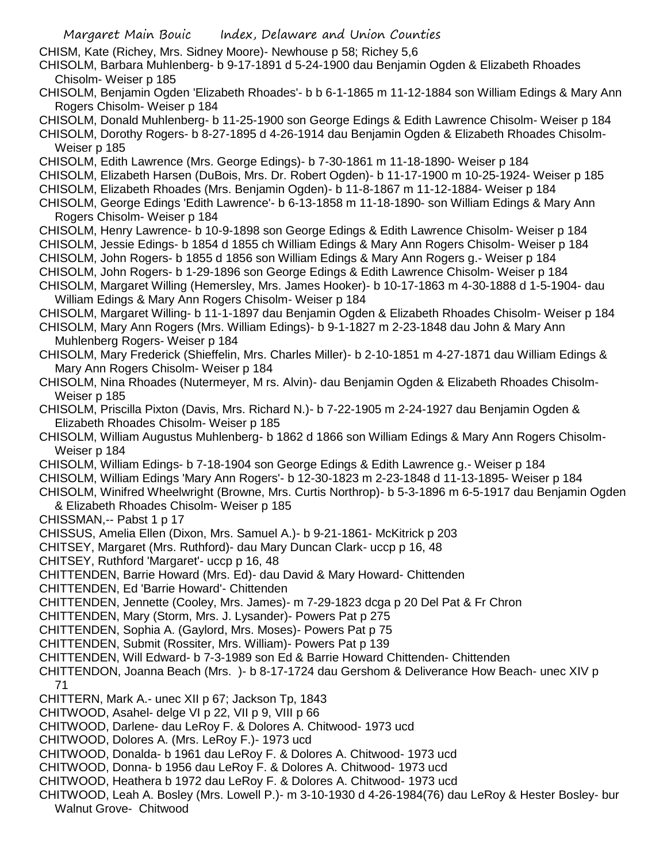- CHISM, Kate (Richey, Mrs. Sidney Moore)- Newhouse p 58; Richey 5,6
- CHISOLM, Barbara Muhlenberg- b 9-17-1891 d 5-24-1900 dau Benjamin Ogden & Elizabeth Rhoades Chisolm- Weiser p 185
- CHISOLM, Benjamin Ogden 'Elizabeth Rhoades'- b b 6-1-1865 m 11-12-1884 son William Edings & Mary Ann Rogers Chisolm- Weiser p 184
- CHISOLM, Donald Muhlenberg- b 11-25-1900 son George Edings & Edith Lawrence Chisolm- Weiser p 184
- CHISOLM, Dorothy Rogers- b 8-27-1895 d 4-26-1914 dau Benjamin Ogden & Elizabeth Rhoades Chisolm-Weiser p 185
- CHISOLM, Edith Lawrence (Mrs. George Edings)- b 7-30-1861 m 11-18-1890- Weiser p 184
- CHISOLM, Elizabeth Harsen (DuBois, Mrs. Dr. Robert Ogden)- b 11-17-1900 m 10-25-1924- Weiser p 185
- CHISOLM, Elizabeth Rhoades (Mrs. Benjamin Ogden)- b 11-8-1867 m 11-12-1884- Weiser p 184
- CHISOLM, George Edings 'Edith Lawrence'- b 6-13-1858 m 11-18-1890- son William Edings & Mary Ann Rogers Chisolm- Weiser p 184
- CHISOLM, Henry Lawrence- b 10-9-1898 son George Edings & Edith Lawrence Chisolm- Weiser p 184
- CHISOLM, Jessie Edings- b 1854 d 1855 ch William Edings & Mary Ann Rogers Chisolm- Weiser p 184
- CHISOLM, John Rogers- b 1855 d 1856 son William Edings & Mary Ann Rogers g.- Weiser p 184
- CHISOLM, John Rogers- b 1-29-1896 son George Edings & Edith Lawrence Chisolm- Weiser p 184
- CHISOLM, Margaret Willing (Hemersley, Mrs. James Hooker)- b 10-17-1863 m 4-30-1888 d 1-5-1904- dau William Edings & Mary Ann Rogers Chisolm- Weiser p 184
- CHISOLM, Margaret Willing- b 11-1-1897 dau Benjamin Ogden & Elizabeth Rhoades Chisolm- Weiser p 184 CHISOLM, Mary Ann Rogers (Mrs. William Edings)- b 9-1-1827 m 2-23-1848 dau John & Mary Ann
	- Muhlenberg Rogers- Weiser p 184
- CHISOLM, Mary Frederick (Shieffelin, Mrs. Charles Miller)- b 2-10-1851 m 4-27-1871 dau William Edings & Mary Ann Rogers Chisolm- Weiser p 184
- CHISOLM, Nina Rhoades (Nutermeyer, M rs. Alvin)- dau Benjamin Ogden & Elizabeth Rhoades Chisolm-Weiser p 185
- CHISOLM, Priscilla Pixton (Davis, Mrs. Richard N.)- b 7-22-1905 m 2-24-1927 dau Benjamin Ogden & Elizabeth Rhoades Chisolm- Weiser p 185
- CHISOLM, William Augustus Muhlenberg- b 1862 d 1866 son William Edings & Mary Ann Rogers Chisolm-Weiser p 184
- CHISOLM, William Edings- b 7-18-1904 son George Edings & Edith Lawrence g.- Weiser p 184
- CHISOLM, William Edings 'Mary Ann Rogers'- b 12-30-1823 m 2-23-1848 d 11-13-1895- Weiser p 184
- CHISOLM, Winifred Wheelwright (Browne, Mrs. Curtis Northrop)- b 5-3-1896 m 6-5-1917 dau Benjamin Ogden & Elizabeth Rhoades Chisolm- Weiser p 185
- CHISSMAN,-- Pabst 1 p 17
- CHISSUS, Amelia Ellen (Dixon, Mrs. Samuel A.)- b 9-21-1861- McKitrick p 203
- CHITSEY, Margaret (Mrs. Ruthford)- dau Mary Duncan Clark- uccp p 16, 48
- CHITSEY, Ruthford 'Margaret'- uccp p 16, 48
- CHITTENDEN, Barrie Howard (Mrs. Ed)- dau David & Mary Howard- Chittenden
- CHITTENDEN, Ed 'Barrie Howard'- Chittenden
- CHITTENDEN, Jennette (Cooley, Mrs. James)- m 7-29-1823 dcga p 20 Del Pat & Fr Chron
- CHITTENDEN, Mary (Storm, Mrs. J. Lysander)- Powers Pat p 275
- CHITTENDEN, Sophia A. (Gaylord, Mrs. Moses)- Powers Pat p 75
- CHITTENDEN, Submit (Rossiter, Mrs. William)- Powers Pat p 139
- CHITTENDEN, Will Edward- b 7-3-1989 son Ed & Barrie Howard Chittenden- Chittenden
- CHITTENDON, Joanna Beach (Mrs. )- b 8-17-1724 dau Gershom & Deliverance How Beach- unec XIV p
- 71
- CHITTERN, Mark A.- unec XII p 67; Jackson Tp, 1843
- CHITWOOD, Asahel- delge VI p 22, VII p 9, VIII p 66
- CHITWOOD, Darlene- dau LeRoy F. & Dolores A. Chitwood- 1973 ucd
- CHITWOOD, Dolores A. (Mrs. LeRoy F.)- 1973 ucd
- CHITWOOD, Donalda- b 1961 dau LeRoy F. & Dolores A. Chitwood- 1973 ucd
- CHITWOOD, Donna- b 1956 dau LeRoy F. & Dolores A. Chitwood- 1973 ucd
- CHITWOOD, Heathera b 1972 dau LeRoy F. & Dolores A. Chitwood- 1973 ucd
- CHITWOOD, Leah A. Bosley (Mrs. Lowell P.)- m 3-10-1930 d 4-26-1984(76) dau LeRoy & Hester Bosley- bur Walnut Grove- Chitwood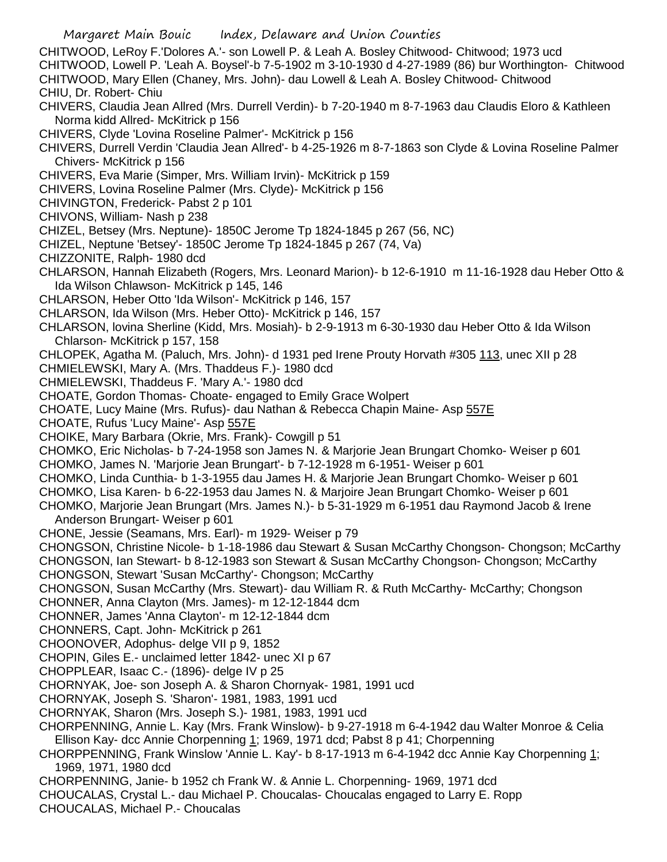Margaret Main Bouic Index, Delaware and Union Counties CHITWOOD, LeRoy F.'Dolores A.'- son Lowell P. & Leah A. Bosley Chitwood- Chitwood; 1973 ucd CHITWOOD, Lowell P. 'Leah A. Boysel'-b 7-5-1902 m 3-10-1930 d 4-27-1989 (86) bur Worthington- Chitwood CHITWOOD, Mary Ellen (Chaney, Mrs. John)- dau Lowell & Leah A. Bosley Chitwood- Chitwood CHIU, Dr. Robert- Chiu CHIVERS, Claudia Jean Allred (Mrs. Durrell Verdin)- b 7-20-1940 m 8-7-1963 dau Claudis Eloro & Kathleen Norma kidd Allred- McKitrick p 156 CHIVERS, Clyde 'Lovina Roseline Palmer'- McKitrick p 156 CHIVERS, Durrell Verdin 'Claudia Jean Allred'- b 4-25-1926 m 8-7-1863 son Clyde & Lovina Roseline Palmer Chivers- McKitrick p 156 CHIVERS, Eva Marie (Simper, Mrs. William Irvin)- McKitrick p 159 CHIVERS, Lovina Roseline Palmer (Mrs. Clyde)- McKitrick p 156 CHIVINGTON, Frederick- Pabst 2 p 101 CHIVONS, William- Nash p 238 CHIZEL, Betsey (Mrs. Neptune)- 1850C Jerome Tp 1824-1845 p 267 (56, NC) CHIZEL, Neptune 'Betsey'- 1850C Jerome Tp 1824-1845 p 267 (74, Va) CHIZZONITE, Ralph- 1980 dcd CHLARSON, Hannah Elizabeth (Rogers, Mrs. Leonard Marion)- b 12-6-1910 m 11-16-1928 dau Heber Otto & Ida Wilson Chlawson- McKitrick p 145, 146 CHLARSON, Heber Otto 'Ida Wilson'- McKitrick p 146, 157 CHLARSON, Ida Wilson (Mrs. Heber Otto)- McKitrick p 146, 157 CHLARSON, lovina Sherline (Kidd, Mrs. Mosiah)- b 2-9-1913 m 6-30-1930 dau Heber Otto & Ida Wilson Chlarson- McKitrick p 157, 158 CHLOPEK, Agatha M. (Paluch, Mrs. John)- d 1931 ped Irene Prouty Horvath #305 113, unec XII p 28 CHMIELEWSKI, Mary A. (Mrs. Thaddeus F.)- 1980 dcd CHMIELEWSKI, Thaddeus F. 'Mary A.'- 1980 dcd CHOATE, Gordon Thomas- Choate- engaged to Emily Grace Wolpert CHOATE, Lucy Maine (Mrs. Rufus)- dau Nathan & Rebecca Chapin Maine- Asp 557E CHOATE, Rufus 'Lucy Maine'- Asp 557E CHOIKE, Mary Barbara (Okrie, Mrs. Frank)- Cowgill p 51 CHOMKO, Eric Nicholas- b 7-24-1958 son James N. & Marjorie Jean Brungart Chomko- Weiser p 601 CHOMKO, James N. 'Marjorie Jean Brungart'- b 7-12-1928 m 6-1951- Weiser p 601 CHOMKO, Linda Cunthia- b 1-3-1955 dau James H. & Marjorie Jean Brungart Chomko- Weiser p 601 CHOMKO, Lisa Karen- b 6-22-1953 dau James N. & Marjoire Jean Brungart Chomko- Weiser p 601 CHOMKO, Marjorie Jean Brungart (Mrs. James N.)- b 5-31-1929 m 6-1951 dau Raymond Jacob & Irene Anderson Brungart- Weiser p 601 CHONE, Jessie (Seamans, Mrs. Earl)- m 1929- Weiser p 79 CHONGSON, Christine Nicole- b 1-18-1986 dau Stewart & Susan McCarthy Chongson- Chongson; McCarthy CHONGSON, Ian Stewart- b 8-12-1983 son Stewart & Susan McCarthy Chongson- Chongson; McCarthy CHONGSON, Stewart 'Susan McCarthy'- Chongson; McCarthy CHONGSON, Susan McCarthy (Mrs. Stewart)- dau William R. & Ruth McCarthy- McCarthy; Chongson CHONNER, Anna Clayton (Mrs. James)- m 12-12-1844 dcm CHONNER, James 'Anna Clayton'- m 12-12-1844 dcm CHONNERS, Capt. John- McKitrick p 261 CHOONOVER, Adophus- delge VII p 9, 1852 CHOPIN, Giles E.- unclaimed letter 1842- unec XI p 67 CHOPPLEAR, Isaac C.- (1896)- delge IV p 25 CHORNYAK, Joe- son Joseph A. & Sharon Chornyak- 1981, 1991 ucd CHORNYAK, Joseph S. 'Sharon'- 1981, 1983, 1991 ucd CHORNYAK, Sharon (Mrs. Joseph S.)- 1981, 1983, 1991 ucd CHORPENNING, Annie L. Kay (Mrs. Frank Winslow)- b 9-27-1918 m 6-4-1942 dau Walter Monroe & Celia Ellison Kay- dcc Annie Chorpenning 1; 1969, 1971 dcd; Pabst 8 p 41; Chorpenning CHORPPENNING, Frank Winslow 'Annie L. Kay'- b 8-17-1913 m 6-4-1942 dcc Annie Kay Chorpenning 1; 1969, 1971, 1980 dcd CHORPENNING, Janie- b 1952 ch Frank W. & Annie L. Chorpenning- 1969, 1971 dcd CHOUCALAS, Crystal L.- dau Michael P. Choucalas- Choucalas engaged to Larry E. Ropp CHOUCALAS, Michael P.- Choucalas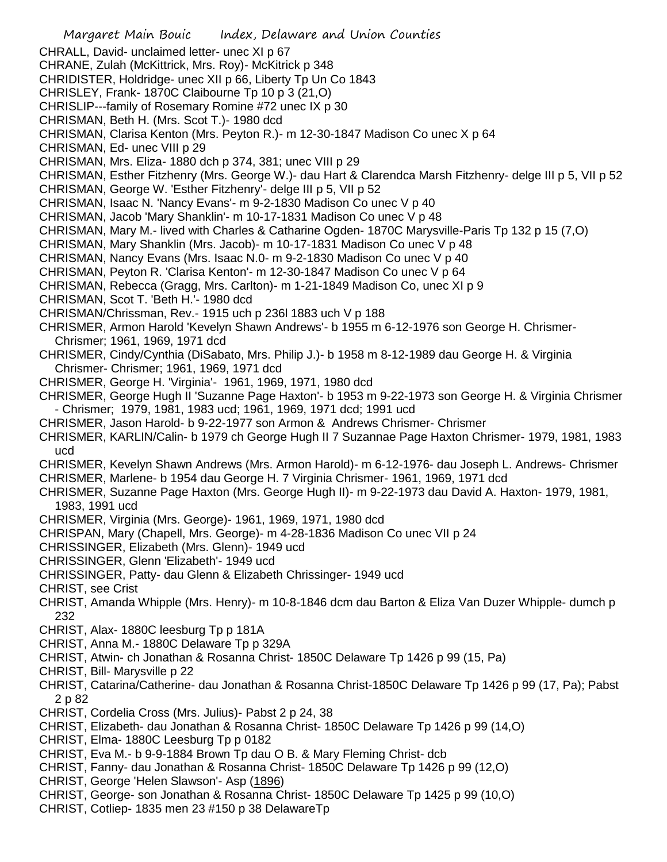- Margaret Main Bouic Index, Delaware and Union Counties CHRALL, David- unclaimed letter- unec XI p 67 CHRANE, Zulah (McKittrick, Mrs. Roy)- McKitrick p 348 CHRIDISTER, Holdridge- unec XII p 66, Liberty Tp Un Co 1843 CHRISLEY, Frank- 1870C Claibourne Tp 10 p 3 (21,O) CHRISLIP---family of Rosemary Romine #72 unec IX p 30 CHRISMAN, Beth H. (Mrs. Scot T.)- 1980 dcd CHRISMAN, Clarisa Kenton (Mrs. Peyton R.)- m 12-30-1847 Madison Co unec X p 64 CHRISMAN, Ed- unec VIII p 29 CHRISMAN, Mrs. Eliza- 1880 dch p 374, 381; unec VIII p 29 CHRISMAN, Esther Fitzhenry (Mrs. George W.)- dau Hart & Clarendca Marsh Fitzhenry- delge III p 5, VII p 52 CHRISMAN, George W. 'Esther Fitzhenry'- delge III p 5, VII p 52 CHRISMAN, Isaac N. 'Nancy Evans'- m 9-2-1830 Madison Co unec V p 40 CHRISMAN, Jacob 'Mary Shanklin'- m 10-17-1831 Madison Co unec V p 48 CHRISMAN, Mary M.- lived with Charles & Catharine Ogden- 1870C Marysville-Paris Tp 132 p 15 (7,O) CHRISMAN, Mary Shanklin (Mrs. Jacob)- m 10-17-1831 Madison Co unec V p 48 CHRISMAN, Nancy Evans (Mrs. Isaac N.0- m 9-2-1830 Madison Co unec V p 40 CHRISMAN, Peyton R. 'Clarisa Kenton'- m 12-30-1847 Madison Co unec V p 64 CHRISMAN, Rebecca (Gragg, Mrs. Carlton)- m 1-21-1849 Madison Co, unec XI p 9 CHRISMAN, Scot T. 'Beth H.'- 1980 dcd CHRISMAN/Chrissman, Rev.- 1915 uch p 236l 1883 uch V p 188 CHRISMER, Armon Harold 'Kevelyn Shawn Andrews'- b 1955 m 6-12-1976 son George H. Chrismer-Chrismer; 1961, 1969, 1971 dcd CHRISMER, Cindy/Cynthia (DiSabato, Mrs. Philip J.)- b 1958 m 8-12-1989 dau George H. & Virginia Chrismer- Chrismer; 1961, 1969, 1971 dcd CHRISMER, George H. 'Virginia'- 1961, 1969, 1971, 1980 dcd CHRISMER, George Hugh II 'Suzanne Page Haxton'- b 1953 m 9-22-1973 son George H. & Virginia Chrismer - Chrismer; 1979, 1981, 1983 ucd; 1961, 1969, 1971 dcd; 1991 ucd CHRISMER, Jason Harold- b 9-22-1977 son Armon & Andrews Chrismer- Chrismer CHRISMER, KARLIN/Calin- b 1979 ch George Hugh II 7 Suzannae Page Haxton Chrismer- 1979, 1981, 1983 ucd CHRISMER, Kevelyn Shawn Andrews (Mrs. Armon Harold)- m 6-12-1976- dau Joseph L. Andrews- Chrismer CHRISMER, Marlene- b 1954 dau George H. 7 Virginia Chrismer- 1961, 1969, 1971 dcd CHRISMER, Suzanne Page Haxton (Mrs. George Hugh II)- m 9-22-1973 dau David A. Haxton- 1979, 1981, 1983, 1991 ucd CHRISMER, Virginia (Mrs. George)- 1961, 1969, 1971, 1980 dcd CHRISPAN, Mary (Chapell, Mrs. George)- m 4-28-1836 Madison Co unec VII p 24 CHRISSINGER, Elizabeth (Mrs. Glenn)- 1949 ucd CHRISSINGER, Glenn 'Elizabeth'- 1949 ucd CHRISSINGER, Patty- dau Glenn & Elizabeth Chrissinger- 1949 ucd CHRIST, see Crist CHRIST, Amanda Whipple (Mrs. Henry)- m 10-8-1846 dcm dau Barton & Eliza Van Duzer Whipple- dumch p 232 CHRIST, Alax- 1880C leesburg Tp p 181A CHRIST, Anna M.- 1880C Delaware Tp p 329A CHRIST, Atwin- ch Jonathan & Rosanna Christ- 1850C Delaware Tp 1426 p 99 (15, Pa) CHRIST, Bill- Marysville p 22 CHRIST, Catarina/Catherine- dau Jonathan & Rosanna Christ-1850C Delaware Tp 1426 p 99 (17, Pa); Pabst 2 p 82 CHRIST, Cordelia Cross (Mrs. Julius)- Pabst 2 p 24, 38 CHRIST, Elizabeth- dau Jonathan & Rosanna Christ- 1850C Delaware Tp 1426 p 99 (14,O) CHRIST, Elma- 1880C Leesburg Tp p 0182 CHRIST, Eva M.- b 9-9-1884 Brown Tp dau O B. & Mary Fleming Christ- dcb CHRIST, Fanny- dau Jonathan & Rosanna Christ- 1850C Delaware Tp 1426 p 99 (12,O) CHRIST, George 'Helen Slawson'- Asp (1896) CHRIST, George- son Jonathan & Rosanna Christ- 1850C Delaware Tp 1425 p 99 (10,O)
- CHRIST, Cotliep- 1835 men 23 #150 p 38 DelawareTp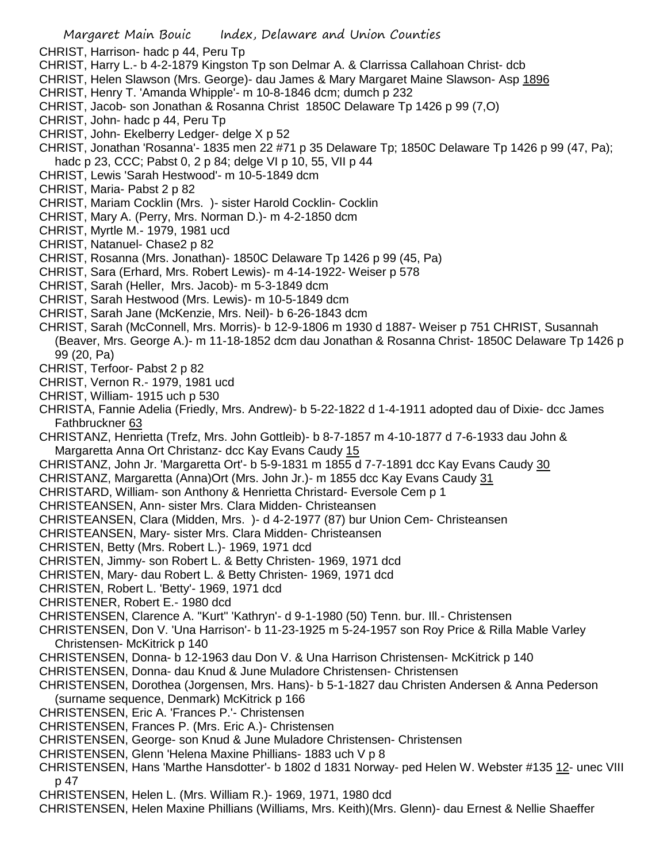- CHRIST, Harrison- hadc p 44, Peru Tp
- CHRIST, Harry L.- b 4-2-1879 Kingston Tp son Delmar A. & Clarrissa Callahoan Christ- dcb
- CHRIST, Helen Slawson (Mrs. George)- dau James & Mary Margaret Maine Slawson- Asp 1896
- CHRIST, Henry T. 'Amanda Whipple'- m 10-8-1846 dcm; dumch p 232
- CHRIST, Jacob- son Jonathan & Rosanna Christ 1850C Delaware Tp 1426 p 99 (7,O)
- CHRIST, John- hadc p 44, Peru Tp
- CHRIST, John- Ekelberry Ledger- delge X p 52
- CHRIST, Jonathan 'Rosanna'- 1835 men 22 #71 p 35 Delaware Tp; 1850C Delaware Tp 1426 p 99 (47, Pa); hadc p 23, CCC; Pabst 0, 2 p 84; delge VI p 10, 55, VII p 44
- CHRIST, Lewis 'Sarah Hestwood'- m 10-5-1849 dcm
- CHRIST, Maria- Pabst 2 p 82
- CHRIST, Mariam Cocklin (Mrs. )- sister Harold Cocklin- Cocklin
- CHRIST, Mary A. (Perry, Mrs. Norman D.)- m 4-2-1850 dcm
- CHRIST, Myrtle M.- 1979, 1981 ucd
- CHRIST, Natanuel- Chase2 p 82
- CHRIST, Rosanna (Mrs. Jonathan)- 1850C Delaware Tp 1426 p 99 (45, Pa)
- CHRIST, Sara (Erhard, Mrs. Robert Lewis)- m 4-14-1922- Weiser p 578
- CHRIST, Sarah (Heller, Mrs. Jacob)- m 5-3-1849 dcm
- CHRIST, Sarah Hestwood (Mrs. Lewis)- m 10-5-1849 dcm
- CHRIST, Sarah Jane (McKenzie, Mrs. Neil)- b 6-26-1843 dcm
- CHRIST, Sarah (McConnell, Mrs. Morris)- b 12-9-1806 m 1930 d 1887- Weiser p 751 CHRIST, Susannah (Beaver, Mrs. George A.)- m 11-18-1852 dcm dau Jonathan & Rosanna Christ- 1850C Delaware Tp 1426 p 99 (20, Pa)
- CHRIST, Terfoor- Pabst 2 p 82
- CHRIST, Vernon R.- 1979, 1981 ucd
- CHRIST, William- 1915 uch p 530
- CHRISTA, Fannie Adelia (Friedly, Mrs. Andrew)- b 5-22-1822 d 1-4-1911 adopted dau of Dixie- dcc James Fathbruckner 63
- CHRISTANZ, Henrietta (Trefz, Mrs. John Gottleib)- b 8-7-1857 m 4-10-1877 d 7-6-1933 dau John & Margaretta Anna Ort Christanz- dcc Kay Evans Caudy 15
- CHRISTANZ, John Jr. 'Margaretta Ort'- b 5-9-1831 m 1855 d 7-7-1891 dcc Kay Evans Caudy 30
- CHRISTANZ, Margaretta (Anna) Ort (Mrs. John Jr.) m 1855 dcc Kay Evans Caudy 31
- CHRISTARD, William- son Anthony & Henrietta Christard- Eversole Cem p 1
- CHRISTEANSEN, Ann- sister Mrs. Clara Midden- Christeansen
- CHRISTEANSEN, Clara (Midden, Mrs. )- d 4-2-1977 (87) bur Union Cem- Christeansen
- CHRISTEANSEN, Mary- sister Mrs. Clara Midden- Christeansen
- CHRISTEN, Betty (Mrs. Robert L.)- 1969, 1971 dcd
- CHRISTEN, Jimmy- son Robert L. & Betty Christen- 1969, 1971 dcd
- CHRISTEN, Mary- dau Robert L. & Betty Christen- 1969, 1971 dcd
- CHRISTEN, Robert L. 'Betty'- 1969, 1971 dcd
- CHRISTENER, Robert E.- 1980 dcd
- CHRISTENSEN, Clarence A. "Kurt" 'Kathryn'- d 9-1-1980 (50) Tenn. bur. Ill.- Christensen
- CHRISTENSEN, Don V. 'Una Harrison'- b 11-23-1925 m 5-24-1957 son Roy Price & Rilla Mable Varley Christensen- McKitrick p 140
- CHRISTENSEN, Donna- b 12-1963 dau Don V. & Una Harrison Christensen- McKitrick p 140
- CHRISTENSEN, Donna- dau Knud & June Muladore Christensen- Christensen
- CHRISTENSEN, Dorothea (Jorgensen, Mrs. Hans)- b 5-1-1827 dau Christen Andersen & Anna Pederson (surname sequence, Denmark) McKitrick p 166
- CHRISTENSEN, Eric A. 'Frances P.'- Christensen
- CHRISTENSEN, Frances P. (Mrs. Eric A.)- Christensen
- CHRISTENSEN, George- son Knud & June Muladore Christensen- Christensen
- CHRISTENSEN, Glenn 'Helena Maxine Phillians- 1883 uch V p 8
- CHRISTENSEN, Hans 'Marthe Hansdotter'- b 1802 d 1831 Norway- ped Helen W. Webster #135 12- unec VIII p 47
- CHRISTENSEN, Helen L. (Mrs. William R.)- 1969, 1971, 1980 dcd
- CHRISTENSEN, Helen Maxine Phillians (Williams, Mrs. Keith)(Mrs. Glenn)- dau Ernest & Nellie Shaeffer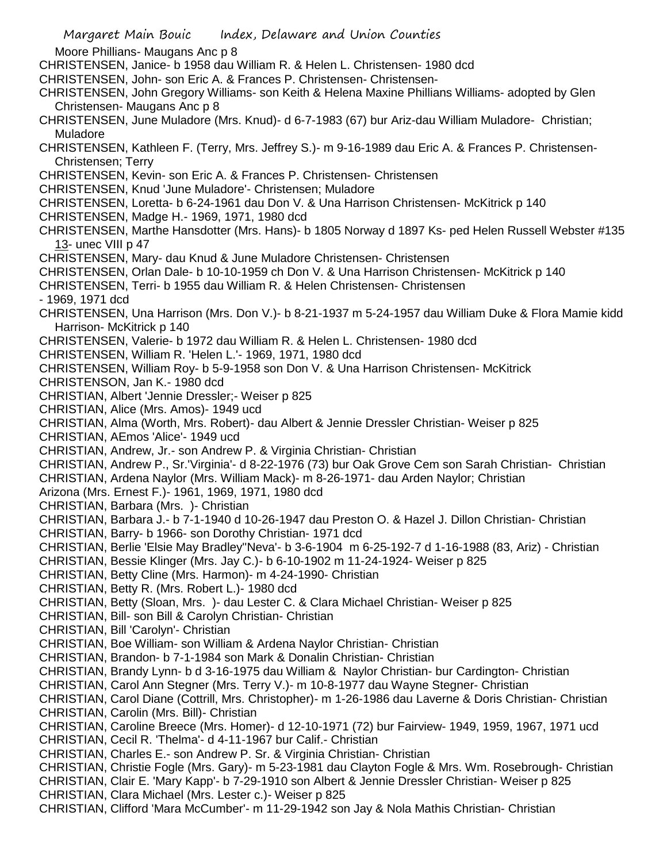Moore Phillians- Maugans Anc p 8

CHRISTENSEN, Janice- b 1958 dau William R. & Helen L. Christensen- 1980 dcd

CHRISTENSEN, John- son Eric A. & Frances P. Christensen- Christensen-

CHRISTENSEN, John Gregory Williams- son Keith & Helena Maxine Phillians Williams- adopted by Glen Christensen- Maugans Anc p 8

CHRISTENSEN, June Muladore (Mrs. Knud)- d 6-7-1983 (67) bur Ariz-dau William Muladore- Christian; Muladore

CHRISTENSEN, Kathleen F. (Terry, Mrs. Jeffrey S.)- m 9-16-1989 dau Eric A. & Frances P. Christensen-Christensen; Terry

CHRISTENSEN, Kevin- son Eric A. & Frances P. Christensen- Christensen

CHRISTENSEN, Knud 'June Muladore'- Christensen; Muladore

CHRISTENSEN, Loretta- b 6-24-1961 dau Don V. & Una Harrison Christensen- McKitrick p 140

CHRISTENSEN, Madge H.- 1969, 1971, 1980 dcd

CHRISTENSEN, Marthe Hansdotter (Mrs. Hans)- b 1805 Norway d 1897 Ks- ped Helen Russell Webster #135 13- unec VIII p 47

CHRISTENSEN, Mary- dau Knud & June Muladore Christensen- Christensen

CHRISTENSEN, Orlan Dale- b 10-10-1959 ch Don V. & Una Harrison Christensen- McKitrick p 140

CHRISTENSEN, Terri- b 1955 dau William R. & Helen Christensen- Christensen

- 1969, 1971 dcd

CHRISTENSEN, Una Harrison (Mrs. Don V.)- b 8-21-1937 m 5-24-1957 dau William Duke & Flora Mamie kidd Harrison- McKitrick p 140

CHRISTENSEN, Valerie- b 1972 dau William R. & Helen L. Christensen- 1980 dcd

CHRISTENSEN, William R. 'Helen L.'- 1969, 1971, 1980 dcd

CHRISTENSEN, William Roy- b 5-9-1958 son Don V. & Una Harrison Christensen- McKitrick

CHRISTENSON, Jan K.- 1980 dcd

CHRISTIAN, Albert 'Jennie Dressler;- Weiser p 825

CHRISTIAN, Alice (Mrs. Amos)- 1949 ucd

CHRISTIAN, Alma (Worth, Mrs. Robert)- dau Albert & Jennie Dressler Christian- Weiser p 825

CHRISTIAN, AEmos 'Alice'- 1949 ucd

CHRISTIAN, Andrew, Jr.- son Andrew P. & Virginia Christian- Christian

CHRISTIAN, Andrew P., Sr.'Virginia'- d 8-22-1976 (73) bur Oak Grove Cem son Sarah Christian- Christian

CHRISTIAN, Ardena Naylor (Mrs. William Mack)- m 8-26-1971- dau Arden Naylor; Christian

Arizona (Mrs. Ernest F.)- 1961, 1969, 1971, 1980 dcd

CHRISTIAN, Barbara (Mrs. )- Christian

CHRISTIAN, Barbara J.- b 7-1-1940 d 10-26-1947 dau Preston O. & Hazel J. Dillon Christian- Christian

CHRISTIAN, Barry- b 1966- son Dorothy Christian- 1971 dcd

CHRISTIAN, Berlie 'Elsie May Bradley''Neva'- b 3-6-1904 m 6-25-192-7 d 1-16-1988 (83, Ariz) - Christian

CHRISTIAN, Bessie Klinger (Mrs. Jay C.)- b 6-10-1902 m 11-24-1924- Weiser p 825

CHRISTIAN, Betty Cline (Mrs. Harmon)- m 4-24-1990- Christian

CHRISTIAN, Betty R. (Mrs. Robert L.)- 1980 dcd

CHRISTIAN, Betty (Sloan, Mrs. )- dau Lester C. & Clara Michael Christian- Weiser p 825

CHRISTIAN, Bill- son Bill & Carolyn Christian- Christian

CHRISTIAN, Bill 'Carolyn'- Christian

CHRISTIAN, Boe William- son William & Ardena Naylor Christian- Christian

CHRISTIAN, Brandon- b 7-1-1984 son Mark & Donalin Christian- Christian

CHRISTIAN, Brandy Lynn- b d 3-16-1975 dau William & Naylor Christian- bur Cardington- Christian

CHRISTIAN, Carol Ann Stegner (Mrs. Terry V.)- m 10-8-1977 dau Wayne Stegner- Christian

CHRISTIAN, Carol Diane (Cottrill, Mrs. Christopher)- m 1-26-1986 dau Laverne & Doris Christian- Christian CHRISTIAN, Carolin (Mrs. Bill)- Christian

CHRISTIAN, Caroline Breece (Mrs. Homer)- d 12-10-1971 (72) bur Fairview- 1949, 1959, 1967, 1971 ucd CHRISTIAN, Cecil R. 'Thelma'- d 4-11-1967 bur Calif.- Christian

CHRISTIAN, Charles E.- son Andrew P. Sr. & Virginia Christian- Christian

CHRISTIAN, Christie Fogle (Mrs. Gary)- m 5-23-1981 dau Clayton Fogle & Mrs. Wm. Rosebrough- Christian CHRISTIAN, Clair E. 'Mary Kapp'- b 7-29-1910 son Albert & Jennie Dressler Christian- Weiser p 825

CHRISTIAN, Clara Michael (Mrs. Lester c.)- Weiser p 825

CHRISTIAN, Clifford 'Mara McCumber'- m 11-29-1942 son Jay & Nola Mathis Christian- Christian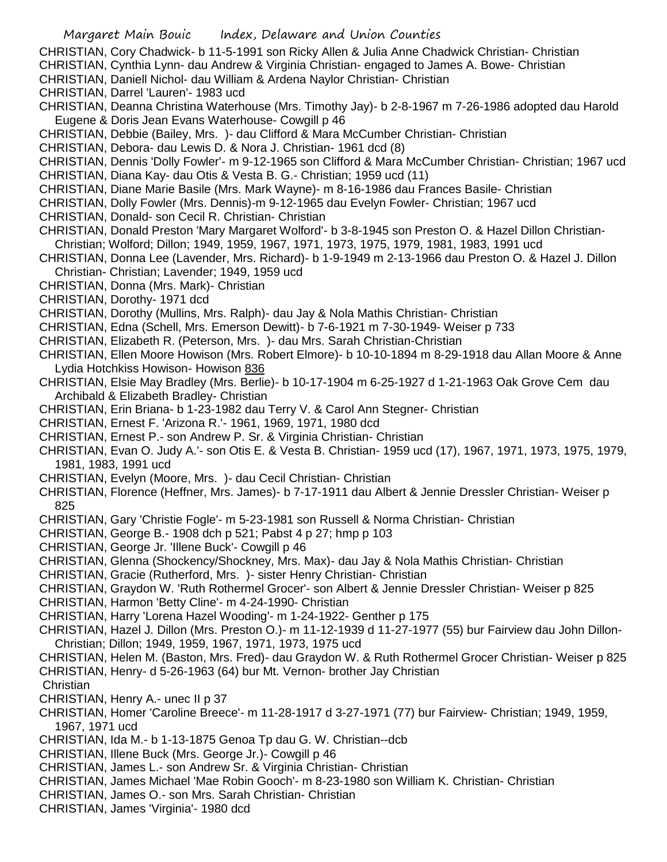CHRISTIAN, Cory Chadwick- b 11-5-1991 son Ricky Allen & Julia Anne Chadwick Christian- Christian

- CHRISTIAN, Cynthia Lynn- dau Andrew & Virginia Christian- engaged to James A. Bowe- Christian
- CHRISTIAN, Daniell Nichol- dau William & Ardena Naylor Christian- Christian
- CHRISTIAN, Darrel 'Lauren'- 1983 ucd
- CHRISTIAN, Deanna Christina Waterhouse (Mrs. Timothy Jay)- b 2-8-1967 m 7-26-1986 adopted dau Harold Eugene & Doris Jean Evans Waterhouse- Cowgill p 46
- CHRISTIAN, Debbie (Bailey, Mrs. )- dau Clifford & Mara McCumber Christian- Christian
- CHRISTIAN, Debora- dau Lewis D. & Nora J. Christian- 1961 dcd (8)
- CHRISTIAN, Dennis 'Dolly Fowler'- m 9-12-1965 son Clifford & Mara McCumber Christian- Christian; 1967 ucd
- CHRISTIAN, Diana Kay- dau Otis & Vesta B. G.- Christian; 1959 ucd (11)
- CHRISTIAN, Diane Marie Basile (Mrs. Mark Wayne)- m 8-16-1986 dau Frances Basile- Christian
- CHRISTIAN, Dolly Fowler (Mrs. Dennis)-m 9-12-1965 dau Evelyn Fowler- Christian; 1967 ucd
- CHRISTIAN, Donald- son Cecil R. Christian- Christian
- CHRISTIAN, Donald Preston 'Mary Margaret Wolford'- b 3-8-1945 son Preston O. & Hazel Dillon Christian-Christian; Wolford; Dillon; 1949, 1959, 1967, 1971, 1973, 1975, 1979, 1981, 1983, 1991 ucd
- CHRISTIAN, Donna Lee (Lavender, Mrs. Richard)- b 1-9-1949 m 2-13-1966 dau Preston O. & Hazel J. Dillon Christian- Christian; Lavender; 1949, 1959 ucd
- CHRISTIAN, Donna (Mrs. Mark)- Christian
- CHRISTIAN, Dorothy- 1971 dcd
- CHRISTIAN, Dorothy (Mullins, Mrs. Ralph)- dau Jay & Nola Mathis Christian- Christian
- CHRISTIAN, Edna (Schell, Mrs. Emerson Dewitt)- b 7-6-1921 m 7-30-1949- Weiser p 733
- CHRISTIAN, Elizabeth R. (Peterson, Mrs. )- dau Mrs. Sarah Christian-Christian
- CHRISTIAN, Ellen Moore Howison (Mrs. Robert Elmore)- b 10-10-1894 m 8-29-1918 dau Allan Moore & Anne Lydia Hotchkiss Howison- Howison 836
- CHRISTIAN, Elsie May Bradley (Mrs. Berlie)- b 10-17-1904 m 6-25-1927 d 1-21-1963 Oak Grove Cem dau Archibald & Elizabeth Bradley- Christian
- CHRISTIAN, Erin Briana- b 1-23-1982 dau Terry V. & Carol Ann Stegner- Christian
- CHRISTIAN, Ernest F. 'Arizona R.'- 1961, 1969, 1971, 1980 dcd
- CHRISTIAN, Ernest P.- son Andrew P. Sr. & Virginia Christian- Christian
- CHRISTIAN, Evan O. Judy A.'- son Otis E. & Vesta B. Christian- 1959 ucd (17), 1967, 1971, 1973, 1975, 1979, 1981, 1983, 1991 ucd
- CHRISTIAN, Evelyn (Moore, Mrs. )- dau Cecil Christian- Christian
- CHRISTIAN, Florence (Heffner, Mrs. James)- b 7-17-1911 dau Albert & Jennie Dressler Christian- Weiser p 825
- CHRISTIAN, Gary 'Christie Fogle'- m 5-23-1981 son Russell & Norma Christian- Christian
- CHRISTIAN, George B.- 1908 dch p 521; Pabst 4 p 27; hmp p 103
- CHRISTIAN, George Jr. 'Illene Buck'- Cowgill p 46
- CHRISTIAN, Glenna (Shockency/Shockney, Mrs. Max)- dau Jay & Nola Mathis Christian- Christian
- CHRISTIAN, Gracie (Rutherford, Mrs. )- sister Henry Christian- Christian
- CHRISTIAN, Graydon W. 'Ruth Rothermel Grocer'- son Albert & Jennie Dressler Christian- Weiser p 825
- CHRISTIAN, Harmon 'Betty Cline'- m 4-24-1990- Christian
- CHRISTIAN, Harry 'Lorena Hazel Wooding'- m 1-24-1922- Genther p 175
- CHRISTIAN, Hazel J. Dillon (Mrs. Preston O.)- m 11-12-1939 d 11-27-1977 (55) bur Fairview dau John Dillon-Christian; Dillon; 1949, 1959, 1967, 1971, 1973, 1975 ucd
- CHRISTIAN, Helen M. (Baston, Mrs. Fred)- dau Graydon W. & Ruth Rothermel Grocer Christian- Weiser p 825 CHRISTIAN, Henry- d 5-26-1963 (64) bur Mt. Vernon- brother Jay Christian
- **Christian**
- CHRISTIAN, Henry A.- unec II p 37
- CHRISTIAN, Homer 'Caroline Breece'- m 11-28-1917 d 3-27-1971 (77) bur Fairview- Christian; 1949, 1959, 1967, 1971 ucd
- CHRISTIAN, Ida M.- b 1-13-1875 Genoa Tp dau G. W. Christian--dcb
- CHRISTIAN, Illene Buck (Mrs. George Jr.)- Cowgill p 46
- CHRISTIAN, James L.- son Andrew Sr. & Virginia Christian- Christian
- CHRISTIAN, James Michael 'Mae Robin Gooch'- m 8-23-1980 son William K. Christian- Christian
- CHRISTIAN, James O.- son Mrs. Sarah Christian- Christian
- CHRISTIAN, James 'Virginia'- 1980 dcd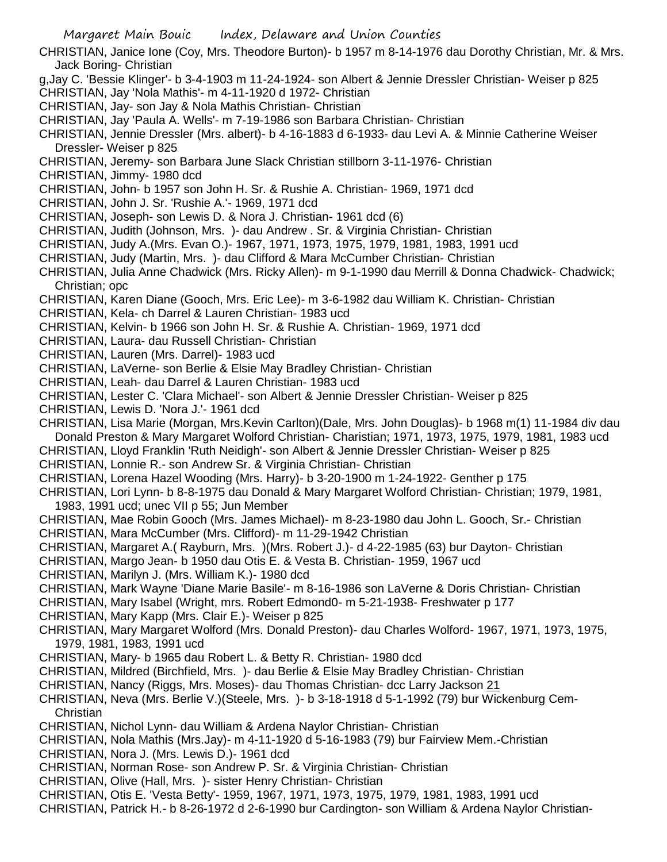CHRISTIAN, Janice Ione (Coy, Mrs. Theodore Burton)- b 1957 m 8-14-1976 dau Dorothy Christian, Mr. & Mrs. Jack Boring- Christian

- g,Jay C. 'Bessie Klinger'- b 3-4-1903 m 11-24-1924- son Albert & Jennie Dressler Christian- Weiser p 825
- CHRISTIAN, Jay 'Nola Mathis'- m 4-11-1920 d 1972- Christian
- CHRISTIAN, Jay- son Jay & Nola Mathis Christian- Christian
- CHRISTIAN, Jay 'Paula A. Wells'- m 7-19-1986 son Barbara Christian- Christian
- CHRISTIAN, Jennie Dressler (Mrs. albert)- b 4-16-1883 d 6-1933- dau Levi A. & Minnie Catherine Weiser Dressler- Weiser p 825
- CHRISTIAN, Jeremy- son Barbara June Slack Christian stillborn 3-11-1976- Christian
- CHRISTIAN, Jimmy- 1980 dcd
- CHRISTIAN, John- b 1957 son John H. Sr. & Rushie A. Christian- 1969, 1971 dcd
- CHRISTIAN, John J. Sr. 'Rushie A.'- 1969, 1971 dcd
- CHRISTIAN, Joseph- son Lewis D. & Nora J. Christian- 1961 dcd (6)
- CHRISTIAN, Judith (Johnson, Mrs. )- dau Andrew . Sr. & Virginia Christian- Christian
- CHRISTIAN, Judy A.(Mrs. Evan O.)- 1967, 1971, 1973, 1975, 1979, 1981, 1983, 1991 ucd
- CHRISTIAN, Judy (Martin, Mrs. )- dau Clifford & Mara McCumber Christian- Christian
- CHRISTIAN, Julia Anne Chadwick (Mrs. Ricky Allen)- m 9-1-1990 dau Merrill & Donna Chadwick- Chadwick; Christian; opc
- CHRISTIAN, Karen Diane (Gooch, Mrs. Eric Lee)- m 3-6-1982 dau William K. Christian- Christian
- CHRISTIAN, Kela- ch Darrel & Lauren Christian- 1983 ucd
- CHRISTIAN, Kelvin- b 1966 son John H. Sr. & Rushie A. Christian- 1969, 1971 dcd
- CHRISTIAN, Laura- dau Russell Christian- Christian
- CHRISTIAN, Lauren (Mrs. Darrel)- 1983 ucd
- CHRISTIAN, LaVerne- son Berlie & Elsie May Bradley Christian- Christian
- CHRISTIAN, Leah- dau Darrel & Lauren Christian- 1983 ucd
- CHRISTIAN, Lester C. 'Clara Michael'- son Albert & Jennie Dressler Christian- Weiser p 825
- CHRISTIAN, Lewis D. 'Nora J.'- 1961 dcd
- CHRISTIAN, Lisa Marie (Morgan, Mrs.Kevin Carlton)(Dale, Mrs. John Douglas)- b 1968 m(1) 11-1984 div dau Donald Preston & Mary Margaret Wolford Christian- Charistian; 1971, 1973, 1975, 1979, 1981, 1983 ucd
- CHRISTIAN, Lloyd Franklin 'Ruth Neidigh'- son Albert & Jennie Dressler Christian- Weiser p 825
- CHRISTIAN, Lonnie R.- son Andrew Sr. & Virginia Christian- Christian
- CHRISTIAN, Lorena Hazel Wooding (Mrs. Harry)- b 3-20-1900 m 1-24-1922- Genther p 175
- CHRISTIAN, Lori Lynn- b 8-8-1975 dau Donald & Mary Margaret Wolford Christian- Christian; 1979, 1981, 1983, 1991 ucd; unec VII p 55; Jun Member
- CHRISTIAN, Mae Robin Gooch (Mrs. James Michael)- m 8-23-1980 dau John L. Gooch, Sr.- Christian CHRISTIAN, Mara McCumber (Mrs. Clifford)- m 11-29-1942 Christian
- CHRISTIAN, Margaret A.( Rayburn, Mrs. )(Mrs. Robert J.)- d 4-22-1985 (63) bur Dayton- Christian
- CHRISTIAN, Margo Jean- b 1950 dau Otis E. & Vesta B. Christian- 1959, 1967 ucd
- CHRISTIAN, Marilyn J. (Mrs. William K.)- 1980 dcd
- CHRISTIAN, Mark Wayne 'Diane Marie Basile'- m 8-16-1986 son LaVerne & Doris Christian- Christian
- CHRISTIAN, Mary Isabel (Wright, mrs. Robert Edmond0- m 5-21-1938- Freshwater p 177
- CHRISTIAN, Mary Kapp (Mrs. Clair E.)- Weiser p 825
- CHRISTIAN, Mary Margaret Wolford (Mrs. Donald Preston)- dau Charles Wolford- 1967, 1971, 1973, 1975, 1979, 1981, 1983, 1991 ucd
- CHRISTIAN, Mary- b 1965 dau Robert L. & Betty R. Christian- 1980 dcd
- CHRISTIAN, Mildred (Birchfield, Mrs. )- dau Berlie & Elsie May Bradley Christian- Christian
- CHRISTIAN, Nancy (Riggs, Mrs. Moses)- dau Thomas Christian- dcc Larry Jackson 21
- CHRISTIAN, Neva (Mrs. Berlie V.)(Steele, Mrs. )- b 3-18-1918 d 5-1-1992 (79) bur Wickenburg Cem-**Christian**
- CHRISTIAN, Nichol Lynn- dau William & Ardena Naylor Christian- Christian
- CHRISTIAN, Nola Mathis (Mrs.Jay)- m 4-11-1920 d 5-16-1983 (79) bur Fairview Mem.-Christian
- CHRISTIAN, Nora J. (Mrs. Lewis D.)- 1961 dcd
- CHRISTIAN, Norman Rose- son Andrew P. Sr. & Virginia Christian- Christian
- CHRISTIAN, Olive (Hall, Mrs. )- sister Henry Christian- Christian
- CHRISTIAN, Otis E. 'Vesta Betty'- 1959, 1967, 1971, 1973, 1975, 1979, 1981, 1983, 1991 ucd
- CHRISTIAN, Patrick H.- b 8-26-1972 d 2-6-1990 bur Cardington- son William & Ardena Naylor Christian-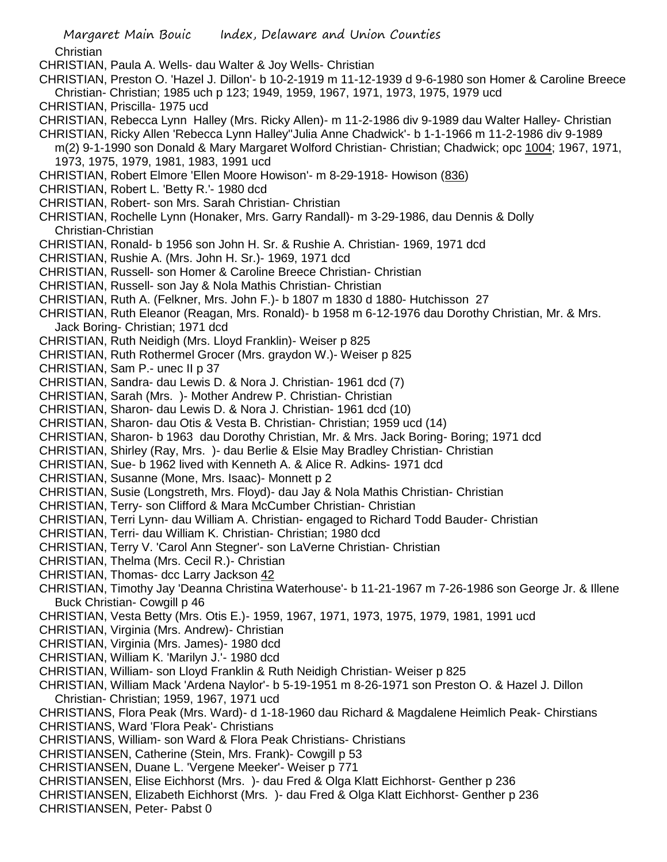**Christian** 

- CHRISTIAN, Paula A. Wells- dau Walter & Joy Wells- Christian
- CHRISTIAN, Preston O. 'Hazel J. Dillon'- b 10-2-1919 m 11-12-1939 d 9-6-1980 son Homer & Caroline Breece Christian- Christian; 1985 uch p 123; 1949, 1959, 1967, 1971, 1973, 1975, 1979 ucd
- CHRISTIAN, Priscilla- 1975 ucd
- CHRISTIAN, Rebecca Lynn Halley (Mrs. Ricky Allen)- m 11-2-1986 div 9-1989 dau Walter Halley- Christian
- CHRISTIAN, Ricky Allen 'Rebecca Lynn Halley''Julia Anne Chadwick'- b 1-1-1966 m 11-2-1986 div 9-1989 m(2) 9-1-1990 son Donald & Mary Margaret Wolford Christian- Christian; Chadwick; opc 1004; 1967, 1971, 1973, 1975, 1979, 1981, 1983, 1991 ucd
- CHRISTIAN, Robert Elmore 'Ellen Moore Howison'- m 8-29-1918- Howison (836)
- CHRISTIAN, Robert L. 'Betty R.'- 1980 dcd
- CHRISTIAN, Robert- son Mrs. Sarah Christian- Christian
- CHRISTIAN, Rochelle Lynn (Honaker, Mrs. Garry Randall)- m 3-29-1986, dau Dennis & Dolly Christian-Christian
- CHRISTIAN, Ronald- b 1956 son John H. Sr. & Rushie A. Christian- 1969, 1971 dcd
- CHRISTIAN, Rushie A. (Mrs. John H. Sr.)- 1969, 1971 dcd
- CHRISTIAN, Russell- son Homer & Caroline Breece Christian- Christian
- CHRISTIAN, Russell- son Jay & Nola Mathis Christian- Christian
- CHRISTIAN, Ruth A. (Felkner, Mrs. John F.)- b 1807 m 1830 d 1880- Hutchisson 27
- CHRISTIAN, Ruth Eleanor (Reagan, Mrs. Ronald)- b 1958 m 6-12-1976 dau Dorothy Christian, Mr. & Mrs. Jack Boring- Christian; 1971 dcd
- CHRISTIAN, Ruth Neidigh (Mrs. Lloyd Franklin)- Weiser p 825
- CHRISTIAN, Ruth Rothermel Grocer (Mrs. graydon W.)- Weiser p 825
- CHRISTIAN, Sam P.- unec II p 37
- CHRISTIAN, Sandra- dau Lewis D. & Nora J. Christian- 1961 dcd (7)
- CHRISTIAN, Sarah (Mrs. )- Mother Andrew P. Christian- Christian
- CHRISTIAN, Sharon- dau Lewis D. & Nora J. Christian- 1961 dcd (10)
- CHRISTIAN, Sharon- dau Otis & Vesta B. Christian- Christian; 1959 ucd (14)
- CHRISTIAN, Sharon- b 1963 dau Dorothy Christian, Mr. & Mrs. Jack Boring- Boring; 1971 dcd
- CHRISTIAN, Shirley (Ray, Mrs. )- dau Berlie & Elsie May Bradley Christian- Christian
- CHRISTIAN, Sue- b 1962 lived with Kenneth A. & Alice R. Adkins- 1971 dcd
- CHRISTIAN, Susanne (Mone, Mrs. Isaac)- Monnett p 2
- CHRISTIAN, Susie (Longstreth, Mrs. Floyd)- dau Jay & Nola Mathis Christian- Christian
- CHRISTIAN, Terry- son Clifford & Mara McCumber Christian- Christian
- CHRISTIAN, Terri Lynn- dau William A. Christian- engaged to Richard Todd Bauder- Christian
- CHRISTIAN, Terri- dau William K. Christian- Christian; 1980 dcd
- CHRISTIAN, Terry V. 'Carol Ann Stegner'- son LaVerne Christian- Christian
- CHRISTIAN, Thelma (Mrs. Cecil R.)- Christian
- CHRISTIAN, Thomas- dcc Larry Jackson 42
- CHRISTIAN, Timothy Jay 'Deanna Christina Waterhouse'- b 11-21-1967 m 7-26-1986 son George Jr. & Illene Buck Christian- Cowgill p 46
- CHRISTIAN, Vesta Betty (Mrs. Otis E.)- 1959, 1967, 1971, 1973, 1975, 1979, 1981, 1991 ucd
- CHRISTIAN, Virginia (Mrs. Andrew)- Christian
- CHRISTIAN, Virginia (Mrs. James)- 1980 dcd
- CHRISTIAN, William K. 'Marilyn J.'- 1980 dcd
- CHRISTIAN, William- son Lloyd Franklin & Ruth Neidigh Christian- Weiser p 825
- CHRISTIAN, William Mack 'Ardena Naylor'- b 5-19-1951 m 8-26-1971 son Preston O. & Hazel J. Dillon Christian- Christian; 1959, 1967, 1971 ucd
- CHRISTIANS, Flora Peak (Mrs. Ward)- d 1-18-1960 dau Richard & Magdalene Heimlich Peak- Chirstians CHRISTIANS, Ward 'Flora Peak'- Christians
- CHRISTIANS, William- son Ward & Flora Peak Christians- Christians
- CHRISTIANSEN, Catherine (Stein, Mrs. Frank)- Cowgill p 53
- CHRISTIANSEN, Duane L. 'Vergene Meeker'- Weiser p 771
- CHRISTIANSEN, Elise Eichhorst (Mrs. )- dau Fred & Olga Klatt Eichhorst- Genther p 236
- CHRISTIANSEN, Elizabeth Eichhorst (Mrs. )- dau Fred & Olga Klatt Eichhorst- Genther p 236 CHRISTIANSEN, Peter- Pabst 0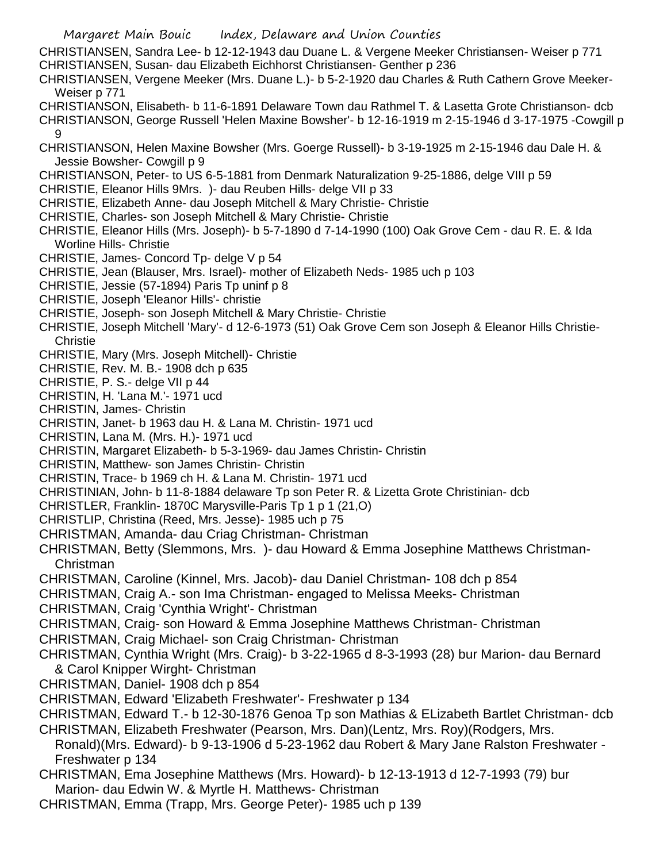- Margaret Main Bouic Index, Delaware and Union Counties CHRISTIANSEN, Sandra Lee- b 12-12-1943 dau Duane L. & Vergene Meeker Christiansen- Weiser p 771 CHRISTIANSEN, Susan- dau Elizabeth Eichhorst Christiansen- Genther p 236 CHRISTIANSEN, Vergene Meeker (Mrs. Duane L.)- b 5-2-1920 dau Charles & Ruth Cathern Grove Meeker-Weiser p 771 CHRISTIANSON, Elisabeth- b 11-6-1891 Delaware Town dau Rathmel T. & Lasetta Grote Christianson- dcb CHRISTIANSON, George Russell 'Helen Maxine Bowsher'- b 12-16-1919 m 2-15-1946 d 3-17-1975 -Cowgill p 9 CHRISTIANSON, Helen Maxine Bowsher (Mrs. Goerge Russell)- b 3-19-1925 m 2-15-1946 dau Dale H. & Jessie Bowsher- Cowgill p 9 CHRISTIANSON, Peter- to US 6-5-1881 from Denmark Naturalization 9-25-1886, delge VIII p 59 CHRISTIE, Eleanor Hills 9Mrs. )- dau Reuben Hills- delge VII p 33 CHRISTIE, Elizabeth Anne- dau Joseph Mitchell & Mary Christie- Christie CHRISTIE, Charles- son Joseph Mitchell & Mary Christie- Christie CHRISTIE, Eleanor Hills (Mrs. Joseph)- b 5-7-1890 d 7-14-1990 (100) Oak Grove Cem - dau R. E. & Ida Worline Hills- Christie CHRISTIE, James- Concord Tp- delge V p 54 CHRISTIE, Jean (Blauser, Mrs. Israel)- mother of Elizabeth Neds- 1985 uch p 103 CHRISTIE, Jessie (57-1894) Paris Tp uninf p 8 CHRISTIE, Joseph 'Eleanor Hills'- christie CHRISTIE, Joseph- son Joseph Mitchell & Mary Christie- Christie CHRISTIE, Joseph Mitchell 'Mary'- d 12-6-1973 (51) Oak Grove Cem son Joseph & Eleanor Hills Christie-**Christie** CHRISTIE, Mary (Mrs. Joseph Mitchell)- Christie CHRISTIE, Rev. M. B.- 1908 dch p 635 CHRISTIE, P. S.- delge VII p 44 CHRISTIN, H. 'Lana M.'- 1971 ucd CHRISTIN, James- Christin CHRISTIN, Janet- b 1963 dau H. & Lana M. Christin- 1971 ucd CHRISTIN, Lana M. (Mrs. H.)- 1971 ucd CHRISTIN, Margaret Elizabeth- b 5-3-1969- dau James Christin- Christin CHRISTIN, Matthew- son James Christin- Christin CHRISTIN, Trace- b 1969 ch H. & Lana M. Christin- 1971 ucd CHRISTINIAN, John- b 11-8-1884 delaware Tp son Peter R. & Lizetta Grote Christinian- dcb CHRISTLER, Franklin-1870C Marysville-Paris Tp 1 p 1 (21,0) CHRISTLIP, Christina (Reed, Mrs. Jesse)- 1985 uch p 75 CHRISTMAN, Amanda- dau Criag Christman- Christman CHRISTMAN, Betty (Slemmons, Mrs. )- dau Howard & Emma Josephine Matthews Christman-Christman CHRISTMAN, Caroline (Kinnel, Mrs. Jacob)- dau Daniel Christman- 108 dch p 854 CHRISTMAN, Craig A.- son Ima Christman- engaged to Melissa Meeks- Christman CHRISTMAN, Craig 'Cynthia Wright'- Christman CHRISTMAN, Craig- son Howard & Emma Josephine Matthews Christman- Christman CHRISTMAN, Craig Michael- son Craig Christman- Christman CHRISTMAN, Cynthia Wright (Mrs. Craig)- b 3-22-1965 d 8-3-1993 (28) bur Marion- dau Bernard & Carol Knipper Wirght- Christman CHRISTMAN, Daniel- 1908 dch p 854 CHRISTMAN, Edward 'Elizabeth Freshwater'- Freshwater p 134 CHRISTMAN, Edward T.- b 12-30-1876 Genoa Tp son Mathias & ELizabeth Bartlet Christman- dcb CHRISTMAN, Elizabeth Freshwater (Pearson, Mrs. Dan)(Lentz, Mrs. Roy)(Rodgers, Mrs. Ronald)(Mrs. Edward)- b 9-13-1906 d 5-23-1962 dau Robert & Mary Jane Ralston Freshwater - Freshwater p 134
- CHRISTMAN, Ema Josephine Matthews (Mrs. Howard)- b 12-13-1913 d 12-7-1993 (79) bur Marion- dau Edwin W. & Myrtle H. Matthews- Christman
- CHRISTMAN, Emma (Trapp, Mrs. George Peter)- 1985 uch p 139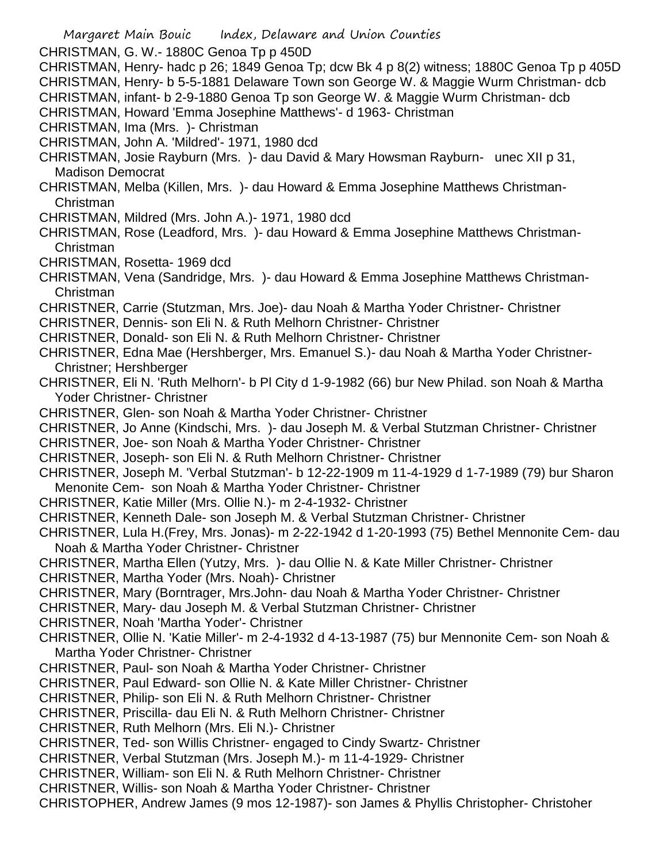- Margaret Main Bouic Index, Delaware and Union Counties CHRISTMAN, G. W.- 1880C Genoa Tp p 450D CHRISTMAN, Henry- hadc p 26; 1849 Genoa Tp; dcw Bk 4 p 8(2) witness; 1880C Genoa Tp p 405D CHRISTMAN, Henry- b 5-5-1881 Delaware Town son George W. & Maggie Wurm Christman- dcb CHRISTMAN, infant- b 2-9-1880 Genoa Tp son George W. & Maggie Wurm Christman- dcb CHRISTMAN, Howard 'Emma Josephine Matthews'- d 1963- Christman CHRISTMAN, Ima (Mrs. )- Christman CHRISTMAN, John A. 'Mildred'- 1971, 1980 dcd CHRISTMAN, Josie Rayburn (Mrs. )- dau David & Mary Howsman Rayburn- unec XII p 31, Madison Democrat CHRISTMAN, Melba (Killen, Mrs. )- dau Howard & Emma Josephine Matthews Christman-Christman CHRISTMAN, Mildred (Mrs. John A.)- 1971, 1980 dcd CHRISTMAN, Rose (Leadford, Mrs. )- dau Howard & Emma Josephine Matthews Christman-Christman CHRISTMAN, Rosetta- 1969 dcd CHRISTMAN, Vena (Sandridge, Mrs. )- dau Howard & Emma Josephine Matthews Christman-Christman CHRISTNER, Carrie (Stutzman, Mrs. Joe)- dau Noah & Martha Yoder Christner- Christner CHRISTNER, Dennis- son Eli N. & Ruth Melhorn Christner- Christner CHRISTNER, Donald- son Eli N. & Ruth Melhorn Christner- Christner CHRISTNER, Edna Mae (Hershberger, Mrs. Emanuel S.)- dau Noah & Martha Yoder Christner-Christner; Hershberger CHRISTNER, Eli N. 'Ruth Melhorn'- b Pl City d 1-9-1982 (66) bur New Philad. son Noah & Martha Yoder Christner- Christner CHRISTNER, Glen- son Noah & Martha Yoder Christner- Christner CHRISTNER, Jo Anne (Kindschi, Mrs. )- dau Joseph M. & Verbal Stutzman Christner- Christner CHRISTNER, Joe- son Noah & Martha Yoder Christner- Christner CHRISTNER, Joseph- son Eli N. & Ruth Melhorn Christner- Christner CHRISTNER, Joseph M. 'Verbal Stutzman'- b 12-22-1909 m 11-4-1929 d 1-7-1989 (79) bur Sharon Menonite Cem- son Noah & Martha Yoder Christner- Christner CHRISTNER, Katie Miller (Mrs. Ollie N.)- m 2-4-1932- Christner CHRISTNER, Kenneth Dale- son Joseph M. & Verbal Stutzman Christner- Christner CHRISTNER, Lula H.(Frey, Mrs. Jonas)- m 2-22-1942 d 1-20-1993 (75) Bethel Mennonite Cem- dau Noah & Martha Yoder Christner- Christner CHRISTNER, Martha Ellen (Yutzy, Mrs. )- dau Ollie N. & Kate Miller Christner- Christner CHRISTNER, Martha Yoder (Mrs. Noah)- Christner CHRISTNER, Mary (Borntrager, Mrs.John- dau Noah & Martha Yoder Christner- Christner CHRISTNER, Mary- dau Joseph M. & Verbal Stutzman Christner- Christner CHRISTNER, Noah 'Martha Yoder'- Christner CHRISTNER, Ollie N. 'Katie Miller'- m 2-4-1932 d 4-13-1987 (75) bur Mennonite Cem- son Noah & Martha Yoder Christner- Christner CHRISTNER, Paul- son Noah & Martha Yoder Christner- Christner CHRISTNER, Paul Edward- son Ollie N. & Kate Miller Christner- Christner CHRISTNER, Philip- son Eli N. & Ruth Melhorn Christner- Christner CHRISTNER, Priscilla- dau Eli N. & Ruth Melhorn Christner- Christner CHRISTNER, Ruth Melhorn (Mrs. Eli N.)- Christner CHRISTNER, Ted- son Willis Christner- engaged to Cindy Swartz- Christner CHRISTNER, Verbal Stutzman (Mrs. Joseph M.)- m 11-4-1929- Christner
- CHRISTNER, William- son Eli N. & Ruth Melhorn Christner- Christner
- CHRISTNER, Willis- son Noah & Martha Yoder Christner- Christner
- CHRISTOPHER, Andrew James (9 mos 12-1987)- son James & Phyllis Christopher- Christoher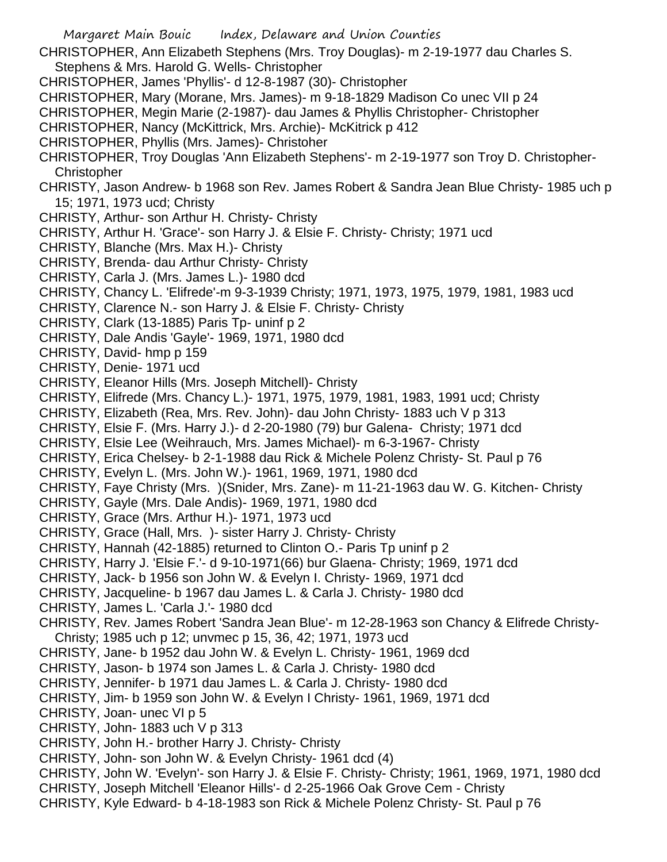Margaret Main Bouic Index, Delaware and Union Counties CHRISTOPHER, Ann Elizabeth Stephens (Mrs. Troy Douglas)- m 2-19-1977 dau Charles S. Stephens & Mrs. Harold G. Wells- Christopher CHRISTOPHER, James 'Phyllis'- d 12-8-1987 (30)- Christopher CHRISTOPHER, Mary (Morane, Mrs. James)- m 9-18-1829 Madison Co unec VII p 24 CHRISTOPHER, Megin Marie (2-1987)- dau James & Phyllis Christopher- Christopher CHRISTOPHER, Nancy (McKittrick, Mrs. Archie)- McKitrick p 412 CHRISTOPHER, Phyllis (Mrs. James)- Christoher CHRISTOPHER, Troy Douglas 'Ann Elizabeth Stephens'- m 2-19-1977 son Troy D. Christopher-**Christopher** CHRISTY, Jason Andrew- b 1968 son Rev. James Robert & Sandra Jean Blue Christy- 1985 uch p 15; 1971, 1973 ucd; Christy CHRISTY, Arthur- son Arthur H. Christy- Christy CHRISTY, Arthur H. 'Grace'- son Harry J. & Elsie F. Christy- Christy; 1971 ucd CHRISTY, Blanche (Mrs. Max H.)- Christy CHRISTY, Brenda- dau Arthur Christy- Christy CHRISTY, Carla J. (Mrs. James L.)- 1980 dcd CHRISTY, Chancy L. 'Elifrede'-m 9-3-1939 Christy; 1971, 1973, 1975, 1979, 1981, 1983 ucd CHRISTY, Clarence N.- son Harry J. & Elsie F. Christy- Christy CHRISTY, Clark (13-1885) Paris Tp- uninf p 2 CHRISTY, Dale Andis 'Gayle'- 1969, 1971, 1980 dcd CHRISTY, David- hmp p 159 CHRISTY, Denie- 1971 ucd CHRISTY, Eleanor Hills (Mrs. Joseph Mitchell)- Christy CHRISTY, Elifrede (Mrs. Chancy L.)- 1971, 1975, 1979, 1981, 1983, 1991 ucd; Christy CHRISTY, Elizabeth (Rea, Mrs. Rev. John)- dau John Christy- 1883 uch V p 313 CHRISTY, Elsie F. (Mrs. Harry J.)- d 2-20-1980 (79) bur Galena- Christy; 1971 dcd CHRISTY, Elsie Lee (Weihrauch, Mrs. James Michael)- m 6-3-1967- Christy CHRISTY, Erica Chelsey- b 2-1-1988 dau Rick & Michele Polenz Christy- St. Paul p 76 CHRISTY, Evelyn L. (Mrs. John W.)- 1961, 1969, 1971, 1980 dcd CHRISTY, Faye Christy (Mrs. )(Snider, Mrs. Zane)- m 11-21-1963 dau W. G. Kitchen- Christy CHRISTY, Gayle (Mrs. Dale Andis)- 1969, 1971, 1980 dcd CHRISTY, Grace (Mrs. Arthur H.)- 1971, 1973 ucd CHRISTY, Grace (Hall, Mrs. )- sister Harry J. Christy- Christy CHRISTY, Hannah (42-1885) returned to Clinton O.- Paris Tp uninf p 2 CHRISTY, Harry J. 'Elsie F.'- d 9-10-1971(66) bur Glaena- Christy; 1969, 1971 dcd CHRISTY, Jack- b 1956 son John W. & Evelyn I. Christy- 1969, 1971 dcd CHRISTY, Jacqueline- b 1967 dau James L. & Carla J. Christy- 1980 dcd CHRISTY, James L. 'Carla J.'- 1980 dcd CHRISTY, Rev. James Robert 'Sandra Jean Blue'- m 12-28-1963 son Chancy & Elifrede Christy-Christy; 1985 uch p 12; unvmec p 15, 36, 42; 1971, 1973 ucd CHRISTY, Jane- b 1952 dau John W. & Evelyn L. Christy- 1961, 1969 dcd CHRISTY, Jason- b 1974 son James L. & Carla J. Christy- 1980 dcd CHRISTY, Jennifer- b 1971 dau James L. & Carla J. Christy- 1980 dcd CHRISTY, Jim- b 1959 son John W. & Evelyn I Christy- 1961, 1969, 1971 dcd CHRISTY, Joan- unec VI p 5 CHRISTY, John- 1883 uch V p 313 CHRISTY, John H.- brother Harry J. Christy- Christy CHRISTY, John- son John W. & Evelyn Christy- 1961 dcd (4) CHRISTY, John W. 'Evelyn'- son Harry J. & Elsie F. Christy- Christy; 1961, 1969, 1971, 1980 dcd CHRISTY, Joseph Mitchell 'Eleanor Hills'- d 2-25-1966 Oak Grove Cem - Christy CHRISTY, Kyle Edward- b 4-18-1983 son Rick & Michele Polenz Christy- St. Paul p 76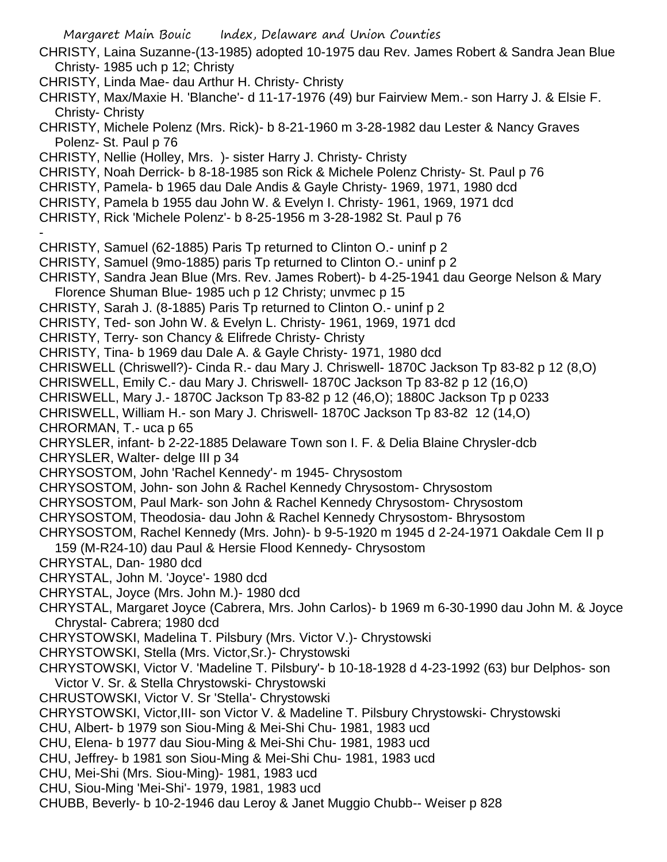Margaret Main Bouic Index, Delaware and Union Counties CHRISTY, Laina Suzanne-(13-1985) adopted 10-1975 dau Rev. James Robert & Sandra Jean Blue Christy- 1985 uch p 12; Christy CHRISTY, Linda Mae- dau Arthur H. Christy- Christy CHRISTY, Max/Maxie H. 'Blanche'- d 11-17-1976 (49) bur Fairview Mem.- son Harry J. & Elsie F. Christy- Christy CHRISTY, Michele Polenz (Mrs. Rick)- b 8-21-1960 m 3-28-1982 dau Lester & Nancy Graves Polenz- St. Paul p 76 CHRISTY, Nellie (Holley, Mrs. )- sister Harry J. Christy- Christy CHRISTY, Noah Derrick- b 8-18-1985 son Rick & Michele Polenz Christy- St. Paul p 76 CHRISTY, Pamela- b 1965 dau Dale Andis & Gayle Christy- 1969, 1971, 1980 dcd CHRISTY, Pamela b 1955 dau John W. & Evelyn I. Christy- 1961, 1969, 1971 dcd CHRISTY, Rick 'Michele Polenz'- b 8-25-1956 m 3-28-1982 St. Paul p 76 - CHRISTY, Samuel (62-1885) Paris Tp returned to Clinton O.- uninf p 2 CHRISTY, Samuel (9mo-1885) paris Tp returned to Clinton O.- uninf p 2 CHRISTY, Sandra Jean Blue (Mrs. Rev. James Robert)- b 4-25-1941 dau George Nelson & Mary Florence Shuman Blue- 1985 uch p 12 Christy; unvmec p 15 CHRISTY, Sarah J. (8-1885) Paris Tp returned to Clinton O.- uninf p 2 CHRISTY, Ted- son John W. & Evelyn L. Christy- 1961, 1969, 1971 dcd CHRISTY, Terry- son Chancy & Elifrede Christy- Christy CHRISTY, Tina- b 1969 dau Dale A. & Gayle Christy- 1971, 1980 dcd CHRISWELL (Chriswell?)- Cinda R.- dau Mary J. Chriswell- 1870C Jackson Tp 83-82 p 12 (8,O) CHRISWELL, Emily C.- dau Mary J. Chriswell- 1870C Jackson Tp 83-82 p 12 (16,O) CHRISWELL, Mary J.- 1870C Jackson Tp 83-82 p 12 (46,O); 1880C Jackson Tp p 0233 CHRISWELL, William H.- son Mary J. Chriswell- 1870C Jackson Tp 83-82 12 (14,O) CHRORMAN, T.- uca p 65 CHRYSLER, infant- b 2-22-1885 Delaware Town son I. F. & Delia Blaine Chrysler-dcb CHRYSLER, Walter- delge III p 34 CHRYSOSTOM, John 'Rachel Kennedy'- m 1945- Chrysostom CHRYSOSTOM, John- son John & Rachel Kennedy Chrysostom- Chrysostom CHRYSOSTOM, Paul Mark- son John & Rachel Kennedy Chrysostom- Chrysostom CHRYSOSTOM, Theodosia- dau John & Rachel Kennedy Chrysostom- Bhrysostom CHRYSOSTOM, Rachel Kennedy (Mrs. John)- b 9-5-1920 m 1945 d 2-24-1971 Oakdale Cem II p 159 (M-R24-10) dau Paul & Hersie Flood Kennedy- Chrysostom CHRYSTAL, Dan- 1980 dcd CHRYSTAL, John M. 'Joyce'- 1980 dcd CHRYSTAL, Joyce (Mrs. John M.)- 1980 dcd CHRYSTAL, Margaret Joyce (Cabrera, Mrs. John Carlos)- b 1969 m 6-30-1990 dau John M. & Joyce Chrystal- Cabrera; 1980 dcd CHRYSTOWSKI, Madelina T. Pilsbury (Mrs. Victor V.)- Chrystowski CHRYSTOWSKI, Stella (Mrs. Victor,Sr.)- Chrystowski CHRYSTOWSKI, Victor V. 'Madeline T. Pilsbury'- b 10-18-1928 d 4-23-1992 (63) bur Delphos- son Victor V. Sr. & Stella Chrystowski- Chrystowski CHRUSTOWSKI, Victor V. Sr 'Stella'- Chrystowski CHRYSTOWSKI, Victor,III- son Victor V. & Madeline T. Pilsbury Chrystowski- Chrystowski CHU, Albert- b 1979 son Siou-Ming & Mei-Shi Chu- 1981, 1983 ucd CHU, Elena- b 1977 dau Siou-Ming & Mei-Shi Chu- 1981, 1983 ucd CHU, Jeffrey- b 1981 son Siou-Ming & Mei-Shi Chu- 1981, 1983 ucd CHU, Mei-Shi (Mrs. Siou-Ming)- 1981, 1983 ucd CHU, Siou-Ming 'Mei-Shi'- 1979, 1981, 1983 ucd CHUBB, Beverly- b 10-2-1946 dau Leroy & Janet Muggio Chubb-- Weiser p 828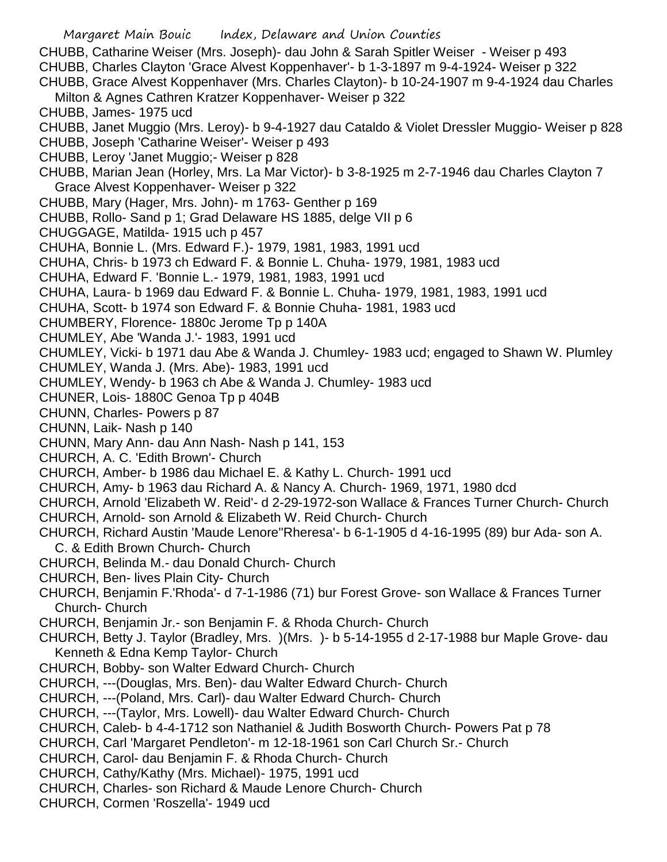Margaret Main Bouic Index, Delaware and Union Counties CHUBB, Catharine Weiser (Mrs. Joseph)- dau John & Sarah Spitler Weiser - Weiser p 493 CHUBB, Charles Clayton 'Grace Alvest Koppenhaver'- b 1-3-1897 m 9-4-1924- Weiser p 322 CHUBB, Grace Alvest Koppenhaver (Mrs. Charles Clayton)- b 10-24-1907 m 9-4-1924 dau Charles Milton & Agnes Cathren Kratzer Koppenhaver- Weiser p 322 CHUBB, James- 1975 ucd CHUBB, Janet Muggio (Mrs. Leroy)- b 9-4-1927 dau Cataldo & Violet Dressler Muggio- Weiser p 828 CHUBB, Joseph 'Catharine Weiser'- Weiser p 493 CHUBB, Leroy 'Janet Muggio;- Weiser p 828 CHUBB, Marian Jean (Horley, Mrs. La Mar Victor)- b 3-8-1925 m 2-7-1946 dau Charles Clayton 7 Grace Alvest Koppenhaver- Weiser p 322 CHUBB, Mary (Hager, Mrs. John)- m 1763- Genther p 169 CHUBB, Rollo- Sand p 1; Grad Delaware HS 1885, delge VII p 6 CHUGGAGE, Matilda- 1915 uch p 457 CHUHA, Bonnie L. (Mrs. Edward F.)- 1979, 1981, 1983, 1991 ucd CHUHA, Chris- b 1973 ch Edward F. & Bonnie L. Chuha- 1979, 1981, 1983 ucd CHUHA, Edward F. 'Bonnie L.- 1979, 1981, 1983, 1991 ucd CHUHA, Laura- b 1969 dau Edward F. & Bonnie L. Chuha- 1979, 1981, 1983, 1991 ucd CHUHA, Scott- b 1974 son Edward F. & Bonnie Chuha- 1981, 1983 ucd CHUMBERY, Florence- 1880c Jerome Tp p 140A CHUMLEY, Abe 'Wanda J.'- 1983, 1991 ucd CHUMLEY, Vicki- b 1971 dau Abe & Wanda J. Chumley- 1983 ucd; engaged to Shawn W. Plumley CHUMLEY, Wanda J. (Mrs. Abe)- 1983, 1991 ucd CHUMLEY, Wendy- b 1963 ch Abe & Wanda J. Chumley- 1983 ucd CHUNER, Lois- 1880C Genoa Tp p 404B CHUNN, Charles- Powers p 87 CHUNN, Laik- Nash p 140 CHUNN, Mary Ann- dau Ann Nash- Nash p 141, 153 CHURCH, A. C. 'Edith Brown'- Church CHURCH, Amber- b 1986 dau Michael E. & Kathy L. Church- 1991 ucd CHURCH, Amy- b 1963 dau Richard A. & Nancy A. Church- 1969, 1971, 1980 dcd CHURCH, Arnold 'Elizabeth W. Reid'- d 2-29-1972-son Wallace & Frances Turner Church- Church CHURCH, Arnold- son Arnold & Elizabeth W. Reid Church- Church CHURCH, Richard Austin 'Maude Lenore''Rheresa'- b 6-1-1905 d 4-16-1995 (89) bur Ada- son A. C. & Edith Brown Church- Church CHURCH, Belinda M.- dau Donald Church- Church CHURCH, Ben- lives Plain City- Church CHURCH, Benjamin F.'Rhoda'- d 7-1-1986 (71) bur Forest Grove- son Wallace & Frances Turner Church- Church CHURCH, Benjamin Jr.- son Benjamin F. & Rhoda Church- Church CHURCH, Betty J. Taylor (Bradley, Mrs. )(Mrs. )- b 5-14-1955 d 2-17-1988 bur Maple Grove- dau Kenneth & Edna Kemp Taylor- Church CHURCH, Bobby- son Walter Edward Church- Church CHURCH, ---(Douglas, Mrs. Ben)- dau Walter Edward Church- Church CHURCH, ---(Poland, Mrs. Carl)- dau Walter Edward Church- Church CHURCH, ---(Taylor, Mrs. Lowell)- dau Walter Edward Church- Church CHURCH, Caleb- b 4-4-1712 son Nathaniel & Judith Bosworth Church- Powers Pat p 78 CHURCH, Carl 'Margaret Pendleton'- m 12-18-1961 son Carl Church Sr.- Church CHURCH, Carol- dau Benjamin F. & Rhoda Church- Church

- CHURCH, Cathy/Kathy (Mrs. Michael)- 1975, 1991 ucd
- CHURCH, Charles- son Richard & Maude Lenore Church- Church
- CHURCH, Cormen 'Roszella'- 1949 ucd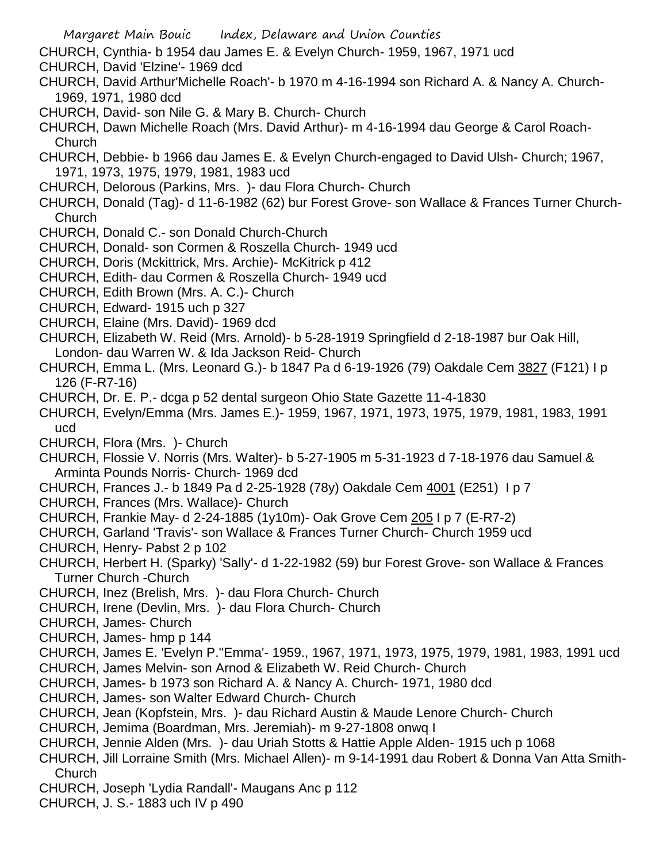Margaret Main Bouic Index, Delaware and Union Counties CHURCH, Cynthia- b 1954 dau James E. & Evelyn Church- 1959, 1967, 1971 ucd CHURCH, David 'Elzine'- 1969 dcd CHURCH, David Arthur'Michelle Roach'- b 1970 m 4-16-1994 son Richard A. & Nancy A. Church-1969, 1971, 1980 dcd CHURCH, David- son Nile G. & Mary B. Church- Church CHURCH, Dawn Michelle Roach (Mrs. David Arthur)- m 4-16-1994 dau George & Carol Roach-Church CHURCH, Debbie- b 1966 dau James E. & Evelyn Church-engaged to David Ulsh- Church; 1967, 1971, 1973, 1975, 1979, 1981, 1983 ucd CHURCH, Delorous (Parkins, Mrs. )- dau Flora Church- Church CHURCH, Donald (Tag)- d 11-6-1982 (62) bur Forest Grove- son Wallace & Frances Turner Church-**Church** CHURCH, Donald C.- son Donald Church-Church CHURCH, Donald- son Cormen & Roszella Church- 1949 ucd CHURCH, Doris (Mckittrick, Mrs. Archie)- McKitrick p 412 CHURCH, Edith- dau Cormen & Roszella Church- 1949 ucd CHURCH, Edith Brown (Mrs. A. C.)- Church CHURCH, Edward- 1915 uch p 327 CHURCH, Elaine (Mrs. David)- 1969 dcd CHURCH, Elizabeth W. Reid (Mrs. Arnold)- b 5-28-1919 Springfield d 2-18-1987 bur Oak Hill, London- dau Warren W. & Ida Jackson Reid- Church CHURCH, Emma L. (Mrs. Leonard G.)- b 1847 Pa d 6-19-1926 (79) Oakdale Cem 3827 (F121) I p 126 (F-R7-16) CHURCH, Dr. E. P.- dcga p 52 dental surgeon Ohio State Gazette 11-4-1830 CHURCH, Evelyn/Emma (Mrs. James E.)- 1959, 1967, 1971, 1973, 1975, 1979, 1981, 1983, 1991 ucd CHURCH, Flora (Mrs. )- Church CHURCH, Flossie V. Norris (Mrs. Walter)- b 5-27-1905 m 5-31-1923 d 7-18-1976 dau Samuel & Arminta Pounds Norris- Church- 1969 dcd CHURCH, Frances J.- b 1849 Pa d 2-25-1928 (78y) Oakdale Cem 4001 (E251) I p 7 CHURCH, Frances (Mrs. Wallace)- Church CHURCH, Frankie May- d 2-24-1885 (1y10m)- Oak Grove Cem 205 I p 7 (E-R7-2) CHURCH, Garland 'Travis'- son Wallace & Frances Turner Church- Church 1959 ucd CHURCH, Henry- Pabst 2 p 102 CHURCH, Herbert H. (Sparky) 'Sally'- d 1-22-1982 (59) bur Forest Grove- son Wallace & Frances Turner Church -Church CHURCH, Inez (Brelish, Mrs. )- dau Flora Church- Church CHURCH, Irene (Devlin, Mrs. )- dau Flora Church- Church CHURCH, James- Church CHURCH, James- hmp p 144 CHURCH, James E. 'Evelyn P.''Emma'- 1959., 1967, 1971, 1973, 1975, 1979, 1981, 1983, 1991 ucd CHURCH, James Melvin- son Arnod & Elizabeth W. Reid Church- Church CHURCH, James- b 1973 son Richard A. & Nancy A. Church- 1971, 1980 dcd CHURCH, James- son Walter Edward Church- Church CHURCH, Jean (Kopfstein, Mrs. )- dau Richard Austin & Maude Lenore Church- Church CHURCH, Jemima (Boardman, Mrs. Jeremiah)- m 9-27-1808 onwq I CHURCH, Jennie Alden (Mrs. )- dau Uriah Stotts & Hattie Apple Alden- 1915 uch p 1068 CHURCH, Jill Lorraine Smith (Mrs. Michael Allen)- m 9-14-1991 dau Robert & Donna Van Atta Smith-Church CHURCH, Joseph 'Lydia Randall'- Maugans Anc p 112 CHURCH, J. S.- 1883 uch IV p 490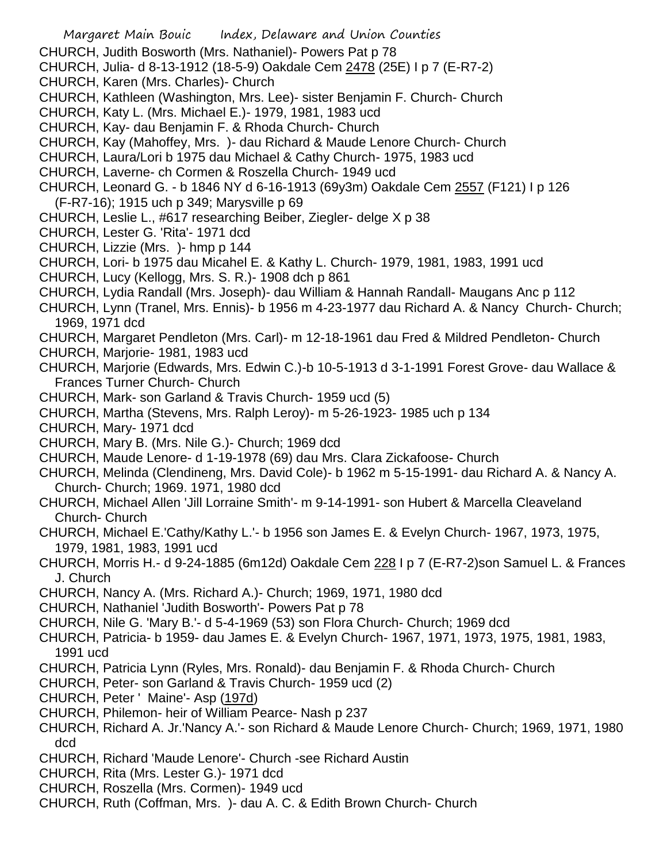- Margaret Main Bouic Index, Delaware and Union Counties CHURCH, Judith Bosworth (Mrs. Nathaniel)- Powers Pat p 78 CHURCH, Julia- d 8-13-1912 (18-5-9) Oakdale Cem 2478 (25E) I p 7 (E-R7-2) CHURCH, Karen (Mrs. Charles)- Church CHURCH, Kathleen (Washington, Mrs. Lee)- sister Benjamin F. Church- Church CHURCH, Katy L. (Mrs. Michael E.)- 1979, 1981, 1983 ucd CHURCH, Kay- dau Benjamin F. & Rhoda Church- Church CHURCH, Kay (Mahoffey, Mrs. )- dau Richard & Maude Lenore Church- Church CHURCH, Laura/Lori b 1975 dau Michael & Cathy Church- 1975, 1983 ucd CHURCH, Laverne- ch Cormen & Roszella Church- 1949 ucd CHURCH, Leonard G. - b 1846 NY d 6-16-1913 (69y3m) Oakdale Cem 2557 (F121) I p 126 (F-R7-16); 1915 uch p 349; Marysville p 69 CHURCH, Leslie L., #617 researching Beiber, Ziegler- delge X p 38 CHURCH, Lester G. 'Rita'- 1971 dcd CHURCH, Lizzie (Mrs. )- hmp p 144 CHURCH, Lori- b 1975 dau Micahel E. & Kathy L. Church- 1979, 1981, 1983, 1991 ucd CHURCH, Lucy (Kellogg, Mrs. S. R.)- 1908 dch p 861 CHURCH, Lydia Randall (Mrs. Joseph)- dau William & Hannah Randall- Maugans Anc p 112 CHURCH, Lynn (Tranel, Mrs. Ennis)- b 1956 m 4-23-1977 dau Richard A. & Nancy Church- Church; 1969, 1971 dcd CHURCH, Margaret Pendleton (Mrs. Carl)- m 12-18-1961 dau Fred & Mildred Pendleton- Church CHURCH, Marjorie- 1981, 1983 ucd CHURCH, Marjorie (Edwards, Mrs. Edwin C.)-b 10-5-1913 d 3-1-1991 Forest Grove- dau Wallace & Frances Turner Church- Church CHURCH, Mark- son Garland & Travis Church- 1959 ucd (5) CHURCH, Martha (Stevens, Mrs. Ralph Leroy)- m 5-26-1923- 1985 uch p 134 CHURCH, Mary- 1971 dcd CHURCH, Mary B. (Mrs. Nile G.)- Church; 1969 dcd CHURCH, Maude Lenore- d 1-19-1978 (69) dau Mrs. Clara Zickafoose- Church CHURCH, Melinda (Clendineng, Mrs. David Cole)- b 1962 m 5-15-1991- dau Richard A. & Nancy A. Church- Church; 1969. 1971, 1980 dcd CHURCH, Michael Allen 'Jill Lorraine Smith'- m 9-14-1991- son Hubert & Marcella Cleaveland Church- Church CHURCH, Michael E.'Cathy/Kathy L.'- b 1956 son James E. & Evelyn Church- 1967, 1973, 1975, 1979, 1981, 1983, 1991 ucd CHURCH, Morris H.- d 9-24-1885 (6m12d) Oakdale Cem 228 I p 7 (E-R7-2)son Samuel L. & Frances J. Church CHURCH, Nancy A. (Mrs. Richard A.)- Church; 1969, 1971, 1980 dcd CHURCH, Nathaniel 'Judith Bosworth'- Powers Pat p 78 CHURCH, Nile G. 'Mary B.'- d 5-4-1969 (53) son Flora Church- Church; 1969 dcd CHURCH, Patricia- b 1959- dau James E. & Evelyn Church- 1967, 1971, 1973, 1975, 1981, 1983, 1991 ucd CHURCH, Patricia Lynn (Ryles, Mrs. Ronald)- dau Benjamin F. & Rhoda Church- Church
	- CHURCH, Peter- son Garland & Travis Church- 1959 ucd (2)
	- CHURCH, Peter ' Maine'- Asp (197d)
	- CHURCH, Philemon- heir of William Pearce- Nash p 237
	- CHURCH, Richard A. Jr.'Nancy A.'- son Richard & Maude Lenore Church- Church; 1969, 1971, 1980 dcd
	- CHURCH, Richard 'Maude Lenore'- Church -see Richard Austin
	- CHURCH, Rita (Mrs. Lester G.)- 1971 dcd
	- CHURCH, Roszella (Mrs. Cormen)- 1949 ucd
	- CHURCH, Ruth (Coffman, Mrs. )- dau A. C. & Edith Brown Church- Church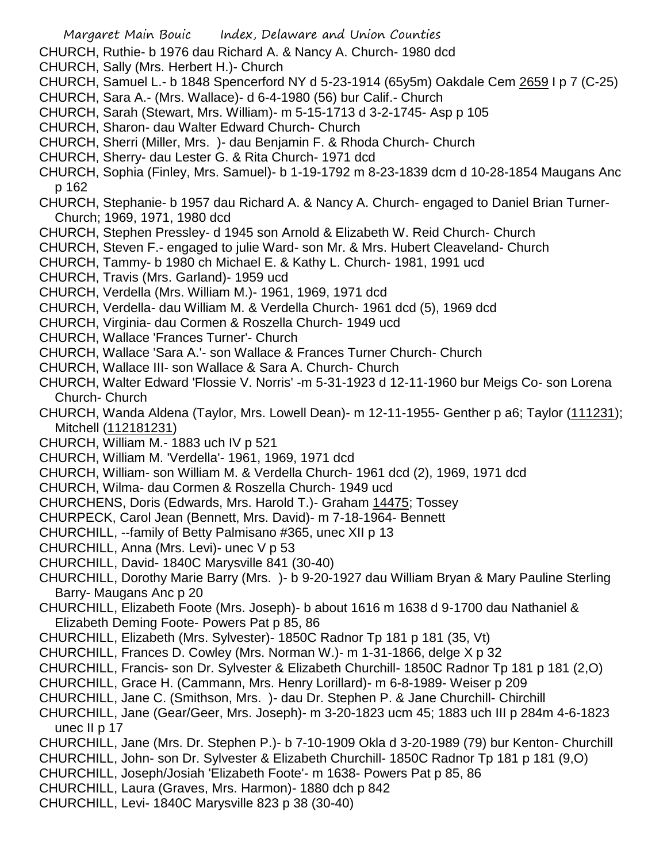Margaret Main Bouic Index, Delaware and Union Counties CHURCH, Ruthie- b 1976 dau Richard A. & Nancy A. Church- 1980 dcd CHURCH, Sally (Mrs. Herbert H.)- Church CHURCH, Samuel L.- b 1848 Spencerford NY d 5-23-1914 (65y5m) Oakdale Cem 2659 I p 7 (C-25) CHURCH, Sara A.- (Mrs. Wallace)- d 6-4-1980 (56) bur Calif.- Church CHURCH, Sarah (Stewart, Mrs. William)- m 5-15-1713 d 3-2-1745- Asp p 105 CHURCH, Sharon- dau Walter Edward Church- Church CHURCH, Sherri (Miller, Mrs. )- dau Benjamin F. & Rhoda Church- Church CHURCH, Sherry- dau Lester G. & Rita Church- 1971 dcd CHURCH, Sophia (Finley, Mrs. Samuel)- b 1-19-1792 m 8-23-1839 dcm d 10-28-1854 Maugans Anc p 162 CHURCH, Stephanie- b 1957 dau Richard A. & Nancy A. Church- engaged to Daniel Brian Turner-Church; 1969, 1971, 1980 dcd CHURCH, Stephen Pressley- d 1945 son Arnold & Elizabeth W. Reid Church- Church CHURCH, Steven F.- engaged to julie Ward- son Mr. & Mrs. Hubert Cleaveland- Church CHURCH, Tammy- b 1980 ch Michael E. & Kathy L. Church- 1981, 1991 ucd CHURCH, Travis (Mrs. Garland)- 1959 ucd CHURCH, Verdella (Mrs. William M.)- 1961, 1969, 1971 dcd CHURCH, Verdella- dau William M. & Verdella Church- 1961 dcd (5), 1969 dcd CHURCH, Virginia- dau Cormen & Roszella Church- 1949 ucd CHURCH, Wallace 'Frances Turner'- Church CHURCH, Wallace 'Sara A.'- son Wallace & Frances Turner Church- Church CHURCH, Wallace III- son Wallace & Sara A. Church- Church CHURCH, Walter Edward 'Flossie V. Norris' -m 5-31-1923 d 12-11-1960 bur Meigs Co- son Lorena Church- Church CHURCH, Wanda Aldena (Taylor, Mrs. Lowell Dean)- m 12-11-1955- Genther p a6; Taylor (111231); Mitchell (112181231) CHURCH, William M.- 1883 uch IV p 521 CHURCH, William M. 'Verdella'- 1961, 1969, 1971 dcd CHURCH, William- son William M. & Verdella Church- 1961 dcd (2), 1969, 1971 dcd CHURCH, Wilma- dau Cormen & Roszella Church- 1949 ucd CHURCHENS, Doris (Edwards, Mrs. Harold T.)- Graham 14475; Tossey CHURPECK, Carol Jean (Bennett, Mrs. David)- m 7-18-1964- Bennett CHURCHILL, --family of Betty Palmisano #365, unec XII p 13 CHURCHILL, Anna (Mrs. Levi)- unec V p 53 CHURCHILL, David- 1840C Marysville 841 (30-40) CHURCHILL, Dorothy Marie Barry (Mrs. )- b 9-20-1927 dau William Bryan & Mary Pauline Sterling Barry- Maugans Anc p 20 CHURCHILL, Elizabeth Foote (Mrs. Joseph)- b about 1616 m 1638 d 9-1700 dau Nathaniel & Elizabeth Deming Foote- Powers Pat p 85, 86 CHURCHILL, Elizabeth (Mrs. Sylvester)- 1850C Radnor Tp 181 p 181 (35, Vt) CHURCHILL, Frances D. Cowley (Mrs. Norman W.)- m 1-31-1866, delge X p 32 CHURCHILL, Francis- son Dr. Sylvester & Elizabeth Churchill- 1850C Radnor Tp 181 p 181 (2,O) CHURCHILL, Grace H. (Cammann, Mrs. Henry Lorillard)- m 6-8-1989- Weiser p 209 CHURCHILL, Jane C. (Smithson, Mrs. )- dau Dr. Stephen P. & Jane Churchill- Chirchill CHURCHILL, Jane (Gear/Geer, Mrs. Joseph)- m 3-20-1823 ucm 45; 1883 uch III p 284m 4-6-1823 unec II p 17 CHURCHILL, Jane (Mrs. Dr. Stephen P.)- b 7-10-1909 Okla d 3-20-1989 (79) bur Kenton- Churchill CHURCHILL, John- son Dr. Sylvester & Elizabeth Churchill- 1850C Radnor Tp 181 p 181 (9,O) CHURCHILL, Joseph/Josiah 'Elizabeth Foote'- m 1638- Powers Pat p 85, 86 CHURCHILL, Laura (Graves, Mrs. Harmon)- 1880 dch p 842 CHURCHILL, Levi- 1840C Marysville 823 p 38 (30-40)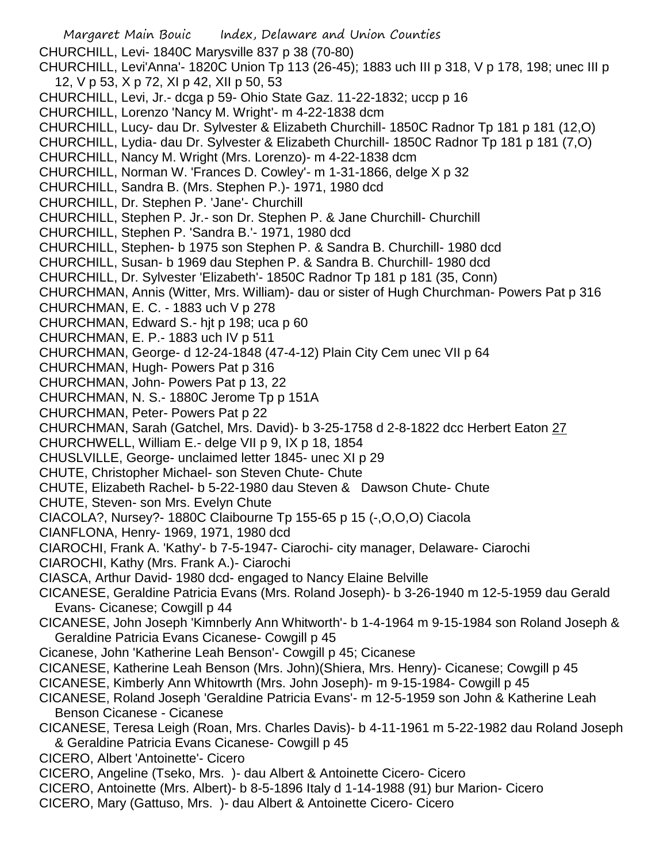Margaret Main Bouic Index, Delaware and Union Counties CHURCHILL, Levi- 1840C Marysville 837 p 38 (70-80) CHURCHILL, Levi'Anna'- 1820C Union Tp 113 (26-45); 1883 uch III p 318, V p 178, 198; unec III p 12, V p 53, X p 72, XI p 42, XII p 50, 53 CHURCHILL, Levi, Jr.- dcga p 59- Ohio State Gaz. 11-22-1832; uccp p 16 CHURCHILL, Lorenzo 'Nancy M. Wright'- m 4-22-1838 dcm CHURCHILL, Lucy- dau Dr. Sylvester & Elizabeth Churchill- 1850C Radnor Tp 181 p 181 (12,O) CHURCHILL, Lydia- dau Dr. Sylvester & Elizabeth Churchill- 1850C Radnor Tp 181 p 181 (7,O) CHURCHILL, Nancy M. Wright (Mrs. Lorenzo)- m 4-22-1838 dcm CHURCHILL, Norman W. 'Frances D. Cowley'- m 1-31-1866, delge X p 32 CHURCHILL, Sandra B. (Mrs. Stephen P.)- 1971, 1980 dcd CHURCHILL, Dr. Stephen P. 'Jane'- Churchill CHURCHILL, Stephen P. Jr.- son Dr. Stephen P. & Jane Churchill- Churchill CHURCHILL, Stephen P. 'Sandra B.'- 1971, 1980 dcd CHURCHILL, Stephen- b 1975 son Stephen P. & Sandra B. Churchill- 1980 dcd CHURCHILL, Susan- b 1969 dau Stephen P. & Sandra B. Churchill- 1980 dcd CHURCHILL, Dr. Sylvester 'Elizabeth'- 1850C Radnor Tp 181 p 181 (35, Conn) CHURCHMAN, Annis (Witter, Mrs. William)- dau or sister of Hugh Churchman- Powers Pat p 316 CHURCHMAN, E. C. - 1883 uch V p 278 CHURCHMAN, Edward S.- hjt p 198; uca p 60 CHURCHMAN, E. P.- 1883 uch IV p 511 CHURCHMAN, George- d 12-24-1848 (47-4-12) Plain City Cem unec VII p 64 CHURCHMAN, Hugh- Powers Pat p 316 CHURCHMAN, John- Powers Pat p 13, 22 CHURCHMAN, N. S.- 1880C Jerome Tp p 151A CHURCHMAN, Peter- Powers Pat p 22 CHURCHMAN, Sarah (Gatchel, Mrs. David)- b 3-25-1758 d 2-8-1822 dcc Herbert Eaton 27 CHURCHWELL, William E.- delge VII p 9, IX p 18, 1854 CHUSLVILLE, George- unclaimed letter 1845- unec XI p 29 CHUTE, Christopher Michael- son Steven Chute- Chute CHUTE, Elizabeth Rachel- b 5-22-1980 dau Steven & Dawson Chute- Chute CHUTE, Steven- son Mrs. Evelyn Chute CIACOLA?, Nursey?- 1880C Claibourne Tp 155-65 p 15 (-,O,O,O) Ciacola CIANFLONA, Henry- 1969, 1971, 1980 dcd CIAROCHI, Frank A. 'Kathy'- b 7-5-1947- Ciarochi- city manager, Delaware- Ciarochi CIAROCHI, Kathy (Mrs. Frank A.)- Ciarochi CIASCA, Arthur David- 1980 dcd- engaged to Nancy Elaine Belville CICANESE, Geraldine Patricia Evans (Mrs. Roland Joseph)- b 3-26-1940 m 12-5-1959 dau Gerald Evans- Cicanese; Cowgill p 44 CICANESE, John Joseph 'Kimnberly Ann Whitworth'- b 1-4-1964 m 9-15-1984 son Roland Joseph & Geraldine Patricia Evans Cicanese- Cowgill p 45 Cicanese, John 'Katherine Leah Benson'- Cowgill p 45; Cicanese CICANESE, Katherine Leah Benson (Mrs. John)(Shiera, Mrs. Henry)- Cicanese; Cowgill p 45 CICANESE, Kimberly Ann Whitowrth (Mrs. John Joseph)- m 9-15-1984- Cowgill p 45 CICANESE, Roland Joseph 'Geraldine Patricia Evans'- m 12-5-1959 son John & Katherine Leah Benson Cicanese - Cicanese CICANESE, Teresa Leigh (Roan, Mrs. Charles Davis)- b 4-11-1961 m 5-22-1982 dau Roland Joseph & Geraldine Patricia Evans Cicanese- Cowgill p 45 CICERO, Albert 'Antoinette'- Cicero CICERO, Angeline (Tseko, Mrs. )- dau Albert & Antoinette Cicero- Cicero CICERO, Antoinette (Mrs. Albert)- b 8-5-1896 Italy d 1-14-1988 (91) bur Marion- Cicero CICERO, Mary (Gattuso, Mrs. )- dau Albert & Antoinette Cicero- Cicero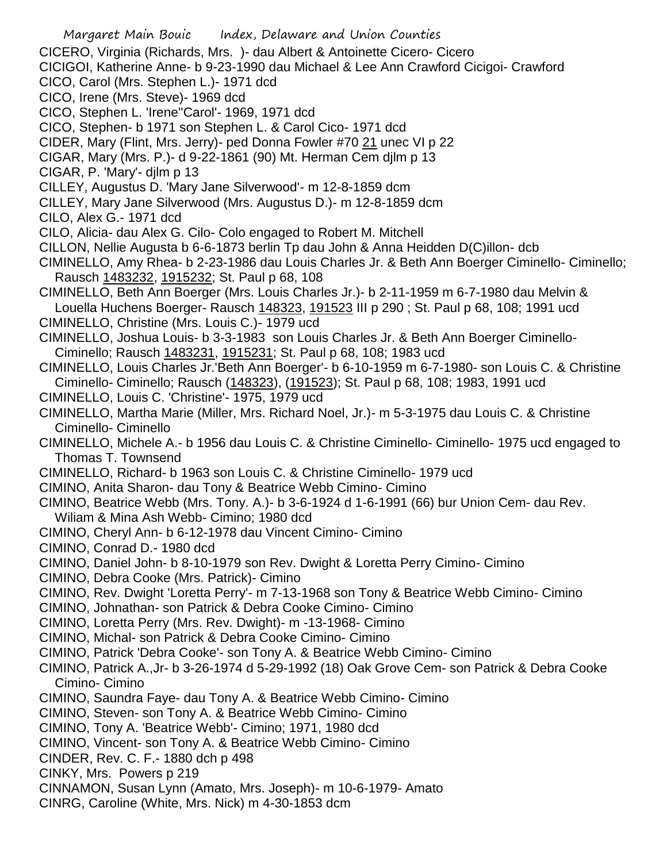Margaret Main Bouic Index, Delaware and Union Counties CICERO, Virginia (Richards, Mrs. )- dau Albert & Antoinette Cicero- Cicero CICIGOI, Katherine Anne- b 9-23-1990 dau Michael & Lee Ann Crawford Cicigoi- Crawford CICO, Carol (Mrs. Stephen L.)- 1971 dcd CICO, Irene (Mrs. Steve)- 1969 dcd CICO, Stephen L. 'Irene''Carol'- 1969, 1971 dcd CICO, Stephen- b 1971 son Stephen L. & Carol Cico- 1971 dcd CIDER, Mary (Flint, Mrs. Jerry)- ped Donna Fowler #70 21 unec VI p 22 CIGAR, Mary (Mrs. P.)- d 9-22-1861 (90) Mt. Herman Cem djlm p 13 CIGAR, P. 'Mary'- djlm p 13 CILLEY, Augustus D. 'Mary Jane Silverwood'- m 12-8-1859 dcm CILLEY, Mary Jane Silverwood (Mrs. Augustus D.)- m 12-8-1859 dcm CILO, Alex G.- 1971 dcd CILO, Alicia- dau Alex G. Cilo- Colo engaged to Robert M. Mitchell CILLON, Nellie Augusta b 6-6-1873 berlin Tp dau John & Anna Heidden D(C)illon- dcb CIMINELLO, Amy Rhea- b 2-23-1986 dau Louis Charles Jr. & Beth Ann Boerger Ciminello- Ciminello; Rausch 1483232, 1915232; St. Paul p 68, 108 CIMINELLO, Beth Ann Boerger (Mrs. Louis Charles Jr.)- b 2-11-1959 m 6-7-1980 dau Melvin & Louella Huchens Boerger- Rausch 148323, 191523 III p 290 ; St. Paul p 68, 108; 1991 ucd CIMINELLO, Christine (Mrs. Louis C.)- 1979 ucd CIMINELLO, Joshua Louis- b 3-3-1983 son Louis Charles Jr. & Beth Ann Boerger Ciminello-Ciminello; Rausch 1483231, 1915231; St. Paul p 68, 108; 1983 ucd CIMINELLO, Louis Charles Jr.'Beth Ann Boerger'- b 6-10-1959 m 6-7-1980- son Louis C. & Christine Ciminello- Ciminello; Rausch (148323), (191523); St. Paul p 68, 108; 1983, 1991 ucd CIMINELLO, Louis C. 'Christine'- 1975, 1979 ucd CIMINELLO, Martha Marie (Miller, Mrs. Richard Noel, Jr.)- m 5-3-1975 dau Louis C. & Christine Ciminello- Ciminello CIMINELLO, Michele A.- b 1956 dau Louis C. & Christine Ciminello- Ciminello- 1975 ucd engaged to Thomas T. Townsend CIMINELLO, Richard- b 1963 son Louis C. & Christine Ciminello- 1979 ucd CIMINO, Anita Sharon- dau Tony & Beatrice Webb Cimino- Cimino CIMINO, Beatrice Webb (Mrs. Tony. A.)- b 3-6-1924 d 1-6-1991 (66) bur Union Cem- dau Rev. Wiliam & Mina Ash Webb- Cimino; 1980 dcd CIMINO, Cheryl Ann- b 6-12-1978 dau Vincent Cimino- Cimino CIMINO, Conrad D.- 1980 dcd CIMINO, Daniel John- b 8-10-1979 son Rev. Dwight & Loretta Perry Cimino- Cimino CIMINO, Debra Cooke (Mrs. Patrick)- Cimino CIMINO, Rev. Dwight 'Loretta Perry'- m 7-13-1968 son Tony & Beatrice Webb Cimino- Cimino CIMINO, Johnathan- son Patrick & Debra Cooke Cimino- Cimino CIMINO, Loretta Perry (Mrs. Rev. Dwight)- m -13-1968- Cimino CIMINO, Michal- son Patrick & Debra Cooke Cimino- Cimino CIMINO, Patrick 'Debra Cooke'- son Tony A. & Beatrice Webb Cimino- Cimino CIMINO, Patrick A.,Jr- b 3-26-1974 d 5-29-1992 (18) Oak Grove Cem- son Patrick & Debra Cooke Cimino- Cimino CIMINO, Saundra Faye- dau Tony A. & Beatrice Webb Cimino- Cimino CIMINO, Steven- son Tony A. & Beatrice Webb Cimino- Cimino CIMINO, Tony A. 'Beatrice Webb'- Cimino; 1971, 1980 dcd CIMINO, Vincent- son Tony A. & Beatrice Webb Cimino- Cimino CINDER, Rev. C. F.- 1880 dch p 498 CINKY, Mrs. Powers p 219 CINNAMON, Susan Lynn (Amato, Mrs. Joseph)- m 10-6-1979- Amato CINRG, Caroline (White, Mrs. Nick) m 4-30-1853 dcm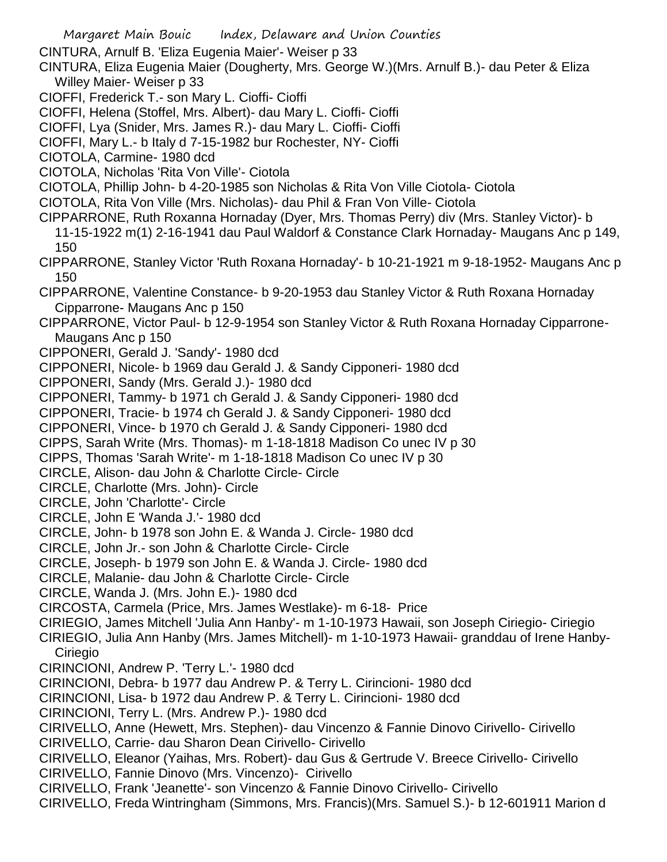- Margaret Main Bouic Index, Delaware and Union Counties CINTURA, Arnulf B. 'Eliza Eugenia Maier'- Weiser p 33 CINTURA, Eliza Eugenia Maier (Dougherty, Mrs. George W.)(Mrs. Arnulf B.)- dau Peter & Eliza Willey Maier- Weiser p 33 CIOFFI, Frederick T.- son Mary L. Cioffi- Cioffi CIOFFI, Helena (Stoffel, Mrs. Albert)- dau Mary L. Cioffi- Cioffi CIOFFI, Lya (Snider, Mrs. James R.)- dau Mary L. Cioffi- Cioffi CIOFFI, Mary L.- b Italy d 7-15-1982 bur Rochester, NY- Cioffi CIOTOLA, Carmine- 1980 dcd CIOTOLA, Nicholas 'Rita Von Ville'- Ciotola CIOTOLA, Phillip John- b 4-20-1985 son Nicholas & Rita Von Ville Ciotola- Ciotola CIOTOLA, Rita Von Ville (Mrs. Nicholas)- dau Phil & Fran Von Ville- Ciotola CIPPARRONE, Ruth Roxanna Hornaday (Dyer, Mrs. Thomas Perry) div (Mrs. Stanley Victor)- b 11-15-1922 m(1) 2-16-1941 dau Paul Waldorf & Constance Clark Hornaday- Maugans Anc p 149, 150 CIPPARRONE, Stanley Victor 'Ruth Roxana Hornaday'- b 10-21-1921 m 9-18-1952- Maugans Anc p 150 CIPPARRONE, Valentine Constance- b 9-20-1953 dau Stanley Victor & Ruth Roxana Hornaday Cipparrone- Maugans Anc p 150 CIPPARRONE, Victor Paul- b 12-9-1954 son Stanley Victor & Ruth Roxana Hornaday Cipparrone-Maugans Anc p 150 CIPPONERI, Gerald J. 'Sandy'- 1980 dcd CIPPONERI, Nicole- b 1969 dau Gerald J. & Sandy Cipponeri- 1980 dcd CIPPONERI, Sandy (Mrs. Gerald J.)- 1980 dcd CIPPONERI, Tammy- b 1971 ch Gerald J. & Sandy Cipponeri- 1980 dcd CIPPONERI, Tracie- b 1974 ch Gerald J. & Sandy Cipponeri- 1980 dcd CIPPONERI, Vince- b 1970 ch Gerald J. & Sandy Cipponeri- 1980 dcd CIPPS, Sarah Write (Mrs. Thomas)- m 1-18-1818 Madison Co unec IV p 30 CIPPS, Thomas 'Sarah Write'- m 1-18-1818 Madison Co unec IV p 30 CIRCLE, Alison- dau John & Charlotte Circle- Circle CIRCLE, Charlotte (Mrs. John)- Circle CIRCLE, John 'Charlotte'- Circle CIRCLE, John E 'Wanda J.'- 1980 dcd CIRCLE, John- b 1978 son John E. & Wanda J. Circle- 1980 dcd CIRCLE, John Jr.- son John & Charlotte Circle- Circle CIRCLE, Joseph- b 1979 son John E. & Wanda J. Circle- 1980 dcd CIRCLE, Malanie- dau John & Charlotte Circle- Circle CIRCLE, Wanda J. (Mrs. John E.)- 1980 dcd CIRCOSTA, Carmela (Price, Mrs. James Westlake)- m 6-18- Price CIRIEGIO, James Mitchell 'Julia Ann Hanby'- m 1-10-1973 Hawaii, son Joseph Ciriegio- Ciriegio CIRIEGIO, Julia Ann Hanby (Mrs. James Mitchell)- m 1-10-1973 Hawaii- granddau of Irene Hanby-**Ciriegio** CIRINCIONI, Andrew P. 'Terry L.'- 1980 dcd CIRINCIONI, Debra- b 1977 dau Andrew P. & Terry L. Cirincioni- 1980 dcd CIRINCIONI, Lisa- b 1972 dau Andrew P. & Terry L. Cirincioni- 1980 dcd CIRINCIONI, Terry L. (Mrs. Andrew P.)- 1980 dcd CIRIVELLO, Anne (Hewett, Mrs. Stephen)- dau Vincenzo & Fannie Dinovo Cirivello- Cirivello CIRIVELLO, Carrie- dau Sharon Dean Cirivello- Cirivello CIRIVELLO, Eleanor (Yaihas, Mrs. Robert)- dau Gus & Gertrude V. Breece Cirivello- Cirivello CIRIVELLO, Fannie Dinovo (Mrs. Vincenzo)- Cirivello CIRIVELLO, Frank 'Jeanette'- son Vincenzo & Fannie Dinovo Cirivello- Cirivello
- CIRIVELLO, Freda Wintringham (Simmons, Mrs. Francis)(Mrs. Samuel S.)- b 12-601911 Marion d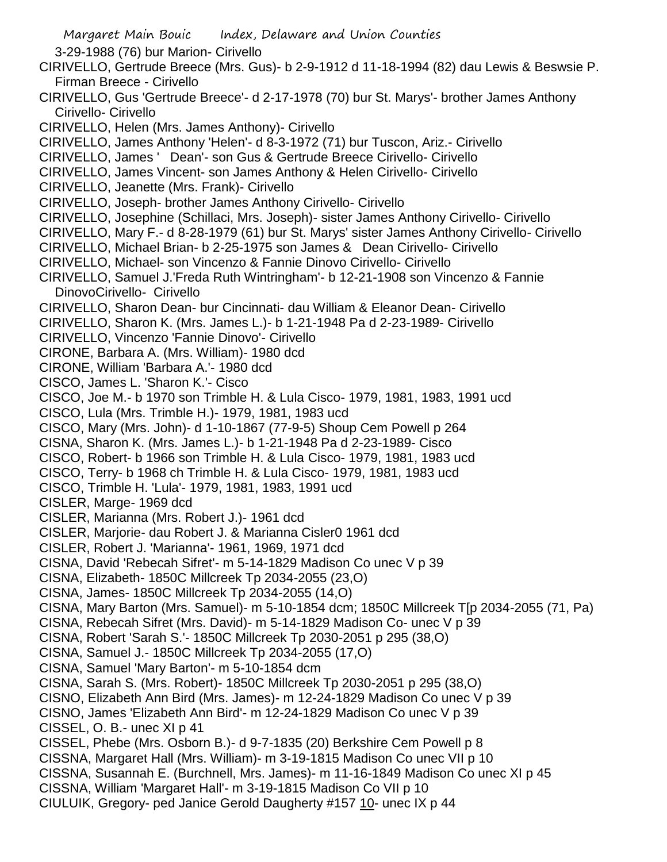Margaret Main Bouic Index, Delaware and Union Counties 3-29-1988 (76) bur Marion- Cirivello CIRIVELLO, Gertrude Breece (Mrs. Gus)- b 2-9-1912 d 11-18-1994 (82) dau Lewis & Beswsie P. Firman Breece - Cirivello CIRIVELLO, Gus 'Gertrude Breece'- d 2-17-1978 (70) bur St. Marys'- brother James Anthony Cirivello- Cirivello CIRIVELLO, Helen (Mrs. James Anthony)- Cirivello CIRIVELLO, James Anthony 'Helen'- d 8-3-1972 (71) bur Tuscon, Ariz.- Cirivello CIRIVELLO, James ' Dean'- son Gus & Gertrude Breece Cirivello- Cirivello CIRIVELLO, James Vincent- son James Anthony & Helen Cirivello- Cirivello CIRIVELLO, Jeanette (Mrs. Frank)- Cirivello CIRIVELLO, Joseph- brother James Anthony Cirivello- Cirivello CIRIVELLO, Josephine (Schillaci, Mrs. Joseph)- sister James Anthony Cirivello- Cirivello CIRIVELLO, Mary F.- d 8-28-1979 (61) bur St. Marys' sister James Anthony Cirivello- Cirivello CIRIVELLO, Michael Brian- b 2-25-1975 son James & Dean Cirivello- Cirivello CIRIVELLO, Michael- son Vincenzo & Fannie Dinovo Cirivello- Cirivello CIRIVELLO, Samuel J.'Freda Ruth Wintringham'- b 12-21-1908 son Vincenzo & Fannie DinovoCirivello- Cirivello CIRIVELLO, Sharon Dean- bur Cincinnati- dau William & Eleanor Dean- Cirivello CIRIVELLO, Sharon K. (Mrs. James L.)- b 1-21-1948 Pa d 2-23-1989- Cirivello CIRIVELLO, Vincenzo 'Fannie Dinovo'- Cirivello CIRONE, Barbara A. (Mrs. William)- 1980 dcd CIRONE, William 'Barbara A.'- 1980 dcd CISCO, James L. 'Sharon K.'- Cisco CISCO, Joe M.- b 1970 son Trimble H. & Lula Cisco- 1979, 1981, 1983, 1991 ucd CISCO, Lula (Mrs. Trimble H.)- 1979, 1981, 1983 ucd CISCO, Mary (Mrs. John)- d 1-10-1867 (77-9-5) Shoup Cem Powell p 264 CISNA, Sharon K. (Mrs. James L.)- b 1-21-1948 Pa d 2-23-1989- Cisco CISCO, Robert- b 1966 son Trimble H. & Lula Cisco- 1979, 1981, 1983 ucd CISCO, Terry- b 1968 ch Trimble H. & Lula Cisco- 1979, 1981, 1983 ucd CISCO, Trimble H. 'Lula'- 1979, 1981, 1983, 1991 ucd CISLER, Marge- 1969 dcd CISLER, Marianna (Mrs. Robert J.)- 1961 dcd CISLER, Marjorie- dau Robert J. & Marianna Cisler0 1961 dcd CISLER, Robert J. 'Marianna'- 1961, 1969, 1971 dcd CISNA, David 'Rebecah Sifret'- m 5-14-1829 Madison Co unec V p 39 CISNA, Elizabeth- 1850C Millcreek Tp 2034-2055 (23,O) CISNA, James- 1850C Millcreek Tp 2034-2055 (14,O) CISNA, Mary Barton (Mrs. Samuel)- m 5-10-1854 dcm; 1850C Millcreek T[p 2034-2055 (71, Pa) CISNA, Rebecah Sifret (Mrs. David)- m 5-14-1829 Madison Co- unec V p 39 CISNA, Robert 'Sarah S.'- 1850C Millcreek Tp 2030-2051 p 295 (38,O) CISNA, Samuel J.- 1850C Millcreek Tp 2034-2055 (17,O) CISNA, Samuel 'Mary Barton'- m 5-10-1854 dcm CISNA, Sarah S. (Mrs. Robert)- 1850C Millcreek Tp 2030-2051 p 295 (38,O) CISNO, Elizabeth Ann Bird (Mrs. James)- m 12-24-1829 Madison Co unec V p 39 CISNO, James 'Elizabeth Ann Bird'- m 12-24-1829 Madison Co unec V p 39 CISSEL, O. B.- unec XI p 41 CISSEL, Phebe (Mrs. Osborn B.)- d 9-7-1835 (20) Berkshire Cem Powell p 8 CISSNA, Margaret Hall (Mrs. William)- m 3-19-1815 Madison Co unec VII p 10 CISSNA, Susannah E. (Burchnell, Mrs. James)- m 11-16-1849 Madison Co unec XI p 45 CISSNA, William 'Margaret Hall'- m 3-19-1815 Madison Co VII p 10 CIULUIK, Gregory- ped Janice Gerold Daugherty #157 10- unec IX p 44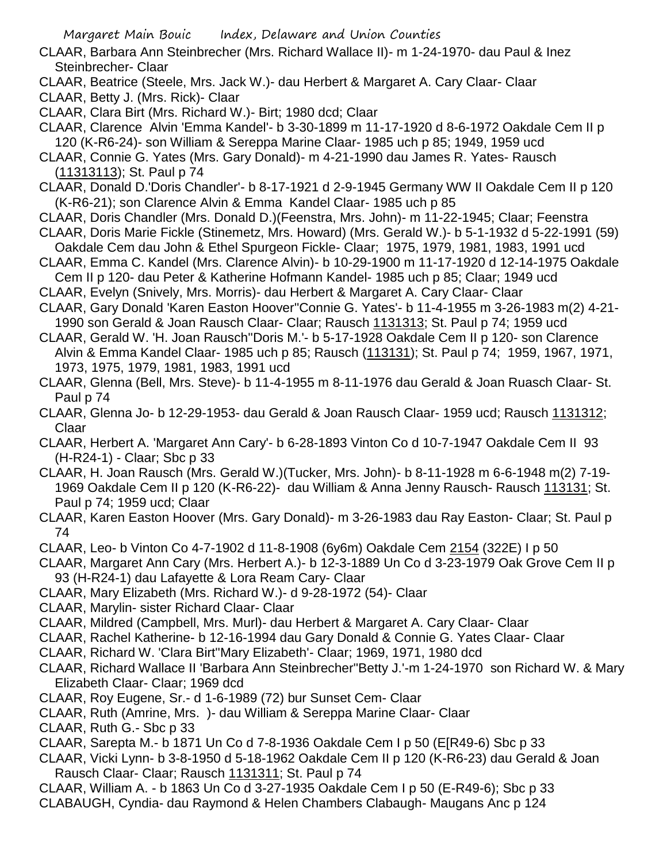- CLAAR, Barbara Ann Steinbrecher (Mrs. Richard Wallace II)- m 1-24-1970- dau Paul & Inez Steinbrecher- Claar
- CLAAR, Beatrice (Steele, Mrs. Jack W.)- dau Herbert & Margaret A. Cary Claar- Claar

CLAAR, Betty J. (Mrs. Rick)- Claar

- CLAAR, Clara Birt (Mrs. Richard W.)- Birt; 1980 dcd; Claar
- CLAAR, Clarence Alvin 'Emma Kandel'- b 3-30-1899 m 11-17-1920 d 8-6-1972 Oakdale Cem II p 120 (K-R6-24)- son William & Sereppa Marine Claar- 1985 uch p 85; 1949, 1959 ucd
- CLAAR, Connie G. Yates (Mrs. Gary Donald)- m 4-21-1990 dau James R. Yates- Rausch (11313113); St. Paul p 74
- CLAAR, Donald D.'Doris Chandler'- b 8-17-1921 d 2-9-1945 Germany WW II Oakdale Cem II p 120 (K-R6-21); son Clarence Alvin & Emma Kandel Claar- 1985 uch p 85
- CLAAR, Doris Chandler (Mrs. Donald D.)(Feenstra, Mrs. John)- m 11-22-1945; Claar; Feenstra
- CLAAR, Doris Marie Fickle (Stinemetz, Mrs. Howard) (Mrs. Gerald W.)- b 5-1-1932 d 5-22-1991 (59) Oakdale Cem dau John & Ethel Spurgeon Fickle- Claar; 1975, 1979, 1981, 1983, 1991 ucd
- CLAAR, Emma C. Kandel (Mrs. Clarence Alvin)- b 10-29-1900 m 11-17-1920 d 12-14-1975 Oakdale Cem II p 120- dau Peter & Katherine Hofmann Kandel- 1985 uch p 85; Claar; 1949 ucd
- CLAAR, Evelyn (Snively, Mrs. Morris)- dau Herbert & Margaret A. Cary Claar- Claar
- CLAAR, Gary Donald 'Karen Easton Hoover''Connie G. Yates'- b 11-4-1955 m 3-26-1983 m(2) 4-21- 1990 son Gerald & Joan Rausch Claar- Claar; Rausch 1131313; St. Paul p 74; 1959 ucd
- CLAAR, Gerald W. 'H. Joan Rausch''Doris M.'- b 5-17-1928 Oakdale Cem II p 120- son Clarence Alvin & Emma Kandel Claar- 1985 uch p 85; Rausch (113131); St. Paul p 74; 1959, 1967, 1971, 1973, 1975, 1979, 1981, 1983, 1991 ucd
- CLAAR, Glenna (Bell, Mrs. Steve)- b 11-4-1955 m 8-11-1976 dau Gerald & Joan Ruasch Claar- St. Paul p 74
- CLAAR, Glenna Jo- b 12-29-1953- dau Gerald & Joan Rausch Claar- 1959 ucd; Rausch 1131312; Claar
- CLAAR, Herbert A. 'Margaret Ann Cary'- b 6-28-1893 Vinton Co d 10-7-1947 Oakdale Cem II 93 (H-R24-1) - Claar; Sbc p 33
- CLAAR, H. Joan Rausch (Mrs. Gerald W.)(Tucker, Mrs. John)- b 8-11-1928 m 6-6-1948 m(2) 7-19- 1969 Oakdale Cem II p 120 (K-R6-22)- dau William & Anna Jenny Rausch- Rausch 113131; St. Paul p 74; 1959 ucd; Claar
- CLAAR, Karen Easton Hoover (Mrs. Gary Donald)- m 3-26-1983 dau Ray Easton- Claar; St. Paul p 74
- CLAAR, Leo- b Vinton Co 4-7-1902 d 11-8-1908 (6y6m) Oakdale Cem 2154 (322E) I p 50
- CLAAR, Margaret Ann Cary (Mrs. Herbert A.)- b 12-3-1889 Un Co d 3-23-1979 Oak Grove Cem II p 93 (H-R24-1) dau Lafayette & Lora Ream Cary- Claar
- CLAAR, Mary Elizabeth (Mrs. Richard W.)- d 9-28-1972 (54)- Claar
- CLAAR, Marylin- sister Richard Claar- Claar
- CLAAR, Mildred (Campbell, Mrs. Murl)- dau Herbert & Margaret A. Cary Claar- Claar
- CLAAR, Rachel Katherine- b 12-16-1994 dau Gary Donald & Connie G. Yates Claar- Claar
- CLAAR, Richard W. 'Clara Birt''Mary Elizabeth'- Claar; 1969, 1971, 1980 dcd
- CLAAR, Richard Wallace II 'Barbara Ann Steinbrecher''Betty J.'-m 1-24-1970 son Richard W. & Mary Elizabeth Claar- Claar; 1969 dcd
- CLAAR, Roy Eugene, Sr.- d 1-6-1989 (72) bur Sunset Cem- Claar
- CLAAR, Ruth (Amrine, Mrs. )- dau William & Sereppa Marine Claar- Claar
- CLAAR, Ruth G.- Sbc p 33
- CLAAR, Sarepta M.- b 1871 Un Co d 7-8-1936 Oakdale Cem I p 50 (E[R49-6) Sbc p 33
- CLAAR, Vicki Lynn- b 3-8-1950 d 5-18-1962 Oakdale Cem II p 120 (K-R6-23) dau Gerald & Joan Rausch Claar- Claar; Rausch 1131311; St. Paul p 74
- CLAAR, William A. b 1863 Un Co d 3-27-1935 Oakdale Cem I p 50 (E-R49-6); Sbc p 33
- CLABAUGH, Cyndia- dau Raymond & Helen Chambers Clabaugh- Maugans Anc p 124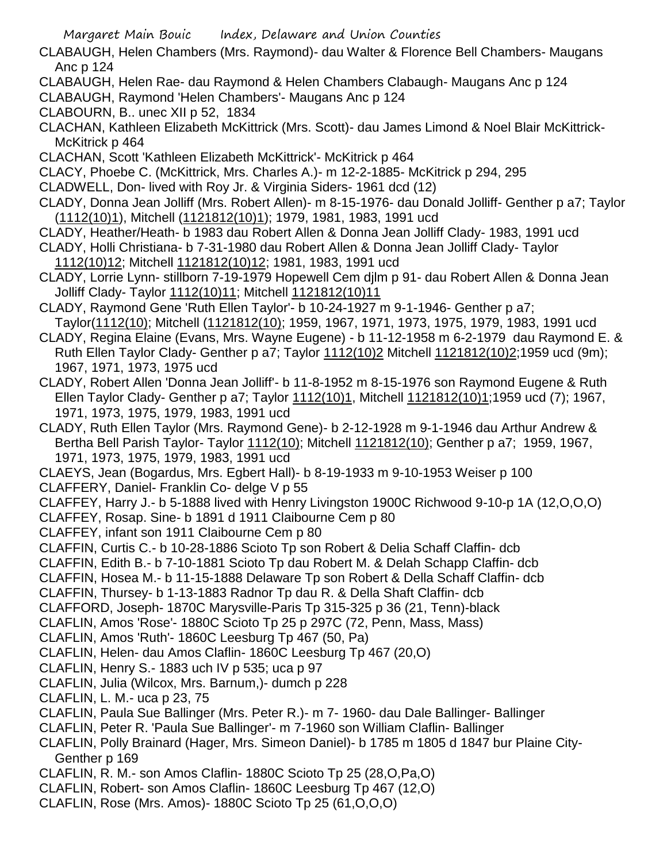- CLABAUGH, Helen Chambers (Mrs. Raymond)- dau Walter & Florence Bell Chambers- Maugans Anc p 124
- CLABAUGH, Helen Rae- dau Raymond & Helen Chambers Clabaugh- Maugans Anc p 124
- CLABAUGH, Raymond 'Helen Chambers'- Maugans Anc p 124
- CLABOURN, B.. unec XII p 52, 1834
- CLACHAN, Kathleen Elizabeth McKittrick (Mrs. Scott)- dau James Limond & Noel Blair McKittrick-McKitrick p 464
- CLACHAN, Scott 'Kathleen Elizabeth McKittrick'- McKitrick p 464
- CLACY, Phoebe C. (McKittrick, Mrs. Charles A.)- m 12-2-1885- McKitrick p 294, 295
- CLADWELL, Don- lived with Roy Jr. & Virginia Siders- 1961 dcd (12)
- CLADY, Donna Jean Jolliff (Mrs. Robert Allen)- m 8-15-1976- dau Donald Jolliff- Genther p a7; Taylor (1112(10)1), Mitchell (1121812(10)1); 1979, 1981, 1983, 1991 ucd
- CLADY, Heather/Heath- b 1983 dau Robert Allen & Donna Jean Jolliff Clady- 1983, 1991 ucd
- CLADY, Holli Christiana- b 7-31-1980 dau Robert Allen & Donna Jean Jolliff Clady- Taylor 1112(10)12; Mitchell 1121812(10)12; 1981, 1983, 1991 ucd
- CLADY, Lorrie Lynn- stillborn 7-19-1979 Hopewell Cem djlm p 91- dau Robert Allen & Donna Jean Jolliff Clady- Taylor 1112(10)11; Mitchell 1121812(10)11
- CLADY, Raymond Gene 'Ruth Ellen Taylor'- b 10-24-1927 m 9-1-1946- Genther p a7; Taylor(1112(10); Mitchell (1121812(10); 1959, 1967, 1971, 1973, 1975, 1979, 1983, 1991 ucd
- CLADY, Regina Elaine (Evans, Mrs. Wayne Eugene) b 11-12-1958 m 6-2-1979 dau Raymond E. & Ruth Ellen Taylor Clady- Genther p a7; Taylor 1112(10)2 Mitchell 1121812(10)2;1959 ucd (9m); 1967, 1971, 1973, 1975 ucd
- CLADY, Robert Allen 'Donna Jean Jolliff'- b 11-8-1952 m 8-15-1976 son Raymond Eugene & Ruth Ellen Taylor Clady- Genther p a7; Taylor 1112(10)1, Mitchell 1121812(10)1;1959 ucd (7); 1967, 1971, 1973, 1975, 1979, 1983, 1991 ucd
- CLADY, Ruth Ellen Taylor (Mrs. Raymond Gene)- b 2-12-1928 m 9-1-1946 dau Arthur Andrew & Bertha Bell Parish Taylor- Taylor 1112(10); Mitchell 1121812(10); Genther p a7; 1959, 1967, 1971, 1973, 1975, 1979, 1983, 1991 ucd
- CLAEYS, Jean (Bogardus, Mrs. Egbert Hall)- b 8-19-1933 m 9-10-1953 Weiser p 100
- CLAFFERY, Daniel- Franklin Co- delge V p 55
- CLAFFEY, Harry J.- b 5-1888 lived with Henry Livingston 1900C Richwood 9-10-p 1A (12,O,O,O)
- CLAFFEY, Rosap. Sine- b 1891 d 1911 Claibourne Cem p 80
- CLAFFEY, infant son 1911 Claibourne Cem p 80
- CLAFFIN, Curtis C.- b 10-28-1886 Scioto Tp son Robert & Delia Schaff Claffin- dcb
- CLAFFIN, Edith B.- b 7-10-1881 Scioto Tp dau Robert M. & Delah Schapp Claffin- dcb
- CLAFFIN, Hosea M.- b 11-15-1888 Delaware Tp son Robert & Della Schaff Claffin- dcb
- CLAFFIN, Thursey- b 1-13-1883 Radnor Tp dau R. & Della Shaft Claffin- dcb
- CLAFFORD, Joseph- 1870C Marysville-Paris Tp 315-325 p 36 (21, Tenn)-black
- CLAFLIN, Amos 'Rose'- 1880C Scioto Tp 25 p 297C (72, Penn, Mass, Mass)
- CLAFLIN, Amos 'Ruth'- 1860C Leesburg Tp 467 (50, Pa)
- CLAFLIN, Helen- dau Amos Claflin- 1860C Leesburg Tp 467 (20,O)
- CLAFLIN, Henry S.- 1883 uch IV p 535; uca p 97
- CLAFLIN, Julia (Wilcox, Mrs. Barnum,)- dumch p 228
- CLAFLIN, L. M.- uca p 23, 75
- CLAFLIN, Paula Sue Ballinger (Mrs. Peter R.)- m 7- 1960- dau Dale Ballinger- Ballinger
- CLAFLIN, Peter R. 'Paula Sue Ballinger'- m 7-1960 son William Claflin- Ballinger
- CLAFLIN, Polly Brainard (Hager, Mrs. Simeon Daniel)- b 1785 m 1805 d 1847 bur Plaine City-Genther p 169
- CLAFLIN, R. M.- son Amos Claflin- 1880C Scioto Tp 25 (28,O,Pa,O)
- CLAFLIN, Robert- son Amos Claflin- 1860C Leesburg Tp 467 (12,O)
- CLAFLIN, Rose (Mrs. Amos)- 1880C Scioto Tp 25 (61,O,O,O)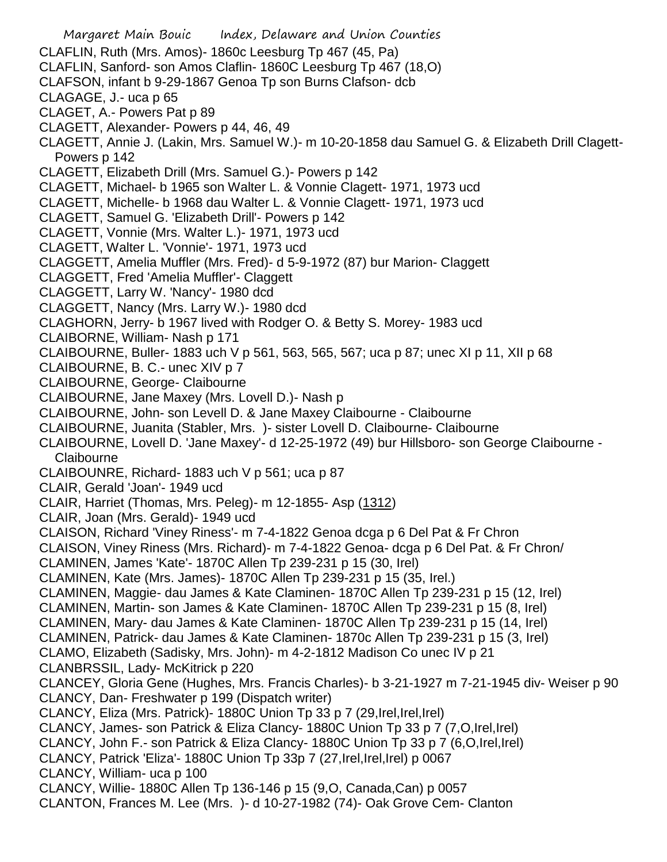Margaret Main Bouic Index, Delaware and Union Counties CLAFLIN, Ruth (Mrs. Amos)- 1860c Leesburg Tp 467 (45, Pa) CLAFLIN, Sanford- son Amos Claflin- 1860C Leesburg Tp 467 (18,O) CLAFSON, infant b 9-29-1867 Genoa Tp son Burns Clafson- dcb CLAGAGE, J.- uca p 65 CLAGET, A.- Powers Pat p 89 CLAGETT, Alexander- Powers p 44, 46, 49 CLAGETT, Annie J. (Lakin, Mrs. Samuel W.)- m 10-20-1858 dau Samuel G. & Elizabeth Drill Clagett-Powers p 142 CLAGETT, Elizabeth Drill (Mrs. Samuel G.)- Powers p 142 CLAGETT, Michael- b 1965 son Walter L. & Vonnie Clagett- 1971, 1973 ucd CLAGETT, Michelle- b 1968 dau Walter L. & Vonnie Clagett- 1971, 1973 ucd CLAGETT, Samuel G. 'Elizabeth Drill'- Powers p 142 CLAGETT, Vonnie (Mrs. Walter L.)- 1971, 1973 ucd CLAGETT, Walter L. 'Vonnie'- 1971, 1973 ucd CLAGGETT, Amelia Muffler (Mrs. Fred)- d 5-9-1972 (87) bur Marion- Claggett CLAGGETT, Fred 'Amelia Muffler'- Claggett CLAGGETT, Larry W. 'Nancy'- 1980 dcd CLAGGETT, Nancy (Mrs. Larry W.)- 1980 dcd CLAGHORN, Jerry- b 1967 lived with Rodger O. & Betty S. Morey- 1983 ucd CLAIBORNE, William- Nash p 171 CLAIBOURNE, Buller- 1883 uch V p 561, 563, 565, 567; uca p 87; unec XI p 11, XII p 68 CLAIBOURNE, B. C.- unec XIV p 7 CLAIBOURNE, George- Claibourne CLAIBOURNE, Jane Maxey (Mrs. Lovell D.)- Nash p CLAIBOURNE, John- son Levell D. & Jane Maxey Claibourne - Claibourne CLAIBOURNE, Juanita (Stabler, Mrs. )- sister Lovell D. Claibourne- Claibourne CLAIBOURNE, Lovell D. 'Jane Maxey'- d 12-25-1972 (49) bur Hillsboro- son George Claibourne - **Claibourne** CLAIBOUNRE, Richard- 1883 uch V p 561; uca p 87 CLAIR, Gerald 'Joan'- 1949 ucd CLAIR, Harriet (Thomas, Mrs. Peleg)- m 12-1855- Asp (1312) CLAIR, Joan (Mrs. Gerald)- 1949 ucd CLAISON, Richard 'Viney Riness'- m 7-4-1822 Genoa dcga p 6 Del Pat & Fr Chron CLAISON, Viney Riness (Mrs. Richard)- m 7-4-1822 Genoa- dcga p 6 Del Pat. & Fr Chron/ CLAMINEN, James 'Kate'- 1870C Allen Tp 239-231 p 15 (30, Irel) CLAMINEN, Kate (Mrs. James)- 1870C Allen Tp 239-231 p 15 (35, Irel.) CLAMINEN, Maggie- dau James & Kate Claminen- 1870C Allen Tp 239-231 p 15 (12, Irel) CLAMINEN, Martin- son James & Kate Claminen- 1870C Allen Tp 239-231 p 15 (8, Irel) CLAMINEN, Mary- dau James & Kate Claminen- 1870C Allen Tp 239-231 p 15 (14, Irel) CLAMINEN, Patrick- dau James & Kate Claminen- 1870c Allen Tp 239-231 p 15 (3, Irel) CLAMO, Elizabeth (Sadisky, Mrs. John)- m 4-2-1812 Madison Co unec IV p 21 CLANBRSSIL, Lady- McKitrick p 220 CLANCEY, Gloria Gene (Hughes, Mrs. Francis Charles)- b 3-21-1927 m 7-21-1945 div- Weiser p 90 CLANCY, Dan- Freshwater p 199 (Dispatch writer) CLANCY, Eliza (Mrs. Patrick)- 1880C Union Tp 33 p 7 (29,Irel,Irel,Irel) CLANCY, James- son Patrick & Eliza Clancy- 1880C Union Tp 33 p 7 (7,O,Irel,Irel) CLANCY, John F.- son Patrick & Eliza Clancy- 1880C Union Tp 33 p 7 (6,O,Irel,Irel) CLANCY, Patrick 'Eliza'- 1880C Union Tp 33p 7 (27,Irel,Irel,Irel) p 0067 CLANCY, William- uca p 100 CLANCY, Willie- 1880C Allen Tp 136-146 p 15 (9,O, Canada,Can) p 0057 CLANTON, Frances M. Lee (Mrs. )- d 10-27-1982 (74)- Oak Grove Cem- Clanton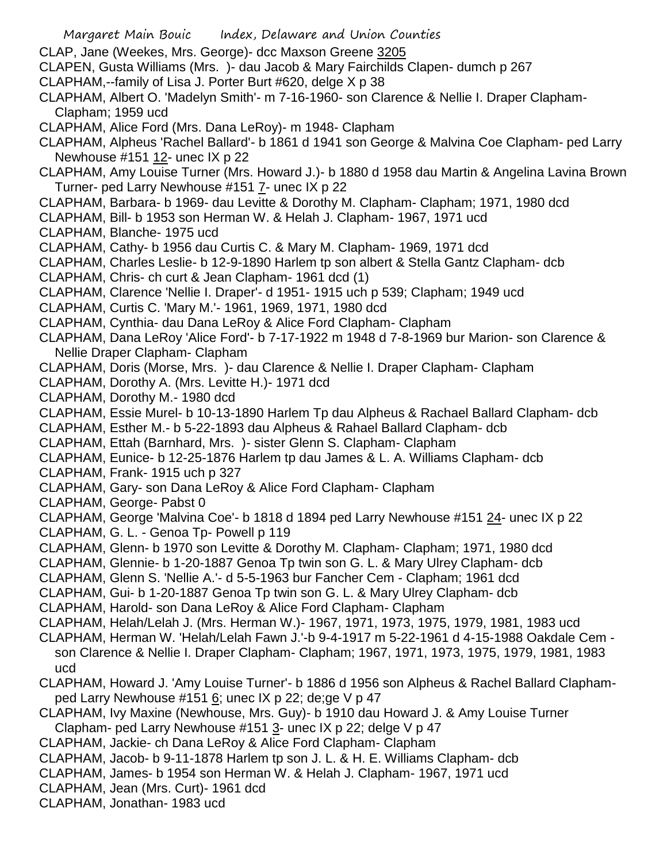- CLAP, Jane (Weekes, Mrs. George)- dcc Maxson Greene 3205
- CLAPEN, Gusta Williams (Mrs. )- dau Jacob & Mary Fairchilds Clapen- dumch p 267
- CLAPHAM,--family of Lisa J. Porter Burt #620, delge X p 38
- CLAPHAM, Albert O. 'Madelyn Smith'- m 7-16-1960- son Clarence & Nellie I. Draper Clapham-Clapham; 1959 ucd
- CLAPHAM, Alice Ford (Mrs. Dana LeRoy)- m 1948- Clapham
- CLAPHAM, Alpheus 'Rachel Ballard'- b 1861 d 1941 son George & Malvina Coe Clapham- ped Larry Newhouse #151 12- unec IX p 22
- CLAPHAM, Amy Louise Turner (Mrs. Howard J.)- b 1880 d 1958 dau Martin & Angelina Lavina Brown Turner- ped Larry Newhouse #151 7- unec IX p 22
- CLAPHAM, Barbara- b 1969- dau Levitte & Dorothy M. Clapham- Clapham; 1971, 1980 dcd
- CLAPHAM, Bill- b 1953 son Herman W. & Helah J. Clapham- 1967, 1971 ucd
- CLAPHAM, Blanche- 1975 ucd
- CLAPHAM, Cathy- b 1956 dau Curtis C. & Mary M. Clapham- 1969, 1971 dcd
- CLAPHAM, Charles Leslie- b 12-9-1890 Harlem tp son albert & Stella Gantz Clapham- dcb
- CLAPHAM, Chris- ch curt & Jean Clapham- 1961 dcd (1)
- CLAPHAM, Clarence 'Nellie I. Draper'- d 1951- 1915 uch p 539; Clapham; 1949 ucd
- CLAPHAM, Curtis C. 'Mary M.'- 1961, 1969, 1971, 1980 dcd
- CLAPHAM, Cynthia- dau Dana LeRoy & Alice Ford Clapham- Clapham
- CLAPHAM, Dana LeRoy 'Alice Ford'- b 7-17-1922 m 1948 d 7-8-1969 bur Marion- son Clarence & Nellie Draper Clapham- Clapham
- CLAPHAM, Doris (Morse, Mrs. )- dau Clarence & Nellie I. Draper Clapham- Clapham
- CLAPHAM, Dorothy A. (Mrs. Levitte H.)- 1971 dcd
- CLAPHAM, Dorothy M.- 1980 dcd
- CLAPHAM, Essie Murel- b 10-13-1890 Harlem Tp dau Alpheus & Rachael Ballard Clapham- dcb
- CLAPHAM, Esther M.- b 5-22-1893 dau Alpheus & Rahael Ballard Clapham- dcb
- CLAPHAM, Ettah (Barnhard, Mrs. )- sister Glenn S. Clapham- Clapham
- CLAPHAM, Eunice- b 12-25-1876 Harlem tp dau James & L. A. Williams Clapham- dcb
- CLAPHAM, Frank- 1915 uch p 327
- CLAPHAM, Gary- son Dana LeRoy & Alice Ford Clapham- Clapham
- CLAPHAM, George- Pabst 0
- CLAPHAM, George 'Malvina Coe'- b 1818 d 1894 ped Larry Newhouse #151 24- unec IX p 22
- CLAPHAM, G. L. Genoa Tp- Powell p 119
- CLAPHAM, Glenn- b 1970 son Levitte & Dorothy M. Clapham- Clapham; 1971, 1980 dcd
- CLAPHAM, Glennie- b 1-20-1887 Genoa Tp twin son G. L. & Mary Ulrey Clapham- dcb
- CLAPHAM, Glenn S. 'Nellie A.'- d 5-5-1963 bur Fancher Cem Clapham; 1961 dcd
- CLAPHAM, Gui- b 1-20-1887 Genoa Tp twin son G. L. & Mary Ulrey Clapham- dcb
- CLAPHAM, Harold- son Dana LeRoy & Alice Ford Clapham- Clapham
- CLAPHAM, Helah/Lelah J. (Mrs. Herman W.)- 1967, 1971, 1973, 1975, 1979, 1981, 1983 ucd
- CLAPHAM, Herman W. 'Helah/Lelah Fawn J.'-b 9-4-1917 m 5-22-1961 d 4-15-1988 Oakdale Cem son Clarence & Nellie I. Draper Clapham- Clapham; 1967, 1971, 1973, 1975, 1979, 1981, 1983 ucd
- CLAPHAM, Howard J. 'Amy Louise Turner'- b 1886 d 1956 son Alpheus & Rachel Ballard Claphamped Larry Newhouse #151  $6$ ; unec IX p 22; de;ge V p 47
- CLAPHAM, Ivy Maxine (Newhouse, Mrs. Guy)- b 1910 dau Howard J. & Amy Louise Turner Clapham- ped Larry Newhouse #151 3- unec IX p 22; delge V p 47
- CLAPHAM, Jackie- ch Dana LeRoy & Alice Ford Clapham- Clapham
- CLAPHAM, Jacob- b 9-11-1878 Harlem tp son J. L. & H. E. Williams Clapham- dcb
- CLAPHAM, James- b 1954 son Herman W. & Helah J. Clapham- 1967, 1971 ucd
- CLAPHAM, Jean (Mrs. Curt)- 1961 dcd
- CLAPHAM, Jonathan- 1983 ucd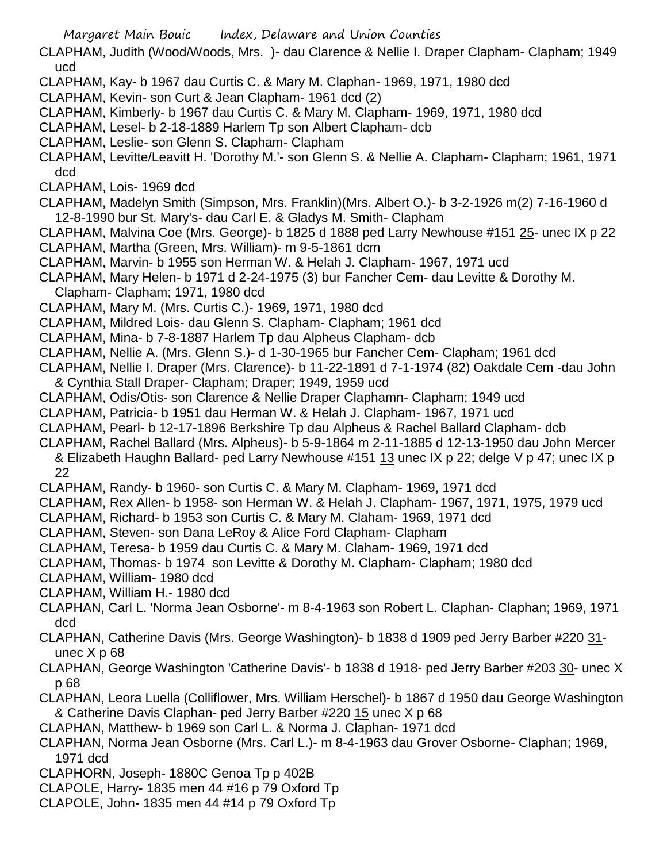- CLAPHAM, Judith (Wood/Woods, Mrs. )- dau Clarence & Nellie I. Draper Clapham- Clapham; 1949 ucd
- CLAPHAM, Kay- b 1967 dau Curtis C. & Mary M. Claphan- 1969, 1971, 1980 dcd
- CLAPHAM, Kevin- son Curt & Jean Clapham- 1961 dcd (2)
- CLAPHAM, Kimberly- b 1967 dau Curtis C. & Mary M. Clapham- 1969, 1971, 1980 dcd
- CLAPHAM, Lesel- b 2-18-1889 Harlem Tp son Albert Clapham- dcb
- CLAPHAM, Leslie- son Glenn S. Clapham- Clapham
- CLAPHAM, Levitte/Leavitt H. 'Dorothy M.'- son Glenn S. & Nellie A. Clapham- Clapham; 1961, 1971 dcd
- CLAPHAM, Lois- 1969 dcd
- CLAPHAM, Madelyn Smith (Simpson, Mrs. Franklin)(Mrs. Albert O.)- b 3-2-1926 m(2) 7-16-1960 d 12-8-1990 bur St. Mary's- dau Carl E. & Gladys M. Smith- Clapham
- CLAPHAM, Malvina Coe (Mrs. George)- b 1825 d 1888 ped Larry Newhouse #151 25- unec IX p 22
- CLAPHAM, Martha (Green, Mrs. William)- m 9-5-1861 dcm
- CLAPHAM, Marvin- b 1955 son Herman W. & Helah J. Clapham- 1967, 1971 ucd
- CLAPHAM, Mary Helen- b 1971 d 2-24-1975 (3) bur Fancher Cem- dau Levitte & Dorothy M.
- Clapham- Clapham; 1971, 1980 dcd
- CLAPHAM, Mary M. (Mrs. Curtis C.)- 1969, 1971, 1980 dcd
- CLAPHAM, Mildred Lois- dau Glenn S. Clapham- Clapham; 1961 dcd
- CLAPHAM, Mina- b 7-8-1887 Harlem Tp dau Alpheus Clapham- dcb
- CLAPHAM, Nellie A. (Mrs. Glenn S.)- d 1-30-1965 bur Fancher Cem- Clapham; 1961 dcd
- CLAPHAM, Nellie I. Draper (Mrs. Clarence)- b 11-22-1891 d 7-1-1974 (82) Oakdale Cem -dau John & Cynthia Stall Draper- Clapham; Draper; 1949, 1959 ucd
- CLAPHAM, Odis/Otis- son Clarence & Nellie Draper Claphamn- Clapham; 1949 ucd
- CLAPHAM, Patricia- b 1951 dau Herman W. & Helah J. Clapham- 1967, 1971 ucd
- CLAPHAM, Pearl- b 12-17-1896 Berkshire Tp dau Alpheus & Rachel Ballard Clapham- dcb
- CLAPHAM, Rachel Ballard (Mrs. Alpheus)- b 5-9-1864 m 2-11-1885 d 12-13-1950 dau John Mercer & Elizabeth Haughn Ballard- ped Larry Newhouse #151 13 unec IX p 22; delge V p 47; unec IX p 22
- CLAPHAM, Randy- b 1960- son Curtis C. & Mary M. Clapham- 1969, 1971 dcd
- CLAPHAM, Rex Allen- b 1958- son Herman W. & Helah J. Clapham- 1967, 1971, 1975, 1979 ucd
- CLAPHAM, Richard- b 1953 son Curtis C. & Mary M. Claham- 1969, 1971 dcd
- CLAPHAM, Steven- son Dana LeRoy & Alice Ford Clapham- Clapham
- CLAPHAM, Teresa- b 1959 dau Curtis C. & Mary M. Claham- 1969, 1971 dcd
- CLAPHAM, Thomas- b 1974 son Levitte & Dorothy M. Clapham- Clapham; 1980 dcd
- CLAPHAM, William- 1980 dcd
- CLAPHAM, William H.- 1980 dcd
- CLAPHAN, Carl L. 'Norma Jean Osborne'- m 8-4-1963 son Robert L. Claphan- Claphan; 1969, 1971 dcd
- CLAPHAN, Catherine Davis (Mrs. George Washington)- b 1838 d 1909 ped Jerry Barber #220 31 unec X p 68
- CLAPHAN, George Washington 'Catherine Davis'- b 1838 d 1918- ped Jerry Barber #203 30- unec X p 68
- CLAPHAN, Leora Luella (Colliflower, Mrs. William Herschel)- b 1867 d 1950 dau George Washington & Catherine Davis Claphan- ped Jerry Barber #220 15 unec X p 68
- CLAPHAN, Matthew- b 1969 son Carl L. & Norma J. Claphan- 1971 dcd
- CLAPHAN, Norma Jean Osborne (Mrs. Carl L.)- m 8-4-1963 dau Grover Osborne- Claphan; 1969, 1971 dcd
- CLAPHORN, Joseph- 1880C Genoa Tp p 402B
- CLAPOLE, Harry- 1835 men 44 #16 p 79 Oxford Tp
- CLAPOLE, John- 1835 men 44 #14 p 79 Oxford Tp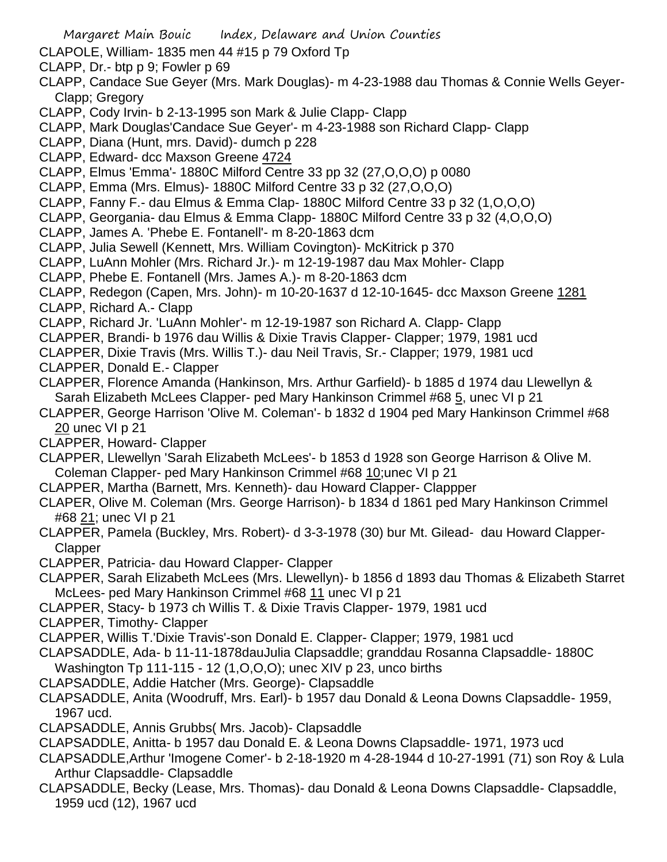- CLAPOLE, William- 1835 men 44 #15 p 79 Oxford Tp
- CLAPP, Dr.- btp p 9; Fowler p 69
- CLAPP, Candace Sue Geyer (Mrs. Mark Douglas)- m 4-23-1988 dau Thomas & Connie Wells Geyer-Clapp; Gregory
- CLAPP, Cody Irvin- b 2-13-1995 son Mark & Julie Clapp- Clapp
- CLAPP, Mark Douglas'Candace Sue Geyer'- m 4-23-1988 son Richard Clapp- Clapp
- CLAPP, Diana (Hunt, mrs. David)- dumch p 228
- CLAPP, Edward- dcc Maxson Greene 4724
- CLAPP, Elmus 'Emma'- 1880C Milford Centre 33 pp 32 (27,O,O,O) p 0080
- CLAPP, Emma (Mrs. Elmus)- 1880C Milford Centre 33 p 32 (27,O,O,O)
- CLAPP, Fanny F.- dau Elmus & Emma Clap- 1880C Milford Centre 33 p 32 (1,O,O,O)
- CLAPP, Georgania- dau Elmus & Emma Clapp- 1880C Milford Centre 33 p 32 (4,O,O,O)
- CLAPP, James A. 'Phebe E. Fontanell'- m 8-20-1863 dcm
- CLAPP, Julia Sewell (Kennett, Mrs. William Covington)- McKitrick p 370
- CLAPP, LuAnn Mohler (Mrs. Richard Jr.)- m 12-19-1987 dau Max Mohler- Clapp
- CLAPP, Phebe E. Fontanell (Mrs. James A.)- m 8-20-1863 dcm
- CLAPP, Redegon (Capen, Mrs. John)- m 10-20-1637 d 12-10-1645- dcc Maxson Greene 1281
- CLAPP, Richard A.- Clapp
- CLAPP, Richard Jr. 'LuAnn Mohler'- m 12-19-1987 son Richard A. Clapp- Clapp
- CLAPPER, Brandi- b 1976 dau Willis & Dixie Travis Clapper- Clapper; 1979, 1981 ucd
- CLAPPER, Dixie Travis (Mrs. Willis T.)- dau Neil Travis, Sr.- Clapper; 1979, 1981 ucd
- CLAPPER, Donald E.- Clapper
- CLAPPER, Florence Amanda (Hankinson, Mrs. Arthur Garfield)- b 1885 d 1974 dau Llewellyn & Sarah Elizabeth McLees Clapper- ped Mary Hankinson Crimmel #68 5, unec VI p 21
- CLAPPER, George Harrison 'Olive M. Coleman'- b 1832 d 1904 ped Mary Hankinson Crimmel #68 20 unec VI p 21
- CLAPPER, Howard- Clapper
- CLAPPER, Llewellyn 'Sarah Elizabeth McLees'- b 1853 d 1928 son George Harrison & Olive M. Coleman Clapper- ped Mary Hankinson Crimmel #68 10;unec VI p 21
- CLAPPER, Martha (Barnett, Mrs. Kenneth)- dau Howard Clapper- Clappper
- CLAPER, Olive M. Coleman (Mrs. George Harrison)- b 1834 d 1861 ped Mary Hankinson Crimmel #68 21; unec VI p 21
- CLAPPER, Pamela (Buckley, Mrs. Robert)- d 3-3-1978 (30) bur Mt. Gilead- dau Howard Clapper-Clapper
- CLAPPER, Patricia- dau Howard Clapper- Clapper
- CLAPPER, Sarah Elizabeth McLees (Mrs. Llewellyn)- b 1856 d 1893 dau Thomas & Elizabeth Starret McLees- ped Mary Hankinson Crimmel #68 11 unec VI p 21
- CLAPPER, Stacy- b 1973 ch Willis T. & Dixie Travis Clapper- 1979, 1981 ucd
- CLAPPER, Timothy- Clapper
- CLAPPER, Willis T.'Dixie Travis'-son Donald E. Clapper- Clapper; 1979, 1981 ucd
- CLAPSADDLE, Ada- b 11-11-1878dauJulia Clapsaddle; granddau Rosanna Clapsaddle- 1880C Washington Tp 111-115 - 12 (1,O,O,O); unec XIV p 23, unco births
- CLAPSADDLE, Addie Hatcher (Mrs. George)- Clapsaddle
- CLAPSADDLE, Anita (Woodruff, Mrs. Earl)- b 1957 dau Donald & Leona Downs Clapsaddle- 1959, 1967 ucd.
- CLAPSADDLE, Annis Grubbs( Mrs. Jacob)- Clapsaddle
- CLAPSADDLE, Anitta- b 1957 dau Donald E. & Leona Downs Clapsaddle- 1971, 1973 ucd
- CLAPSADDLE,Arthur 'Imogene Comer'- b 2-18-1920 m 4-28-1944 d 10-27-1991 (71) son Roy & Lula Arthur Clapsaddle- Clapsaddle
- CLAPSADDLE, Becky (Lease, Mrs. Thomas)- dau Donald & Leona Downs Clapsaddle- Clapsaddle, 1959 ucd (12), 1967 ucd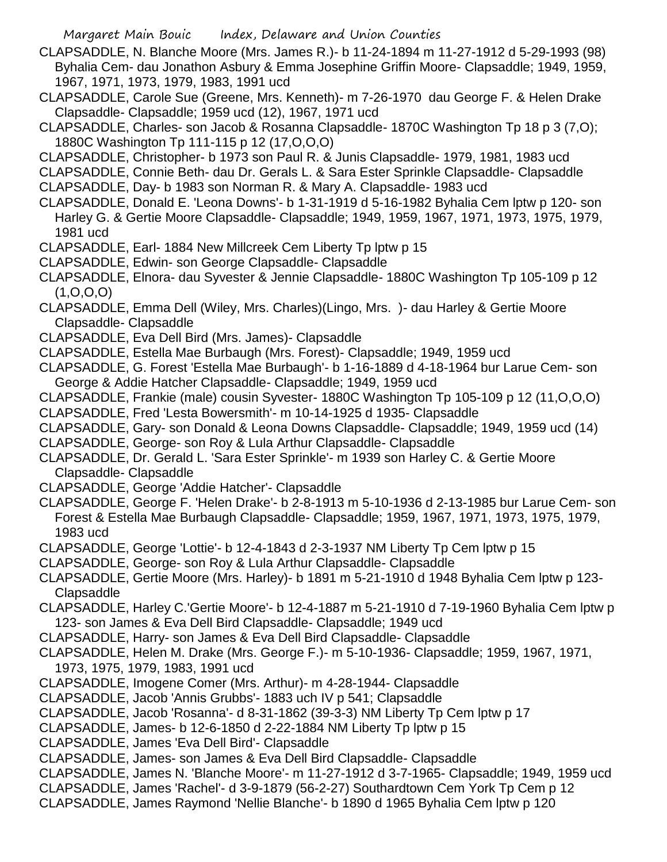- CLAPSADDLE, N. Blanche Moore (Mrs. James R.)- b 11-24-1894 m 11-27-1912 d 5-29-1993 (98) Byhalia Cem- dau Jonathon Asbury & Emma Josephine Griffin Moore- Clapsaddle; 1949, 1959, 1967, 1971, 1973, 1979, 1983, 1991 ucd
- CLAPSADDLE, Carole Sue (Greene, Mrs. Kenneth)- m 7-26-1970 dau George F. & Helen Drake Clapsaddle- Clapsaddle; 1959 ucd (12), 1967, 1971 ucd
- CLAPSADDLE, Charles- son Jacob & Rosanna Clapsaddle- 1870C Washington Tp 18 p 3 (7,O); 1880C Washington Tp 111-115 p 12 (17,O,O,O)
- CLAPSADDLE, Christopher- b 1973 son Paul R. & Junis Clapsaddle- 1979, 1981, 1983 ucd
- CLAPSADDLE, Connie Beth- dau Dr. Gerals L. & Sara Ester Sprinkle Clapsaddle- Clapsaddle
- CLAPSADDLE, Day- b 1983 son Norman R. & Mary A. Clapsaddle- 1983 ucd
- CLAPSADDLE, Donald E. 'Leona Downs'- b 1-31-1919 d 5-16-1982 Byhalia Cem lptw p 120- son Harley G. & Gertie Moore Clapsaddle- Clapsaddle; 1949, 1959, 1967, 1971, 1973, 1975, 1979, 1981 ucd
- CLAPSADDLE, Earl- 1884 New Millcreek Cem Liberty Tp lptw p 15
- CLAPSADDLE, Edwin- son George Clapsaddle- Clapsaddle
- CLAPSADDLE, Elnora- dau Syvester & Jennie Clapsaddle- 1880C Washington Tp 105-109 p 12  $(1, 0, 0, 0)$
- CLAPSADDLE, Emma Dell (Wiley, Mrs. Charles)(Lingo, Mrs. )- dau Harley & Gertie Moore Clapsaddle- Clapsaddle
- CLAPSADDLE, Eva Dell Bird (Mrs. James)- Clapsaddle
- CLAPSADDLE, Estella Mae Burbaugh (Mrs. Forest)- Clapsaddle; 1949, 1959 ucd
- CLAPSADDLE, G. Forest 'Estella Mae Burbaugh'- b 1-16-1889 d 4-18-1964 bur Larue Cem- son George & Addie Hatcher Clapsaddle- Clapsaddle; 1949, 1959 ucd
- CLAPSADDLE, Frankie (male) cousin Syvester- 1880C Washington Tp 105-109 p 12 (11,O,O,O)
- CLAPSADDLE, Fred 'Lesta Bowersmith'- m 10-14-1925 d 1935- Clapsaddle
- CLAPSADDLE, Gary- son Donald & Leona Downs Clapsaddle- Clapsaddle; 1949, 1959 ucd (14)
- CLAPSADDLE, George- son Roy & Lula Arthur Clapsaddle- Clapsaddle
- CLAPSADDLE, Dr. Gerald L. 'Sara Ester Sprinkle'- m 1939 son Harley C. & Gertie Moore Clapsaddle- Clapsaddle
- CLAPSADDLE, George 'Addie Hatcher'- Clapsaddle
- CLAPSADDLE, George F. 'Helen Drake'- b 2-8-1913 m 5-10-1936 d 2-13-1985 bur Larue Cem- son Forest & Estella Mae Burbaugh Clapsaddle- Clapsaddle; 1959, 1967, 1971, 1973, 1975, 1979, 1983 ucd
- CLAPSADDLE, George 'Lottie'- b 12-4-1843 d 2-3-1937 NM Liberty Tp Cem lptw p 15
- CLAPSADDLE, George- son Roy & Lula Arthur Clapsaddle- Clapsaddle
- CLAPSADDLE, Gertie Moore (Mrs. Harley)- b 1891 m 5-21-1910 d 1948 Byhalia Cem lptw p 123- Clapsaddle
- CLAPSADDLE, Harley C.'Gertie Moore'- b 12-4-1887 m 5-21-1910 d 7-19-1960 Byhalia Cem lptw p 123- son James & Eva Dell Bird Clapsaddle- Clapsaddle; 1949 ucd
- CLAPSADDLE, Harry- son James & Eva Dell Bird Clapsaddle- Clapsaddle
- CLAPSADDLE, Helen M. Drake (Mrs. George F.)- m 5-10-1936- Clapsaddle; 1959, 1967, 1971,
- 1973, 1975, 1979, 1983, 1991 ucd
- CLAPSADDLE, Imogene Comer (Mrs. Arthur)- m 4-28-1944- Clapsaddle
- CLAPSADDLE, Jacob 'Annis Grubbs'- 1883 uch IV p 541; Clapsaddle
- CLAPSADDLE, Jacob 'Rosanna'- d 8-31-1862 (39-3-3) NM Liberty Tp Cem lptw p 17
- CLAPSADDLE, James- b 12-6-1850 d 2-22-1884 NM Liberty Tp lptw p 15
- CLAPSADDLE, James 'Eva Dell Bird'- Clapsaddle
- CLAPSADDLE, James- son James & Eva Dell Bird Clapsaddle- Clapsaddle
- CLAPSADDLE, James N. 'Blanche Moore'- m 11-27-1912 d 3-7-1965- Clapsaddle; 1949, 1959 ucd
- CLAPSADDLE, James 'Rachel'- d 3-9-1879 (56-2-27) Southardtown Cem York Tp Cem p 12
- CLAPSADDLE, James Raymond 'Nellie Blanche'- b 1890 d 1965 Byhalia Cem lptw p 120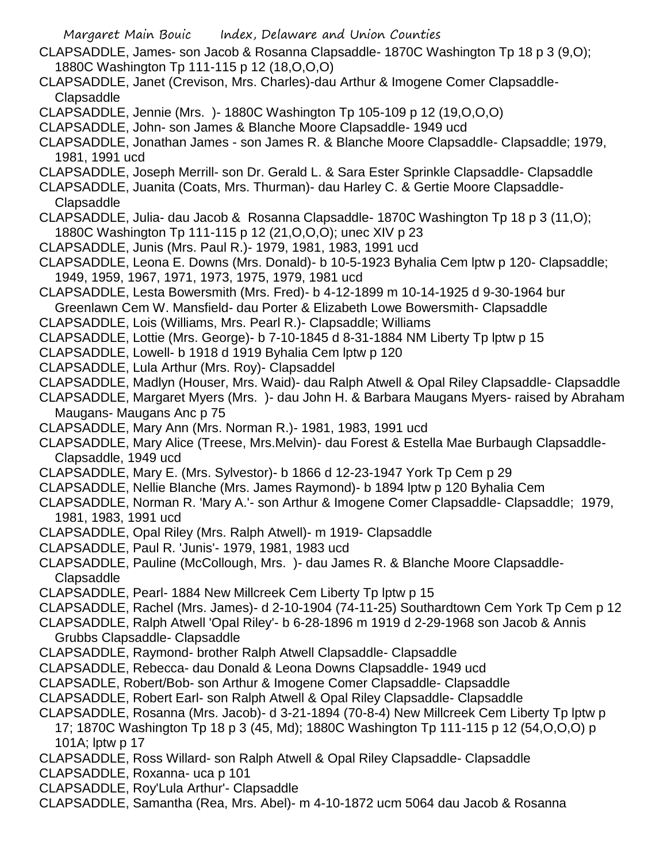- CLAPSADDLE, James- son Jacob & Rosanna Clapsaddle- 1870C Washington Tp 18 p 3 (9,O); 1880C Washington Tp 111-115 p 12 (18,O,O,O)
- CLAPSADDLE, Janet (Crevison, Mrs. Charles)-dau Arthur & Imogene Comer Clapsaddle-Clapsaddle
- CLAPSADDLE, Jennie (Mrs. )- 1880C Washington Tp 105-109 p 12 (19,O,O,O)
- CLAPSADDLE, John- son James & Blanche Moore Clapsaddle- 1949 ucd
- CLAPSADDLE, Jonathan James son James R. & Blanche Moore Clapsaddle- Clapsaddle; 1979, 1981, 1991 ucd
- CLAPSADDLE, Joseph Merrill- son Dr. Gerald L. & Sara Ester Sprinkle Clapsaddle- Clapsaddle
- CLAPSADDLE, Juanita (Coats, Mrs. Thurman)- dau Harley C. & Gertie Moore Clapsaddle-Clapsaddle
- CLAPSADDLE, Julia- dau Jacob & Rosanna Clapsaddle- 1870C Washington Tp 18 p 3 (11,O); 1880C Washington Tp 111-115 p 12 (21,O,O,O); unec XIV p 23
- CLAPSADDLE, Junis (Mrs. Paul R.)- 1979, 1981, 1983, 1991 ucd
- CLAPSADDLE, Leona E. Downs (Mrs. Donald)- b 10-5-1923 Byhalia Cem lptw p 120- Clapsaddle; 1949, 1959, 1967, 1971, 1973, 1975, 1979, 1981 ucd
- CLAPSADDLE, Lesta Bowersmith (Mrs. Fred)- b 4-12-1899 m 10-14-1925 d 9-30-1964 bur Greenlawn Cem W. Mansfield- dau Porter & Elizabeth Lowe Bowersmith- Clapsaddle
- CLAPSADDLE, Lois (Williams, Mrs. Pearl R.)- Clapsaddle; Williams
- CLAPSADDLE, Lottie (Mrs. George)- b 7-10-1845 d 8-31-1884 NM Liberty Tp lptw p 15
- CLAPSADDLE, Lowell- b 1918 d 1919 Byhalia Cem lptw p 120
- CLAPSADDLE, Lula Arthur (Mrs. Roy)- Clapsaddel
- CLAPSADDLE, Madlyn (Houser, Mrs. Waid)- dau Ralph Atwell & Opal Riley Clapsaddle- Clapsaddle
- CLAPSADDLE, Margaret Myers (Mrs. )- dau John H. & Barbara Maugans Myers- raised by Abraham Maugans- Maugans Anc p 75
- CLAPSADDLE, Mary Ann (Mrs. Norman R.)- 1981, 1983, 1991 ucd
- CLAPSADDLE, Mary Alice (Treese, Mrs.Melvin)- dau Forest & Estella Mae Burbaugh Clapsaddle-Clapsaddle, 1949 ucd
- CLAPSADDLE, Mary E. (Mrs. Sylvestor)- b 1866 d 12-23-1947 York Tp Cem p 29
- CLAPSADDLE, Nellie Blanche (Mrs. James Raymond)- b 1894 lptw p 120 Byhalia Cem
- CLAPSADDLE, Norman R. 'Mary A.'- son Arthur & Imogene Comer Clapsaddle- Clapsaddle; 1979, 1981, 1983, 1991 ucd
- CLAPSADDLE, Opal Riley (Mrs. Ralph Atwell)- m 1919- Clapsaddle
- CLAPSADDLE, Paul R. 'Junis'- 1979, 1981, 1983 ucd
- CLAPSADDLE, Pauline (McCollough, Mrs. )- dau James R. & Blanche Moore Clapsaddle-Clapsaddle
- CLAPSADDLE, Pearl- 1884 New Millcreek Cem Liberty Tp lptw p 15
- CLAPSADDLE, Rachel (Mrs. James)- d 2-10-1904 (74-11-25) Southardtown Cem York Tp Cem p 12
- CLAPSADDLE, Ralph Atwell 'Opal Riley'- b 6-28-1896 m 1919 d 2-29-1968 son Jacob & Annis Grubbs Clapsaddle- Clapsaddle
- CLAPSADDLE, Raymond- brother Ralph Atwell Clapsaddle- Clapsaddle
- CLAPSADDLE, Rebecca- dau Donald & Leona Downs Clapsaddle- 1949 ucd
- CLAPSADLE, Robert/Bob- son Arthur & Imogene Comer Clapsaddle- Clapsaddle
- CLAPSADDLE, Robert Earl- son Ralph Atwell & Opal Riley Clapsaddle- Clapsaddle
- CLAPSADDLE, Rosanna (Mrs. Jacob)- d 3-21-1894 (70-8-4) New Millcreek Cem Liberty Tp lptw p
	- 17; 1870C Washington Tp 18 p 3 (45, Md); 1880C Washington Tp 111-115 p 12 (54,O,O,O) p 101A; lptw p 17
- CLAPSADDLE, Ross Willard- son Ralph Atwell & Opal Riley Clapsaddle- Clapsaddle
- CLAPSADDLE, Roxanna- uca p 101
- CLAPSADDLE, Roy'Lula Arthur'- Clapsaddle
- CLAPSADDLE, Samantha (Rea, Mrs. Abel)- m 4-10-1872 ucm 5064 dau Jacob & Rosanna